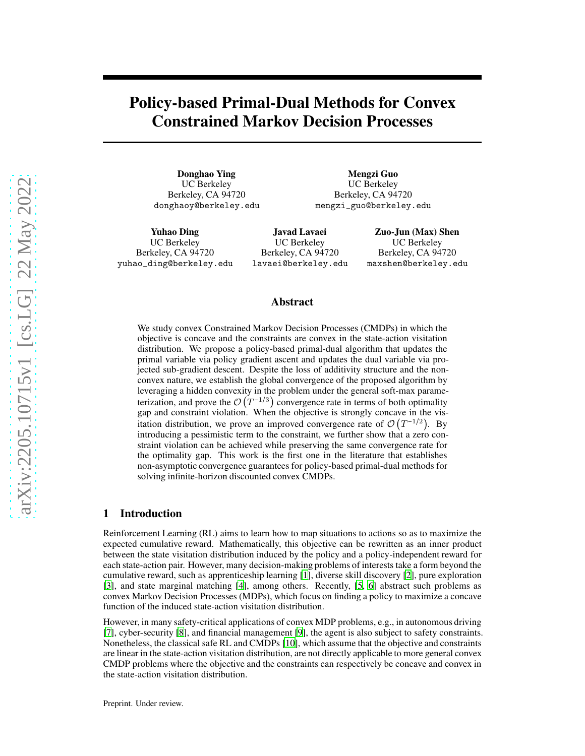# Policy-based Primal-Dual Methods for Convex Constrained Markov Decision Processes

Donghao Ying UC Berkeley Berkeley, CA 94720 donghaoy@berkeley.edu

Mengzi Guo UC Berkeley Berkeley, CA 94720 mengzi\_guo@berkeley.edu

Yuhao Ding UC Berkeley Berkeley, CA 94720 yuhao\_ding@berkeley.edu

Javad Lavaei UC Berkeley Berkeley, CA 94720 lavaei@berkeley.edu

Zuo-Jun (Max) Shen UC Berkeley Berkeley, CA 94720 maxshen@berkeley.edu

#### Abstract

We study convex Constrained Markov Decision Processes (CMDPs) in which the objective is concave and the constraints are convex in the state-action visitation distribution. We propose a policy-based primal-dual algorithm that updates the primal variable via policy gradient ascent and updates the dual variable via projected sub-gradient descent. Despite the loss of additivity structure and the nonconvex nature, we establish the global convergence of the proposed algorithm by leveraging a hidden convexity in the problem under the general soft-max parameterization, and prove the  $\mathcal{O}(T^{-1/3})$  convergence rate in terms of both optimality gap and constraint violation. When the objective is strongly concave in the visitation distribution, we prove an improved convergence rate of  $\mathcal{O}(T^{-1/2})$ . By introducing a pessimistic term to the constraint, we further show that a zero constraint violation can be achieved while preserving the same convergence rate for the optimality gap. This work is the first one in the literature that establishes non-asymptotic convergence guarantees for policy-based primal-dual methods for solving infinite-horizon discounted convex CMDPs.

# <span id="page-0-0"></span>1 Introduction

Reinforcement Learning (RL) aims to learn how to map situations to actions so as to maximize the expected cumulative reward. Mathematically, this objective can be rewritten as an inner product between the state visitation distribution induced by the policy and a policy-independent reward for each state-action pair. However, many decision-making problems of interests take a form beyond the cumulative reward, such as apprenticeship learning [\[1](#page-8-0)], diverse skill discovery [\[2](#page-8-1)], pure exploration [\[3](#page-9-0)], and state marginal matching [\[4\]](#page-9-1), among others. Recently, [\[5,](#page-9-2) [6\]](#page-9-3) abstract such problems as convex Markov Decision Processes (MDPs), which focus on finding a policy to maximize a concave function of the induced state-action visitation distribution.

However, in many safety-critical applications of convex MDP problems, e.g., in autonomous driving [\[7](#page-9-4)], cyber-security [\[8](#page-9-5)], and financial management [\[9\]](#page-9-6), the agent is also subject to safety constraints. Nonetheless, the classical safe RL and CMDPs [\[10\]](#page-9-7), which assume that the objective and constraints are linear in the state-action visitation distribution, are not directly applicable to more general convex CMDP problems where the objective and the constraints can respectively be concave and convex in the state-action visitation distribution.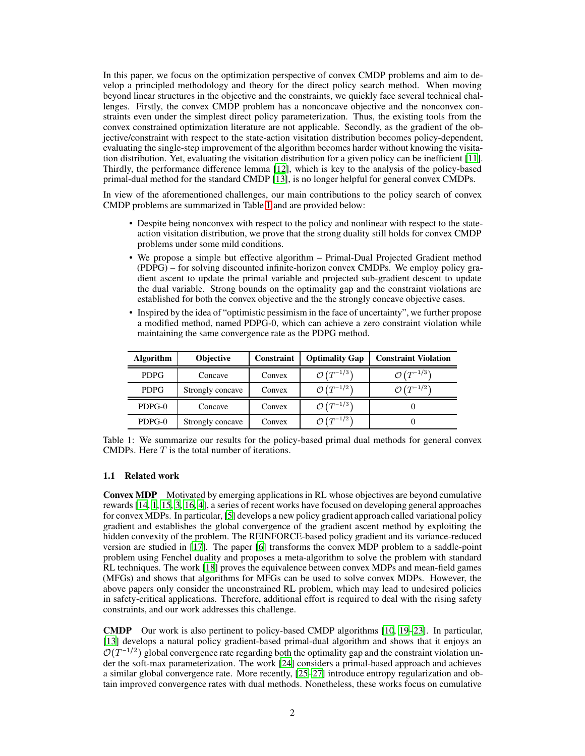In this paper, we focus on the optimization perspective of convex CMDP problems and aim to develop a principled methodology and theory for the direct policy search method. When moving beyond linear structures in the objective and the constraints, we quickly face several technical challenges. Firstly, the convex CMDP problem has a nonconcave objective and the nonconvex constraints even under the simplest direct policy parameterization. Thus, the existing tools from the convex constrained optimization literature are not applicable. Secondly, as the gradient of the objective/constraint with respect to the state-action visitation distribution becomes policy-dependent, evaluating the single-step improvement of the algorithm becomes harder without knowing the visitation distribution. Yet, evaluating the visitation distribution for a given policy can be inefficient [\[11\]](#page-9-8). Thirdly, the performance difference lemma [\[12\]](#page-9-9), which is key to the analysis of the policy-based primal-dual method for the standard CMDP [\[13\]](#page-9-10), is no longer helpful for general convex CMDPs.

In view of the aforementioned challenges, our main contributions to the policy search of convex CMDP problems are summarized in Table [1](#page-0-0) and are provided below:

- Despite being nonconvex with respect to the policy and nonlinear with respect to the stateaction visitation distribution, we prove that the strong duality still holds for convex CMDP problems under some mild conditions.
- We propose a simple but effective algorithm Primal-Dual Projected Gradient method (PDPG) – for solving discounted infinite-horizon convex CMDPs. We employ policy gradient ascent to update the primal variable and projected sub-gradient descent to update the dual variable. Strong bounds on the optimality gap and the constraint violations are established for both the convex objective and the the strongly concave objective cases.
- Inspired by the idea of "optimistic pessimism in the face of uncertainty", we further propose a modified method, named PDPG-0, which can achieve a zero constraint violation while maintaining the same convergence rate as the PDPG method.

| <b>Algorithm</b> | Objective        | Constraint | <b>Optimality Gap</b>              | <b>Constraint Violation</b>        |
|------------------|------------------|------------|------------------------------------|------------------------------------|
| <b>PDPG</b>      | Concave          | Convex     | $\mathcal{O}\left(T^{-1/3}\right)$ | $\mathcal{O}(T^{-1/3})$            |
| <b>PDPG</b>      | Strongly concave | Convex     | $\mathcal{O}\left(T^{-1/2}\right)$ | $\mathcal{O}\left(T^{-1/2}\right)$ |
| PDPG-0           | Concave          | Convex     | $\mathcal{O}\left(T^{-1/3}\right)$ |                                    |
| PDPG-0           | Strongly concave | Convex     | $\mathcal{O}\left(T^{-1/2}\right)$ |                                    |

Table 1: We summarize our results for the policy-based primal dual methods for general convex CMDPs. Here  $T$  is the total number of iterations.

# 1.1 Related work

Convex MDP Motivated by emerging applications in RL whose objectives are beyond cumulative rewards [\[14,](#page-9-11) [1](#page-8-0), [15,](#page-9-12) [3,](#page-9-0) [16](#page-9-13), [4\]](#page-9-1), a series of recent works have focused on developing general approaches for convex MDPs. In particular, [\[5](#page-9-2)] develops a new policy gradient approach called variational policy gradient and establishes the global convergence of the gradient ascent method by exploiting the hidden convexity of the problem. The REINFORCE-based policy gradient and its variance-reduced version are studied in [\[17\]](#page-9-14). The paper [\[6\]](#page-9-3) transforms the convex MDP problem to a saddle-point problem using Fenchel duality and proposes a meta-algorithm to solve the problem with standard RL techniques. The work [\[18](#page-9-15)] proves the equivalence between convex MDPs and mean-field games (MFGs) and shows that algorithms for MFGs can be used to solve convex MDPs. However, the above papers only consider the unconstrained RL problem, which may lead to undesired policies in safety-critical applications. Therefore, additional effort is required to deal with the rising safety constraints, and our work addresses this challenge.

CMDP Our work is also pertinent to policy-based CMDP algorithms [\[10,](#page-9-7) [19](#page-9-16)[–23\]](#page-10-0). In particular, [\[13](#page-9-10)] develops a natural policy gradient-based primal-dual algorithm and shows that it enjoys an  $\mathcal{O}(T^{-1/2})$  global convergence rate regarding both the optimality gap and the constraint violation under the soft-max parameterization. The work [\[24\]](#page-10-1) considers a primal-based approach and achieves a similar global convergence rate. More recently, [\[25](#page-10-2)[–27](#page-10-3)] introduce entropy regularization and obtain improved convergence rates with dual methods. Nonetheless, these works focus on cumulative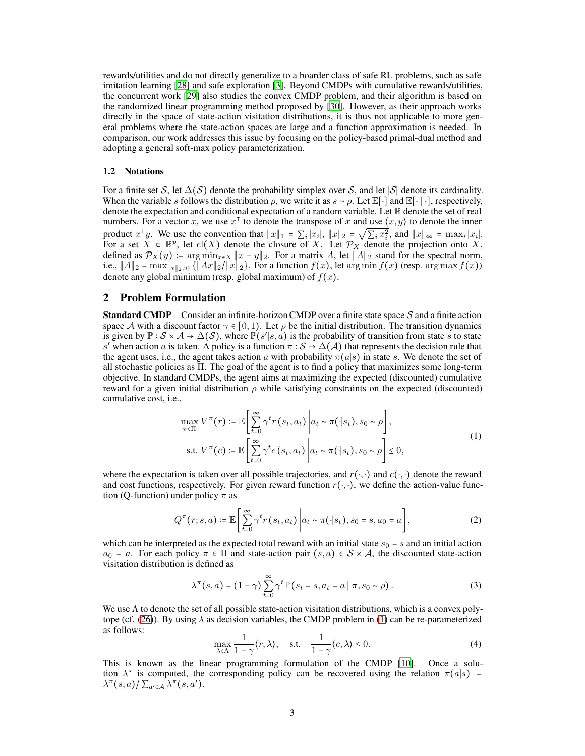rewards/utilities and do not directly generalize to a boarder class of safe RL problems, such as safe imitation learning [\[28\]](#page-10-4) and safe exploration [\[3\]](#page-9-0). Beyond CMDPs with cumulative rewards/utilities, the concurrent work [\[29\]](#page-10-5) also studies the convex CMDP problem, and their algorithm is based on the randomized linear programming method proposed by [\[30\]](#page-10-6). However, as their approach works directly in the space of state-action visitation distributions, it is thus not applicable to more general problems where the state-action spaces are large and a function approximation is needed. In comparison, our work addresses this issue by focusing on the policy-based primal-dual method and adopting a general soft-max policy parameterization.

#### 1.2 Notations

For a finite set S, let  $\Delta(S)$  denote the probability simplex over S, and let |S| denote its cardinality. When the variable s follows the distribution  $\rho$ , we write it as  $s \sim \rho$ . Let E[⋅] and E[⋅]⋅], respectively, denote the expectation and conditional expectation of a random variable. Let  $\mathbb R$  denote the set of real numbers. For a vector x, we use  $x^{\dagger}$  to denote the transpose of x and use  $\langle x, y \rangle$  to denote the inner product  $x^{\top}y$ . We use the convention that  $||x||_1 = \sum_i |x_i|$ ,  $||x||_2 = \sqrt{\sum_i x_i^2}$ , and  $||x||_{\infty} = \max_i |x_i|$ .<br>For a set  $X \subset \mathbb{R}^p$ , let cl(X) denote the closure of X. Let  $\mathcal{P}_X$  denote the projection onto X, defined as  $\mathcal{P}_X(y) := \arg \min_{x \in X} \|x - y\|_2$ . For a matrix A, let  $\|A\|_2$  stand for the spectral norm, i.e.,  $||A||_2 = \max_{||x||_2 \neq 0} \{||Ax||_2 / ||x||_2\}$ . For a function  $f(x)$ , let  $\arg \min f(x)$  (resp.  $\arg \max f(x)$ ) denote any global minimum (resp. global maximum) of  $f(x)$ .

# <span id="page-2-2"></span>2 Problem Formulation

**Standard CMDP** Consider an infinite-horizon CMDP over a finite state space  $S$  and a finite action space A with a discount factor  $\gamma \in [0, 1)$ . Let  $\rho$  be the initial distribution. The transition dynamics is given by  $\mathbb{P}: \mathcal{S} \times \mathcal{A} \to \Delta(\mathcal{S})$ , where  $\mathbb{P}(s'|s,a)$  is the probability of transition from state s to state s' when action a is taken. A policy is a function  $\pi : S \to \Delta(\mathcal{A})$  that represents the decision rule that the agent uses, i.e., the agent takes action a with probability  $\pi(a|s)$  in state s. We denote the set of all stochastic policies as Π. The goal of the agent is to find a policy that maximizes some long-term objective. In standard CMDPs, the agent aims at maximizing the expected (discounted) cumulative reward for a given initial distribution  $ρ$  while satisfying constraints on the expected (discounted) cumulative cost, i.e.,

<span id="page-2-0"></span>
$$
\max_{\pi \in \Pi} V^{\pi}(r) \coloneqq \mathbb{E}\left[\sum_{t=0}^{\infty} \gamma^{t} r(s_{t}, a_{t}) \middle| a_{t} \sim \pi(\cdot|s_{t}), s_{0} \sim \rho\right],
$$
\n
$$
\text{s.t. } V^{\pi}(c) \coloneqq \mathbb{E}\left[\sum_{t=0}^{\infty} \gamma^{t} c(s_{t}, a_{t}) \middle| a_{t} \sim \pi(\cdot|s_{t}), s_{0} \sim \rho\right] \leq 0,
$$
\n
$$
(1)
$$

where the expectation is taken over all possible trajectories, and  $r(\cdot, \cdot)$  and  $c(\cdot, \cdot)$  denote the reward and cost functions, respectively. For given reward function  $r(\cdot, \cdot)$ , we define the action-value function (Q-function) under policy  $\pi$  as

$$
Q^{\pi}(r;s,a) \coloneqq \mathbb{E}\left[\sum_{t=0}^{\infty} \gamma^t r\left(s_t, a_t\right) \middle| a_t \sim \pi(\cdot|s_t), s_0 = s, a_0 = a\right],\tag{2}
$$

which can be interpreted as the expected total reward with an initial state  $s_0 = s$  and an initial action  $a_0 = a$ . For each policy  $\pi \in \Pi$  and state-action pair  $(s, a) \in S \times A$ , the discounted state-action visitation distribution is defined as

$$
\lambda^{\pi}(s, a) = (1 - \gamma) \sum_{t=0}^{\infty} \gamma^t \mathbb{P}\left(s_t = s, a_t = a \mid \pi, s_0 \sim \rho\right). \tag{3}
$$

<span id="page-2-1"></span>We use  $\Lambda$  to denote the set of all possible state-action visitation distributions, which is a convex poly-tope (cf. [\(26\)](#page-11-0)). By using  $\lambda$  as decision variables, the CMDP problem in [\(1\)](#page-2-0) can be re-parameterized as follows:

$$
\max_{\lambda \in \Lambda} \frac{1}{1 - \gamma} \langle r, \lambda \rangle, \quad \text{s.t.} \quad \frac{1}{1 - \gamma} \langle c, \lambda \rangle \le 0. \tag{4}
$$

This is known as the linear programming formulation of the CMDP [\[10\]](#page-9-7). Once a solution  $\lambda^*$  is computed, the corresponding policy can be recovered using the relation  $\pi(a|s) =$  $\lambda^{\pi}(s,a)/\sum_{a'\in\mathcal{A}}\lambda^{\pi}(s,a').$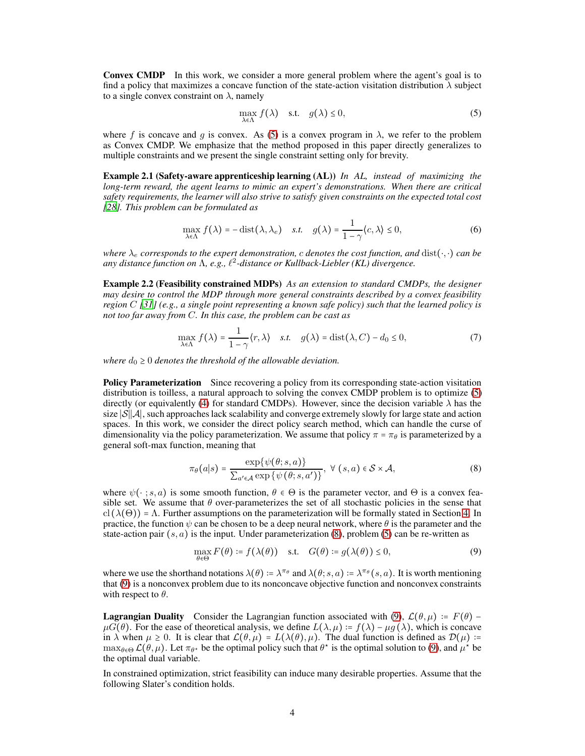Convex CMDP In this work, we consider a more general problem where the agent's goal is to find a policy that maximizes a concave function of the state-action visitation distribution  $\lambda$  subject to a single convex constraint on  $\lambda$ , namely

<span id="page-3-0"></span>
$$
\max_{\lambda \in \Lambda} f(\lambda) \quad \text{s.t.} \quad g(\lambda) \le 0,\tag{5}
$$

where f is concave and g is convex. As [\(5\)](#page-3-0) is a convex program in  $\lambda$ , we refer to the problem as Convex CMDP. We emphasize that the method proposed in this paper directly generalizes to multiple constraints and we present the single constraint setting only for brevity.

Example 2.1 (Safety-aware apprenticeship learning (AL)) *In AL, instead of maximizing the long-term reward, the agent learns to mimic an expert's demonstrations. When there are critical safety requirements, the learner will also strive to satisfy given constraints on the expected total cost [\[28\]](#page-10-4). This problem can be formulated as*

$$
\max_{\lambda \in \Lambda} f(\lambda) = -\operatorname{dist}(\lambda, \lambda_e) \quad \text{s.t.} \quad g(\lambda) = \frac{1}{1 - \gamma} \langle c, \lambda \rangle \le 0,
$$
\n<sup>(6)</sup>

*where*  $\lambda_e$  *corresponds to the expert demonstration, c denotes the cost function, and* dist(⋅,⋅) *can be any distance function on* Λ*, e.g.,* ℓ 2 *-distance or Kullback-Liebler (KL) divergence.*

Example 2.2 (Feasibility constrained MDPs) *As an extension to standard CMDPs, the designer may desire to control the MDP through more general constraints described by a convex feasibility region* C *[\[31](#page-10-7)] (e.g., a single point representing a known safe policy) such that the learned policy is not too far away from* C*. In this case, the problem can be cast as*

$$
\max_{\lambda \in \Lambda} f(\lambda) = \frac{1}{1 - \gamma} \langle r, \lambda \rangle \quad \text{s.t.} \quad g(\lambda) = \text{dist}(\lambda, C) - d_0 \le 0,\tag{7}
$$

*where*  $d_0 \geq 0$  *denotes the threshold of the allowable deviation.* 

**Policy Parameterization** Since recovering a policy from its corresponding state-action visitation distribution is toilless, a natural approach to solving the convex CMDP problem is to optimize [\(5\)](#page-3-0) directly (or equivalently [\(4\)](#page-2-1) for standard CMDPs). However, since the decision variable  $\lambda$  has the size |S||A|, such approaches lack scalability and converge extremely slowly for large state and action spaces. In this work, we consider the direct policy search method, which can handle the curse of dimensionality via the policy parameterization. We assume that policy  $\pi = \pi_{\theta}$  is parameterized by a general soft-max function, meaning that

<span id="page-3-1"></span>
$$
\pi_{\theta}(a|s) = \frac{\exp\{\psi(\theta;s,a)\}}{\sum_{a' \in \mathcal{A}} \exp\{\psi(\theta;s,a')\}}, \ \forall \ (s,a) \in \mathcal{S} \times \mathcal{A},
$$
\n(8)

where  $\psi(\cdot; s, a)$  is some smooth function,  $\theta \in \Theta$  is the parameter vector, and  $\Theta$  is a convex feasible set. We assume that  $\theta$  over-parameterizes the set of all stochastic policies in the sense that cl ( $\lambda(\Theta)$ ) =  $\Lambda$ . Further assumptions on the parameterization will be formally stated in Section [4.](#page-5-0) In practice, the function  $\psi$  can be chosen to be a deep neural network, where  $\theta$  is the parameter and the state-action pair  $(s, a)$  is the input. Under parameterization  $(8)$ , problem  $(5)$  can be re-written as

<span id="page-3-2"></span>
$$
\max_{\theta \in \Theta} F(\theta) \coloneqq f(\lambda(\theta)) \quad \text{s.t.} \quad G(\theta) \coloneqq g(\lambda(\theta)) \le 0,\tag{9}
$$

where we use the shorthand notations  $\lambda(\theta) = \lambda^{\pi_{\theta}}$  and  $\lambda(\theta; s, a) = \lambda^{\pi_{\theta}}(s, a)$ . It is worth mentioning that [\(9\)](#page-3-2) is a nonconvex problem due to its nonconcave objective function and nonconvex constraints with respect to  $\theta$ .

**Lagrangian Duality** Consider the Lagrangian function associated with [\(9\)](#page-3-2),  $\mathcal{L}(\theta, \mu) := F(\theta) \mu G(\theta)$ . For the ease of theoretical analysis, we define  $L(\lambda, \mu) = f(\lambda) - \mu g(\lambda)$ , which is concave in  $\lambda$  when  $\mu \ge 0$ . It is clear that  $\mathcal{L}(\theta, \mu) = L(\lambda(\theta), \mu)$ . The dual function is defined as  $\mathcal{D}(\mu)$  :=  $\max_{\theta \in \Theta} \mathcal{L}(\theta, \mu)$ . Let  $\pi_{\theta^*}$  be the optimal policy such that  $\theta^*$  is the optimal solution to [\(9\)](#page-3-2), and  $\mu^*$  be the optimal dual variable.

<span id="page-3-3"></span>In constrained optimization, strict feasibility can induce many desirable properties. Assume that the following Slater's condition holds.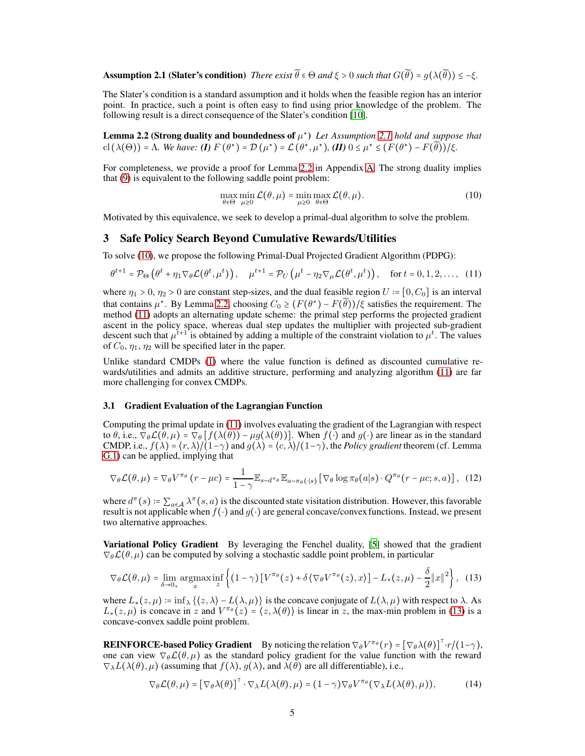**Assumption 2.1 (Slater's condition)** *There exist*  $\widetilde{\theta} \in \Theta$  *and*  $\xi > 0$  *such that*  $G(\widetilde{\theta}) = q(\lambda(\widetilde{\theta})) \leq -\xi$ *.* 

The Slater's condition is a standard assumption and it holds when the feasible region has an interior point. In practice, such a point is often easy to find using prior knowledge of the problem. The following result is a direct consequence of the Slater's condition [\[10\]](#page-9-7).

<span id="page-4-0"></span>**Lemma 2.2 (Strong duality and boundedness of**  $\mu^*$ **)** Let Assumption [2.1](#page-3-3) hold and suppose that cl  $(\lambda(\Theta)) = \Lambda$ . We have: **(I)**  $F(\theta^*) = D(\mu^*) = L(\theta^*, \mu^*)$ , **(II)**  $0 \le \mu^* \le (F(\theta^*) - F(\widetilde{\theta})) / \xi$ .

For completeness, we provide a proof for Lemma [2.2](#page-4-0) in Appendix [A.](#page-11-1) The strong duality implies that [\(9\)](#page-3-2) is equivalent to the following saddle point problem:

<span id="page-4-2"></span><span id="page-4-1"></span>
$$
\max_{\theta \in \Theta} \min_{\mu \ge 0} \mathcal{L}(\theta, \mu) = \min_{\mu \ge 0} \max_{\theta \in \Theta} \mathcal{L}(\theta, \mu).
$$
 (10)

<span id="page-4-4"></span>Motivated by this equivalence, we seek to develop a primal-dual algorithm to solve the problem.

# 3 Safe Policy Search Beyond Cumulative Rewards/Utilities

To solve [\(10\)](#page-4-1), we propose the following Primal-Dual Projected Gradient Algorithm (PDPG):

$$
\theta^{t+1} = \mathcal{P}_{\Theta}\left(\theta^t + \eta_1 \nabla_{\theta} \mathcal{L}(\theta^t, \mu^t)\right), \quad \mu^{t+1} = \mathcal{P}_U\left(\mu^t - \eta_2 \nabla_{\mu} \mathcal{L}(\theta^t, \mu^t)\right), \quad \text{for } t = 0, 1, 2, \dots, (11)
$$

where  $\eta_1 > 0$ ,  $\eta_2 > 0$  are constant step-sizes, and the dual feasible region  $U = [0, C_0]$  is an interval that contains  $\mu^*$ . By Lemma [2.2,](#page-4-0) choosing  $C_0 \ge (F(\theta^*) - F(\tilde{\theta}))/\xi$  satisfies the requirement. The method [\(11\)](#page-4-2) adopts an alternating update scheme: the primal step performs the projected gradient ascent in the policy space, whereas dual step updates the multiplier with projected sub-gradient descent such that  $\mu^{t+1}$  is obtained by adding a multiple of the constraint violation to  $\mu^t$ . The values of  $C_0$ ,  $\eta_1$ ,  $\eta_2$  will be specified later in the paper.

Unlike standard CMDPs [\(1\)](#page-2-0) where the value function is defined as discounted cumulative rewards/utilities and admits an additive structure, performing and analyzing algorithm [\(11\)](#page-4-2) are far more challenging for convex CMDPs.

#### 3.1 Gradient Evaluation of the Lagrangian Function

Computing the primal update in [\(11\)](#page-4-2) involves evaluating the gradient of the Lagrangian with respect to  $\theta$ , i.e.,  $\nabla_{\theta} \mathcal{L}(\theta, \mu) = \nabla_{\theta} [f(\lambda(\theta)) - \mu g(\lambda(\theta))]$ . When  $f(\cdot)$  and  $g(\cdot)$  are linear as in the standard CMDP, i.e.,  $f(\lambda) = \langle r, \lambda \rangle / (1 - \gamma)$  and  $g(\lambda) = \langle c, \lambda \rangle / (1 - \gamma)$ , the *Policy gradient* theorem (cf. Lemma [G.1\)](#page-29-0) can be applied, implying that

$$
\nabla_{\theta} \mathcal{L}(\theta, \mu) = \nabla_{\theta} V^{\pi_{\theta}}(r - \mu c) = \frac{1}{1 - \gamma} \mathbb{E}_{s \sim d^{\pi_{\theta}}} \mathbb{E}_{a \sim \pi_{\theta}(\cdot | s)} [\nabla_{\theta} \log \pi_{\theta}(a | s) \cdot Q^{\pi_{\theta}}(r - \mu c; s, a)], \quad (12)
$$

where  $d^{\pi}(s) := \sum_{a \in A} \lambda^{\pi}(s, a)$  is the discounted state visitation distribution. However, this favorable result is not applicable when  $f(\cdot)$  and  $g(\cdot)$  are general concave/convex functions. Instead, we present two alternative approaches.

Variational Policy Gradient By leveraging the Fenchel duality, [\[5](#page-9-2)] showed that the gradient  $\nabla_{\theta} \mathcal{L}(\theta, \mu)$  can be computed by solving a stochastic saddle point problem, in particular

$$
\nabla_{\theta} \mathcal{L}(\theta, \mu) = \lim_{\delta \to 0_{+}} \underset{x}{\operatorname{argmax}} \inf_{z} \left\{ (1 - \gamma) \left[ V^{\pi_{\theta}}(z) + \delta \left\langle \nabla_{\theta} V^{\pi_{\theta}}(z), x \right\rangle \right] - L_{*}(z, \mu) - \frac{\delta}{2} \|x\|^{2} \right\}, \tag{13}
$$

where  $L_*(z,\mu) := \inf_{\lambda} \{ \langle z, \lambda \rangle - L(\lambda, \mu) \}$  is the concave conjugate of  $L(\lambda, \mu)$  with respect to  $\lambda$ . As  $L_*(z, \mu)$  is concave in z and  $V^{\pi_\theta}(z) = (z, \lambda(\theta))$  is linear in z, the max-min problem in [\(13\)](#page-4-3) is a concave-convex saddle point problem.

**REINFORCE-based Policy Gradient** By noticing the relation  $\nabla_{\theta} V^{\pi_{\theta}}(r) = [\nabla_{\theta} \lambda(\theta)]^{\top} \cdot r/(1-\gamma)$ , one can view  $\nabla_{\theta} \mathcal{L}(\theta, \mu)$  as the standard policy gradient for the value function with the reward  $\nabla_{\lambda}L(\lambda(\theta), \mu)$  (assuming that  $f(\lambda), g(\lambda)$ , and  $\lambda(\theta)$  are all differentiable), i.e.,

<span id="page-4-3"></span>
$$
\nabla_{\theta} \mathcal{L}(\theta, \mu) = [\nabla_{\theta} \lambda(\theta)]^{\top} \cdot \nabla_{\lambda} L(\lambda(\theta), \mu) = (1 - \gamma) \nabla_{\theta} V^{\pi_{\theta}} (\nabla_{\lambda} L(\lambda(\theta), \mu)), \tag{14}
$$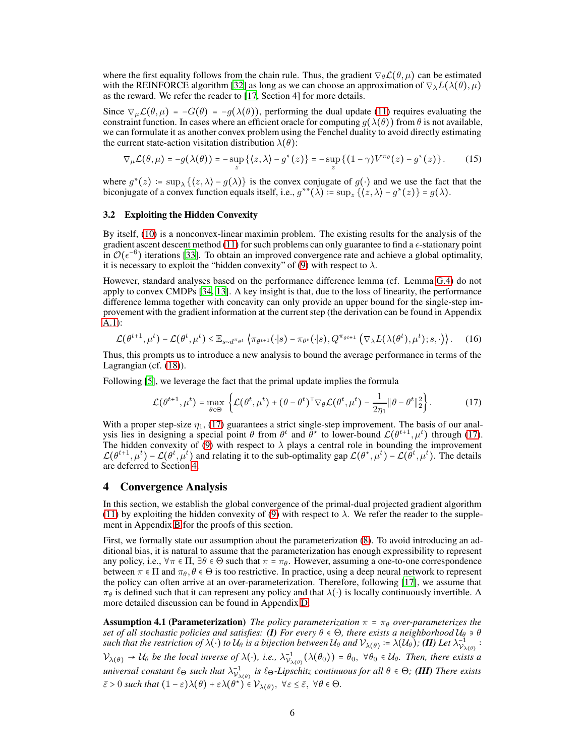where the first equality follows from the chain rule. Thus, the gradient  $\nabla_{\theta} \mathcal{L}(\theta, \mu)$  can be estimated with the REINFORCE algorithm [\[32\]](#page-10-8) as long as we can choose an approximation of  $\nabla_{\lambda} L(\lambda(\theta), \mu)$ as the reward. We refer the reader to [\[17,](#page-9-14) Section 4] for more details.

Since  $\nabla_{\mu} \mathcal{L}(\theta, \mu) = -G(\theta) = -g(\lambda(\theta))$ , performing the dual update [\(11\)](#page-4-2) requires evaluating the constraint function. In cases where an efficient oracle for computing  $g(\lambda(\theta))$  from  $\theta$  is not available, we can formulate it as another convex problem using the Fenchel duality to avoid directly estimating the current state-action visitation distribution  $\lambda(\theta)$ :

$$
\nabla_{\mu} \mathcal{L}(\theta, \mu) = -g(\lambda(\theta)) = -\sup_{z} \left\{ \left( z, \lambda \right) - g^*(z) \right\} = -\sup_{z} \left\{ \left( 1 - \gamma \right) V^{\pi_{\theta}}(z) - g^*(z) \right\}.
$$
 (15)

where  $g^*(z) := \sup_{\lambda} \{ \langle z, \lambda \rangle - g(\lambda) \}$  is the convex conjugate of  $g(\cdot)$  and we use the fact that the biconjugate of a convex function equals itself, i.e.,  $g^{**}(\lambda) = \sup_z {\{\langle z, \lambda \rangle - g^*(z)\}} = g(\lambda)$ .

# <span id="page-5-3"></span>3.2 Exploiting the Hidden Convexity

By itself, [\(10\)](#page-4-1) is a nonconvex-linear maximin problem. The existing results for the analysis of the gradient ascent descent method  $(11)$  for such problems can only guarantee to find a  $\epsilon$ -stationary point  $\mathcal{O}(\epsilon^{-6})$  iterations [\[33\]](#page-10-9). To obtain an improved convergence rate and achieve a global optimality, it is necessary to exploit the "hidden convexity" of [\(9\)](#page-3-2) with respect to  $\lambda$ .

However, standard analyses based on the performance difference lemma (cf. Lemma [G.4\)](#page-29-1) do not apply to convex CMDPs [\[34,](#page-10-10) [13\]](#page-9-10). A key insight is that, due to the loss of linearity, the performance difference lemma together with concavity can only provide an upper bound for the single-step improvement with the gradient information at the current step (the derivation can be found in Appendix [A.1\)](#page-11-2):

<span id="page-5-4"></span>
$$
\mathcal{L}(\theta^{t+1}, \mu^t) - \mathcal{L}(\theta^t, \mu^t) \leq \mathbb{E}_{s \sim d^{\pi_{\theta^t}}} \left\langle \pi_{\theta^{t+1}}(\cdot|s) - \pi_{\theta^t}(\cdot|s), Q^{\pi_{\theta^{t+1}}} \left( \nabla_{\lambda} L(\lambda(\theta^t), \mu^t); s, \cdot \right) \right\rangle. \tag{16}
$$

Thus, this prompts us to introduce a new analysis to bound the average performance in terms of the Lagrangian (cf. [\(18\)](#page-6-0)).

Following [\[5](#page-9-2)], we leverage the fact that the primal update implies the formula

<span id="page-5-1"></span>
$$
\mathcal{L}(\theta^{t+1}, \mu^t) = \max_{\theta \in \Theta} \left\{ \mathcal{L}(\theta^t, \mu^t) + (\theta - \theta^t)^{\top} \nabla_{\theta} \mathcal{L}(\theta^t, \mu^t) - \frac{1}{2\eta_1} \|\theta - \theta^t\|_2^2 \right\}.
$$
 (17)

With a proper step-size  $\eta_1$ , [\(17\)](#page-5-1) guarantees a strict single-step improvement. The basis of our analysis lies in designing a special point  $\theta$  from  $\theta^t$  and  $\theta^*$  to lower-bound  $\mathcal{L}(\theta^{t+1}, \mu^t)$  through [\(17\)](#page-5-1). The hidden convexity of [\(9\)](#page-3-2) with respect to  $\lambda$  plays a central role in bounding the improvement  $\mathcal{L}(\theta^{t+1}, \mu^t) - \mathcal{L}(\theta^t, \mu^t)$  and relating it to the sub-optimality gap  $\mathcal{L}(\theta^*, \mu^t) - \mathcal{L}(\theta^t, \mu^t)$ . The details are deferred to Section [4.](#page-5-0)

## <span id="page-5-0"></span>4 Convergence Analysis

In this section, we establish the global convergence of the primal-dual projected gradient algorithm [\(11\)](#page-4-2) by exploiting the hidden convexity of [\(9\)](#page-3-2) with respect to  $\lambda$ . We refer the reader to the supplement in Appendix [B](#page-12-0) for the proofs of this section.

First, we formally state our assumption about the parameterization [\(8\)](#page-3-1). To avoid introducing an additional bias, it is natural to assume that the parameterization has enough expressibility to represent any policy, i.e.,  $\forall \pi \in \Pi$ ,  $\exists \theta \in \Theta$  such that  $\pi = \pi_{\theta}$ . However, assuming a one-to-one correspondence between  $\pi \in \Pi$  and  $\pi_{\theta}$ ,  $\theta \in \Theta$  is too restrictive. In practice, using a deep neural network to represent the policy can often arrive at an over-parameterization. Therefore, following [\[17](#page-9-14)], we assume that  $\pi_{\theta}$  is defined such that it can represent any policy and that  $\lambda(\cdot)$  is locally continuously invertible. A more detailed discussion can be found in Appendix [D.](#page-21-0)

<span id="page-5-2"></span>**Assumption 4.1 (Parameterization)** *The policy parameterization*  $\pi = \pi_{\theta}$  *over-parameterizes the set of all stochastic policies and satisfies:* **(I)** *For every*  $\theta \in \Theta$ *, there exists a neighborhood*  $U_{\theta} \ni \theta$  $s$ uch that the restriction of  $\lambda(\cdot)$  to  $\mathcal{U}_{\theta}$  is a bijection between  $\mathcal{U}_{\theta}$  and  $\mathcal{V}_{\lambda(\theta)}\coloneqq\lambda(\mathcal{U}_{\theta})$ ; (**II**) Let  $\lambda^{-1}_{\mathcal{V}_{\lambda}}$  $\bar{\mathcal{V}}_{\lambda(\theta)}^{-1}$  :  $\mathcal{V}_{\lambda(\theta)} \to \mathcal{U}_{\theta}$  be the local inverse of  $\lambda(\cdot)$ , i.e.,  $\lambda_{\mathcal{V}_{\lambda}}^{-1}$  $\bigcup_{\lambda(\theta)}^{-1} (\lambda(\theta_0)) = \theta_0, \ \forall \theta_0 \in \mathcal{U}_{\theta}$ . Then, there exists a *universal constant*  $\ell_{\Theta}$  *such that*  $\lambda_{\mathcal{V}_{\lambda}}^{-1}$ Vλ(θ) *is* ℓΘ*-Lipschitz continuous for all* θ ∈ Θ*; (III) There exists*  $\bar{\varepsilon} > 0$  such that  $(1 - \varepsilon)\lambda(\theta) + \varepsilon\lambda(\theta^*) \in \mathcal{V}_{\lambda(\theta)}, \ \forall \varepsilon \leq \bar{\varepsilon}, \ \forall \theta \in \Theta.$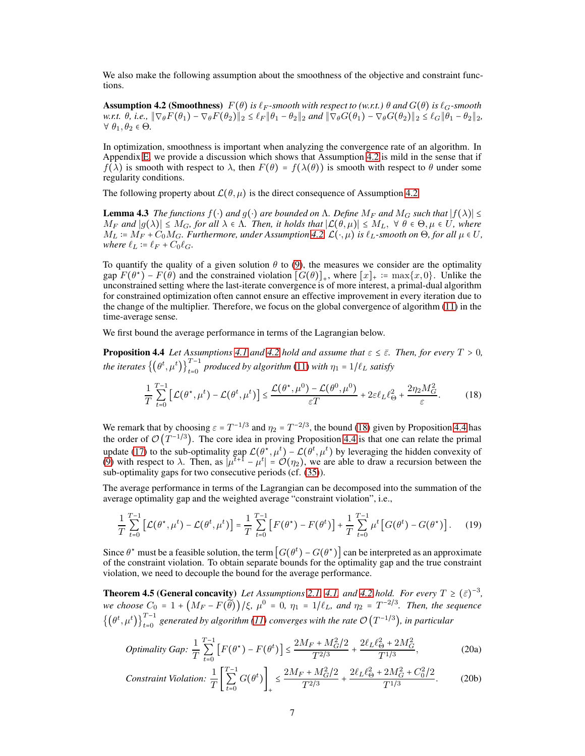<span id="page-6-1"></span>We also make the following assumption about the smoothness of the objective and constraint functions.

**Assumption 4.2 (Smoothness)**  $F(\theta)$  *is*  $\ell_F$ -smooth with respect to (w.r.t.)  $\theta$  and  $G(\theta)$  *is*  $\ell_G$ -smooth *w.r.t.*  $\theta$ , *i.e.*,  $\|\nabla_{\theta}F(\theta_1) - \nabla_{\theta}F(\theta_2)\|_2 \leq \ell_F \|\theta_1 - \theta_2\|_2$  *and*  $\|\nabla_{\theta}G(\theta_1) - \nabla_{\theta}G(\theta_2)\|_2 \leq \ell_G \|\theta_1 - \theta_2\|_2$ ,  $\forall \theta_1, \theta_2 \in \Theta$ .

In optimization, smoothness is important when analyzing the convergence rate of an algorithm. In Appendix [E,](#page-22-0) we provide a discussion which shows that Assumption [4.2](#page-6-1) is mild in the sense that if  $f(\lambda)$  is smooth with respect to  $\lambda$ , then  $F(\theta) = f(\lambda(\theta))$  is smooth with respect to  $\theta$  under some regularity conditions.

The following property about  $\mathcal{L}(\theta, \mu)$  is the direct consequence of Assumption [4.2.](#page-6-1)

<span id="page-6-4"></span>**Lemma 4.3** *The functions*  $f(\cdot)$  *and*  $g(\cdot)$  *are bounded on*  $\Lambda$ *. Define*  $M_F$  *and*  $M_G$  *such that*  $|f(\lambda)| \le$  $M_F$  and  $|g(\lambda)| \leq M_G$ , for all  $\lambda \in \Lambda$ . Then, it holds that  $|\mathcal{L}(\theta,\mu)| \leq M_L$ ,  $\forall \theta \in \Theta, \mu \in U$ , where  $M_L := M_F + C_0 M_G$ *. Furthermore, under Assumption [4.2,](#page-6-1)*  $\mathcal{L}(\cdot, \mu)$  *is*  $\ell_L$ -smooth on  $\Theta$ *, for all*  $\mu \in U$ *, where*  $\ell_L := \ell_F + C_0 \ell_G$ .

To quantify the quality of a given solution  $\theta$  to [\(9\)](#page-3-2), the measures we consider are the optimality  $\operatorname{gap} F(\theta^*) - F(\theta)$  and the constrained violation  $[G(\theta)]_+$ , where  $[x]_+ := \max\{x, 0\}$ . Unlike the unconstrained setting where the last-iterate convergence is of more interest, a primal-dual algorithm for constrained optimization often cannot ensure an effective improvement in every iteration due to the change of the multiplier. Therefore, we focus on the global convergence of algorithm [\(11\)](#page-4-2) in the time-average sense.

We first bound the average performance in terms of the Lagrangian below.

**Proposition 4.4** *Let Assumptions* [4.1](#page-5-2) *and* [4.2](#page-6-1) *hold and assume that*  $\varepsilon \leq \bar{\varepsilon}$ *. Then, for every*  $T > 0$ *, the iterates*  $\left\{(\theta^t, \mu^t)\right\}_{t=0}^{T-1}$  *produced by algorithm* [\(11\)](#page-4-2) *with*  $\eta_1 = 1/\ell_L$  *satisfy* 

<span id="page-6-2"></span><span id="page-6-0"></span>
$$
\frac{1}{T} \sum_{t=0}^{T-1} \left[ \mathcal{L}(\theta^{\star}, \mu^{t}) - \mathcal{L}(\theta^{t}, \mu^{t}) \right] \le \frac{\mathcal{L}(\theta^{\star}, \mu^{0}) - \mathcal{L}(\theta^{0}, \mu^{0})}{\varepsilon T} + 2\varepsilon \ell_{L} \ell_{\Theta}^{2} + \frac{2\eta_{2} M_{G}^{2}}{\varepsilon}.
$$
 (18)

We remark that by choosing  $\varepsilon = T^{-1/3}$  and  $\eta_2 = T^{-2/3}$ , the bound [\(18\)](#page-6-0) given by Proposition [4.4](#page-6-2) has the order of  $\mathcal{O}(T^{-1/3})$ . The core idea in proving Proposition [4.4](#page-6-2) is that one can relate the primal update [\(17\)](#page-5-1) to the sub-optimality gap  $\mathcal{L}(\theta^*, \mu^t) - \mathcal{L}(\theta^t, \mu^t)$  by leveraging the hidden convexity of [\(9\)](#page-3-2) with respect to  $\lambda$ . Then, as  $|\mu^{t+1} - \mu^t| = O(\eta_2)$ , we are able to draw a recursion between the sub-optimality gaps for two consecutive periods (cf. [\(35\)](#page-13-0)).

The average performance in terms of the Lagrangian can be decomposed into the summation of the average optimality gap and the weighted average "constraint violation", i.e.,

$$
\frac{1}{T} \sum_{t=0}^{T-1} \left[ \mathcal{L}(\theta^*, \mu^t) - \mathcal{L}(\theta^t, \mu^t) \right] = \frac{1}{T} \sum_{t=0}^{T-1} \left[ F(\theta^*) - F(\theta^t) \right] + \frac{1}{T} \sum_{t=0}^{T-1} \mu^t \left[ G(\theta^t) - G(\theta^*) \right]. \tag{19}
$$

Since  $\theta^*$  must be a feasible solution, the term  $[G(\theta^*) - G(\theta^*)]$  can be interpreted as an approximate of the constraint violation. To obtain separate bounds for the optimality gap and the true constraint violation, we need to decouple the bound for the average performance.

**Theorem 4.5 (General concavity)** *Let Assumptions* [2.1,](#page-3-3) [4.1,](#page-5-2) and [4.2](#page-6-1) hold. For every  $T \geq (\bar{\varepsilon})^{-3}$ , *we choose*  $C_0 = 1 + (M_F - F(\tilde{\theta})) / \xi$ ,  $\mu^0 = 0$ ,  $\eta_1 = 1/\ell_L$ , and  $\eta_2 = T^{-2/3}$ . Then, the sequence  $\{(\theta^t, \mu^t)\}_{t=0}^{T-1}$  generated by algorithm [\(11\)](#page-4-2) converges with the rate  $\mathcal{O}(T^{-1/3})$ , in particular

<span id="page-6-3"></span>Optimality Gap: 
$$
\frac{1}{T} \sum_{t=0}^{T-1} \left[ F(\theta^*) - F(\theta^t) \right] \le \frac{2M_F + M_G^2/2}{T^{2/3}} + \frac{2\ell_L \ell_{\Theta}^2 + 2M_G^2}{T^{1/3}},
$$
 (20a)

$$
Construction: \frac{1}{T} \left[ \sum_{t=0}^{T-1} G(\theta^t) \right]_+ \le \frac{2M_F + M_G^2/2}{T^{2/3}} + \frac{2\ell_L \ell_\Theta^2 + 2M_G^2 + C_0^2/2}{T^{1/3}}.
$$
 (20b)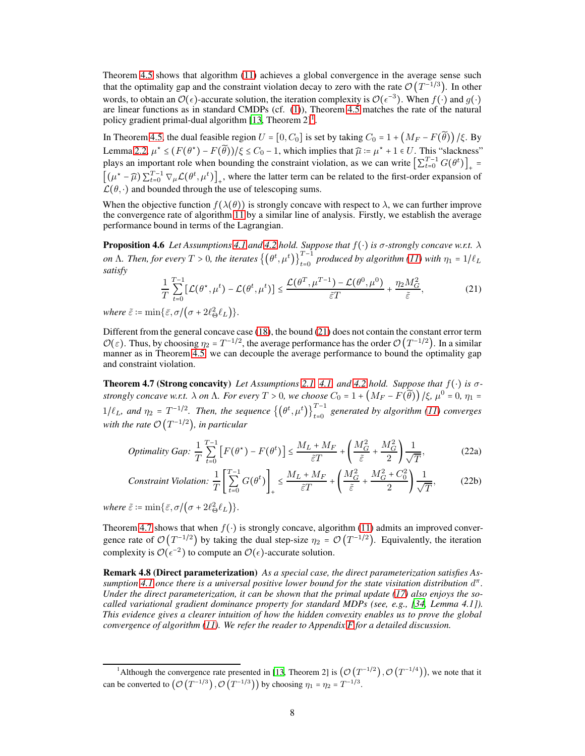Theorem [4.5](#page-6-3) shows that algorithm [\(11\)](#page-4-2) achieves a global convergence in the average sense such that the optimality gap and the constraint violation decay to zero with the rate  $\mathcal{O}(T^{-1/3})$ . In other words, to obtain an  $\mathcal{O}(\epsilon)$ -accurate solution, the iteration complexity is  $\mathcal{O}(\epsilon^{-3})$ . When  $f(.)$  and  $g(.)$ are linear functions as in standard CMDPs (cf. [\(1\)](#page-2-0)), Theorem [4.5](#page-6-3) matches the rate of the natural policy gradient primal-dual algorithm [\[13,](#page-9-10) Theorem  $2$ ]<sup>1</sup>.

In Theorem [4.5,](#page-6-3) the dual feasible region  $U = [0, C_0]$  is set by taking  $C_0 = 1 + (M_F - F(\tilde{\theta}))$  /ξ. By Lemma [2.2,](#page-4-0)  $\mu^* \leq (F(\theta^*) - F(\tilde{\theta})) / \xi \leq C_0 - 1$ , which implies that  $\hat{\mu} = \mu^* + 1 \in U$ . This "slackness" plays an important role when bounding the constraint violation, as we can write  $\left[\sum_{t=0}^{T-1} G(\theta^t)\right]_+$  =  $[(\mu^* - \widehat{\mu}) \sum_{t=0}^{T-1} \nabla_{\mu} \mathcal{L}(\theta^t, \mu^t)]_+$ , where the latter term can be related to the first-order expansion of  $\mathcal{L}(\theta, \cdot)$  and bounded through the use of telescoping sums.

When the objective function  $f(\lambda(\theta))$  is strongly concave with respect to  $\lambda$ , we can further improve the convergence rate of algorithm [11](#page-4-2) by a similar line of analysis. Firstly, we establish the average performance bound in terms of the Lagrangian.

Proposition 4.6 *Let Assumptions [4.1](#page-5-2) and [4.2](#page-6-1) hold. Suppose that* f(⋅) *is* σ*-strongly concave w.r.t.* λ *on*  $\Lambda$ *. Then, for every*  $T > 0$ *, the iterates*  $\left\{(\theta^t, \mu^t)\right\}_{t=0}^{T-1}$  *produced by algorithm* [\(11\)](#page-4-2) *with*  $\eta_1 = 1/\ell_L$ *satisfy*

<span id="page-7-4"></span><span id="page-7-1"></span><span id="page-7-0"></span>
$$
\frac{1}{T} \sum_{t=0}^{T-1} \left[ \mathcal{L}(\theta^{\star}, \mu^{t}) - \mathcal{L}(\theta^{t}, \mu^{t}) \right] \le \frac{\mathcal{L}(\theta^{T}, \mu^{T-1}) - \mathcal{L}(\theta^{0}, \mu^{0})}{\tilde{\varepsilon}T} + \frac{\eta_{2} M_{G}^{2}}{\tilde{\varepsilon}},
$$
(21)

*where*  $\tilde{\varepsilon}$  :=  $\min{\{\bar{\varepsilon}, \sigma/(\sigma + 2\ell_{\Theta}^2 \ell_L)\}}.$ 

Different from the general concave case [\(18\)](#page-6-0), the bound [\(21\)](#page-7-0) does not contain the constant error term  $\mathcal{O}(\varepsilon)$ . Thus, by choosing  $\eta_2 = T^{-1/2}$ , the average performance has the order  $\mathcal{O}(T^{-1/2})$ . In a similar manner as in Theorem [4.5,](#page-6-3) we can decouple the average performance to bound the optimality gap and constraint violation.

Theorem 4.7 (Strong concavity) *Let Assumptions [2.1,](#page-3-3) [4.1,](#page-5-2) and [4.2](#page-6-1) hold. Suppose that* f(⋅) *is* σ*strongly concave w.r.t.*  $\lambda$  *on*  $\Lambda$ *. For every*  $T > 0$ *, we choose*  $C_0 = 1 + (M_F - F(\widetilde{\theta})) / \xi$ *,*  $\mu^0 = 0$ *,*  $\eta_1 =$  $1/\ell_L$ , and  $\eta_2 = T^{-1/2}$ . Then, the sequence  $\{(\theta^t, \mu^t)\}_{t=0}^{T-1}$  generated by algorithm [\(11\)](#page-4-2) converges *with the rate* O (T −1/2 )*, in particular*

<span id="page-7-3"></span><span id="page-7-2"></span>
$$
Optimality Gap: \frac{1}{T}\sum_{t=0}^{T-1}\left[F(\theta^*) - F(\theta^t)\right] \le \frac{M_L + M_F}{\tilde{\varepsilon}T} + \left(\frac{M_G^2}{\tilde{\varepsilon}} + \frac{M_G^2}{2}\right)\frac{1}{\sqrt{T}},\tag{22a}
$$

$$
Construction: \frac{1}{T} \left[ \sum_{t=0}^{T-1} G(\theta^t) \right]_+ \le \frac{M_L + M_F}{\tilde{\varepsilon}T} + \left( \frac{M_G^2}{\tilde{\varepsilon}} + \frac{M_G^2 + C_0^2}{2} \right) \frac{1}{\sqrt{T}},\tag{22b}
$$

*where*  $\tilde{\varepsilon}$  :=  $\min{\{\bar{\varepsilon}, \sigma /(\sigma + 2\ell_{\Theta}^2 \ell_L)\}}.$ 

Theorem [4.7](#page-7-1) shows that when  $f(\cdot)$  is strongly concave, algorithm [\(11\)](#page-4-2) admits an improved convergence rate of  $\mathcal{O}(T^{-1/2})$  by taking the dual step-size  $\eta_2 = \mathcal{O}(T^{-1/2})$ . Equivalently, the iteration complexity is  $\mathcal{O}(\epsilon^{-2})$  to compute an  $\mathcal{O}(\epsilon)$ -accurate solution.

Remark 4.8 (Direct parameterization) *As a special case, the direct parameterization satisfies Assumption [4.1](#page-5-2) once there is a universal positive lower bound for the state visitation distribution* d π *. Under the direct parameterization, it can be shown that the primal update [\(17\)](#page-5-1) also enjoys the so-called variational gradient dominance property for standard MDPs (see, e.g., [\[34,](#page-10-10) Lemma 4.1]). This evidence gives a clearer intuition of how the hidden convexity enables us to prove the global convergence of algorithm [\(11\)](#page-4-2). We refer the reader to Appendix [F](#page-25-0) for a detailed discussion.*

<sup>&</sup>lt;sup>1</sup>Although the convergence rate presented in [\[13](#page-9-10), Theorem 2] is  $(\mathcal{O}(T^{-1/2}), \mathcal{O}(T^{-1/4}))$ , we note that it can be converted to  $\left(\mathcal{O}\left(T^{-1/3}\right), \mathcal{O}\left(T^{-1/3}\right)\right)$  by choosing  $\eta_1 = \eta_2 = T^{-1/3}$ .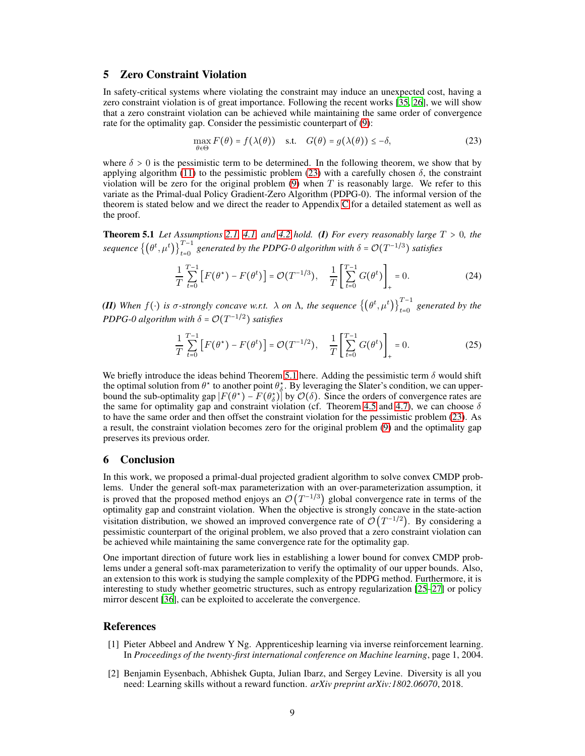# <span id="page-8-4"></span>5 Zero Constraint Violation

In safety-critical systems where violating the constraint may induce an unexpected cost, having a zero constraint violation is of great importance. Following the recent works [\[35,](#page-10-11) [26\]](#page-10-12), we will show that a zero constraint violation can be achieved while maintaining the same order of convergence rate for the optimality gap. Consider the pessimistic counterpart of [\(9\)](#page-3-2):

<span id="page-8-2"></span>
$$
\max_{\theta \in \Theta} F(\theta) = f(\lambda(\theta)) \quad \text{s.t.} \quad G(\theta) = g(\lambda(\theta)) \le -\delta,
$$
\n(23)

where  $\delta > 0$  is the pessimistic term to be determined. In the following theorem, we show that by applying algorithm [\(11\)](#page-4-2) to the pessimistic problem [\(23\)](#page-8-2) with a carefully chosen  $\delta$ , the constraint violation will be zero for the original problem  $(9)$  when T is reasonably large. We refer to this variate as the Primal-dual Policy Gradient-Zero Algorithm (PDPG-0). The informal version of the theorem is stated below and we direct the reader to Appendix [C](#page-18-0) for a detailed statement as well as the proof.

<span id="page-8-3"></span>**Theorem 5.1** Let Assumptions [2.1,](#page-3-3) [4.1,](#page-5-2) and [4.2](#page-6-1) hold. (I) For every reasonably large  $T > 0$ , the *sequence*  $\{(\theta^t, \mu^t)\}_{t=0}^{T-1}$  *generated by the PDPG-0 algorithm with*  $\delta = \mathcal{O}(T^{-1/3})$  *satisfies* 

$$
\frac{1}{T} \sum_{t=0}^{T-1} \left[ F(\theta^*) - F(\theta^t) \right] = \mathcal{O}(T^{-1/3}), \quad \frac{1}{T} \left[ \sum_{t=0}^{T-1} G(\theta^t) \right]_+ = 0. \tag{24}
$$

*(II)* When  $f(\cdot)$  is  $\sigma$ -strongly concave w.r.t.  $\lambda$  on  $\Lambda$ , the sequence  $\{(\theta^t, \mu^t)\}_{t=0}^{T-1}$  generated by the *PDPG-0 algorithm with*  $\delta = \mathcal{O}(T^{-1/2})$  *satisfies* 

$$
\frac{1}{T} \sum_{t=0}^{T-1} \left[ F(\theta^*) - F(\theta^t) \right] = \mathcal{O}(T^{-1/2}), \quad \frac{1}{T} \left[ \sum_{t=0}^{T-1} G(\theta^t) \right]_+ = 0. \tag{25}
$$

We briefly introduce the ideas behind Theorem [5.1](#page-8-3) here. Adding the pessimistic term  $\delta$  would shift the optimal solution from  $\theta^*$  to another point  $\theta^*_{\delta}$ . By leveraging the Slater's condition, we can upperbound the sub-optimality gap  $|F(\theta^*) - F(\theta^*)|$  by  $\mathcal{O}(\delta)$ . Since the orders of convergence rates are the same for optimality gap and constraint violation (cf. Theorem [4.5](#page-6-3) and [4.7\)](#page-7-1), we can choose  $\delta$ to have the same order and then offset the constraint violation for the pessimistic problem [\(23\)](#page-8-2). As a result, the constraint violation becomes zero for the original problem [\(9\)](#page-3-2) and the optimality gap preserves its previous order.

# 6 Conclusion

In this work, we proposed a primal-dual projected gradient algorithm to solve convex CMDP problems. Under the general soft-max parameterization with an over-parameterization assumption, it is proved that the proposed method enjoys an  $\mathcal{O}(T^{-1/3})$  global convergence rate in terms of the optimality gap and constraint violation. When the objective is strongly concave in the state-action visitation distribution, we showed an improved convergence rate of  $\mathcal{O}(T^{-1/2})$ . By considering a pessimistic counterpart of the original problem, we also proved that a zero constraint violation can be achieved while maintaining the same convergence rate for the optimality gap.

One important direction of future work lies in establishing a lower bound for convex CMDP problems under a general soft-max parameterization to verify the optimality of our upper bounds. Also, an extension to this work is studying the sample complexity of the PDPG method. Furthermore, it is interesting to study whether geometric structures, such as entropy regularization [\[25](#page-10-2)[–27](#page-10-3)] or policy mirror descent [\[36\]](#page-10-13), can be exploited to accelerate the convergence.

# References

- <span id="page-8-0"></span>[1] Pieter Abbeel and Andrew Y Ng. Apprenticeship learning via inverse reinforcement learning. In *Proceedings of the twenty-first international conference on Machine learning*, page 1, 2004.
- <span id="page-8-1"></span>[2] Benjamin Eysenbach, Abhishek Gupta, Julian Ibarz, and Sergey Levine. Diversity is all you need: Learning skills without a reward function. *arXiv preprint arXiv:1802.06070*, 2018.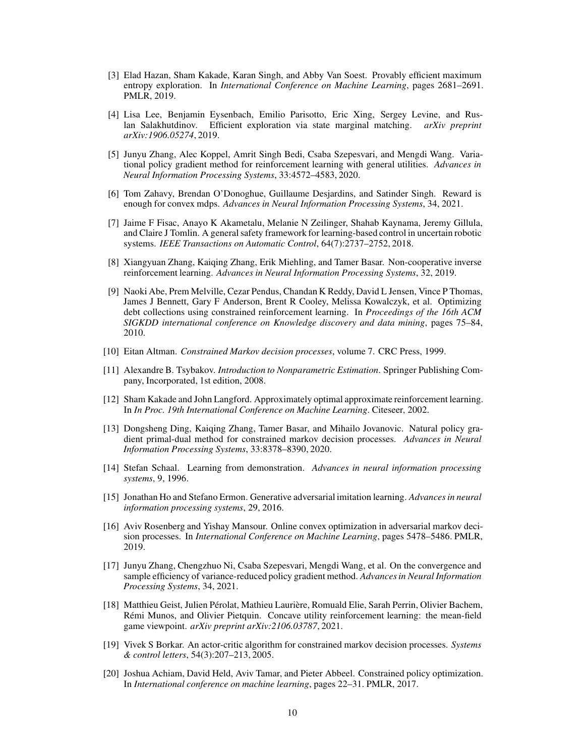- <span id="page-9-0"></span>[3] Elad Hazan, Sham Kakade, Karan Singh, and Abby Van Soest. Provably efficient maximum entropy exploration. In *International Conference on Machine Learning*, pages 2681–2691. PMLR, 2019.
- <span id="page-9-1"></span>[4] Lisa Lee, Benjamin Eysenbach, Emilio Parisotto, Eric Xing, Sergey Levine, and Ruslan Salakhutdinov. Efficient exploration via state marginal matching. *arXiv preprint arXiv:1906.05274*, 2019.
- <span id="page-9-2"></span>[5] Junyu Zhang, Alec Koppel, Amrit Singh Bedi, Csaba Szepesvari, and Mengdi Wang. Variational policy gradient method for reinforcement learning with general utilities. *Advances in Neural Information Processing Systems*, 33:4572–4583, 2020.
- <span id="page-9-3"></span>[6] Tom Zahavy, Brendan O'Donoghue, Guillaume Desjardins, and Satinder Singh. Reward is enough for convex mdps. *Advances in Neural Information Processing Systems*, 34, 2021.
- <span id="page-9-4"></span>[7] Jaime F Fisac, Anayo K Akametalu, Melanie N Zeilinger, Shahab Kaynama, Jeremy Gillula, and Claire J Tomlin. A general safety framework for learning-based control in uncertain robotic systems. *IEEE Transactions on Automatic Control*, 64(7):2737–2752, 2018.
- <span id="page-9-5"></span>[8] Xiangyuan Zhang, Kaiqing Zhang, Erik Miehling, and Tamer Basar. Non-cooperative inverse reinforcement learning. *Advances in Neural Information Processing Systems*, 32, 2019.
- <span id="page-9-6"></span>[9] Naoki Abe, Prem Melville, Cezar Pendus, Chandan K Reddy, David L Jensen, Vince P Thomas, James J Bennett, Gary F Anderson, Brent R Cooley, Melissa Kowalczyk, et al. Optimizing debt collections using constrained reinforcement learning. In *Proceedings of the 16th ACM SIGKDD international conference on Knowledge discovery and data mining*, pages 75–84, 2010.
- <span id="page-9-7"></span>[10] Eitan Altman. *Constrained Markov decision processes*, volume 7. CRC Press, 1999.
- <span id="page-9-8"></span>[11] Alexandre B. Tsybakov. *Introduction to Nonparametric Estimation*. Springer Publishing Company, Incorporated, 1st edition, 2008.
- <span id="page-9-9"></span>[12] Sham Kakade and John Langford. Approximately optimal approximate reinforcement learning. In *In Proc. 19th International Conference on Machine Learning*. Citeseer, 2002.
- <span id="page-9-10"></span>[13] Dongsheng Ding, Kaiqing Zhang, Tamer Basar, and Mihailo Jovanovic. Natural policy gradient primal-dual method for constrained markov decision processes. *Advances in Neural Information Processing Systems*, 33:8378–8390, 2020.
- <span id="page-9-11"></span>[14] Stefan Schaal. Learning from demonstration. *Advances in neural information processing systems*, 9, 1996.
- <span id="page-9-12"></span>[15] Jonathan Ho and Stefano Ermon. Generative adversarial imitation learning. *Advances in neural information processing systems*, 29, 2016.
- <span id="page-9-13"></span>[16] Aviv Rosenberg and Yishay Mansour. Online convex optimization in adversarial markov decision processes. In *International Conference on Machine Learning*, pages 5478–5486. PMLR, 2019.
- <span id="page-9-14"></span>[17] Junyu Zhang, Chengzhuo Ni, Csaba Szepesvari, Mengdi Wang, et al. On the convergence and sample efficiency of variance-reduced policy gradient method. *Advances in Neural Information Processing Systems*, 34, 2021.
- <span id="page-9-15"></span>[18] Matthieu Geist, Julien Pérolat, Mathieu Laurière, Romuald Elie, Sarah Perrin, Olivier Bachem, Rémi Munos, and Olivier Pietquin. Concave utility reinforcement learning: the mean-field game viewpoint. *arXiv preprint arXiv:2106.03787*, 2021.
- <span id="page-9-16"></span>[19] Vivek S Borkar. An actor-critic algorithm for constrained markov decision processes. *Systems & control letters*, 54(3):207–213, 2005.
- [20] Joshua Achiam, David Held, Aviv Tamar, and Pieter Abbeel. Constrained policy optimization. In *International conference on machine learning*, pages 22–31. PMLR, 2017.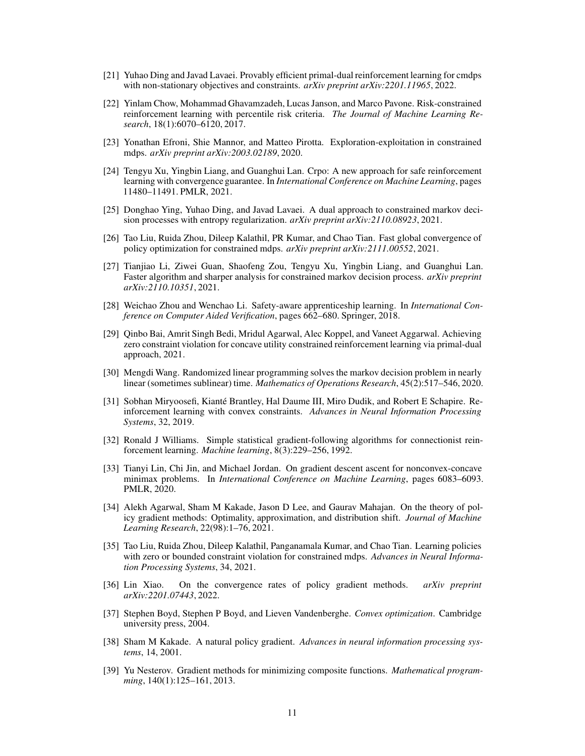- [21] Yuhao Ding and Javad Lavaei. Provably efficient primal-dual reinforcement learning for cmdps with non-stationary objectives and constraints. *arXiv preprint arXiv:2201.11965*, 2022.
- [22] Yinlam Chow, Mohammad Ghavamzadeh, Lucas Janson, and Marco Pavone. Risk-constrained reinforcement learning with percentile risk criteria. *The Journal of Machine Learning Research*, 18(1):6070–6120, 2017.
- <span id="page-10-0"></span>[23] Yonathan Efroni, Shie Mannor, and Matteo Pirotta. Exploration-exploitation in constrained mdps. *arXiv preprint arXiv:2003.02189*, 2020.
- <span id="page-10-1"></span>[24] Tengyu Xu, Yingbin Liang, and Guanghui Lan. Crpo: A new approach for safe reinforcement learning with convergence guarantee. In *International Conference on Machine Learning*, pages 11480–11491. PMLR, 2021.
- <span id="page-10-2"></span>[25] Donghao Ying, Yuhao Ding, and Javad Lavaei. A dual approach to constrained markov decision processes with entropy regularization. *arXiv preprint arXiv:2110.08923*, 2021.
- <span id="page-10-12"></span>[26] Tao Liu, Ruida Zhou, Dileep Kalathil, PR Kumar, and Chao Tian. Fast global convergence of policy optimization for constrained mdps. *arXiv preprint arXiv:2111.00552*, 2021.
- <span id="page-10-3"></span>[27] Tianjiao Li, Ziwei Guan, Shaofeng Zou, Tengyu Xu, Yingbin Liang, and Guanghui Lan. Faster algorithm and sharper analysis for constrained markov decision process. *arXiv preprint arXiv:2110.10351*, 2021.
- <span id="page-10-4"></span>[28] Weichao Zhou and Wenchao Li. Safety-aware apprenticeship learning. In *International Conference on Computer Aided Verification*, pages 662–680. Springer, 2018.
- <span id="page-10-5"></span>[29] Qinbo Bai, Amrit Singh Bedi, Mridul Agarwal, Alec Koppel, and Vaneet Aggarwal. Achieving zero constraint violation for concave utility constrained reinforcement learning via primal-dual approach, 2021.
- <span id="page-10-6"></span>[30] Mengdi Wang. Randomized linear programming solves the markov decision problem in nearly linear (sometimes sublinear) time. *Mathematics of Operations Research*, 45(2):517–546, 2020.
- <span id="page-10-7"></span>[31] Sobhan Miryoosefi, Kianté Brantley, Hal Daume III, Miro Dudik, and Robert E Schapire. Reinforcement learning with convex constraints. *Advances in Neural Information Processing Systems*, 32, 2019.
- <span id="page-10-8"></span>[32] Ronald J Williams. Simple statistical gradient-following algorithms for connectionist reinforcement learning. *Machine learning*, 8(3):229–256, 1992.
- <span id="page-10-9"></span>[33] Tianyi Lin, Chi Jin, and Michael Jordan. On gradient descent ascent for nonconvex-concave minimax problems. In *International Conference on Machine Learning*, pages 6083–6093. PMLR, 2020.
- <span id="page-10-10"></span>[34] Alekh Agarwal, Sham M Kakade, Jason D Lee, and Gaurav Mahajan. On the theory of policy gradient methods: Optimality, approximation, and distribution shift. *Journal of Machine Learning Research*, 22(98):1–76, 2021.
- <span id="page-10-11"></span>[35] Tao Liu, Ruida Zhou, Dileep Kalathil, Panganamala Kumar, and Chao Tian. Learning policies with zero or bounded constraint violation for constrained mdps. *Advances in Neural Information Processing Systems*, 34, 2021.
- <span id="page-10-13"></span>[36] Lin Xiao. On the convergence rates of policy gradient methods. *arXiv preprint arXiv:2201.07443*, 2022.
- <span id="page-10-14"></span>[37] Stephen Boyd, Stephen P Boyd, and Lieven Vandenberghe. *Convex optimization*. Cambridge university press, 2004.
- <span id="page-10-15"></span>[38] Sham M Kakade. A natural policy gradient. *Advances in neural information processing systems*, 14, 2001.
- <span id="page-10-16"></span>[39] Yu Nesterov. Gradient methods for minimizing composite functions. *Mathematical programming*, 140(1):125–161, 2013.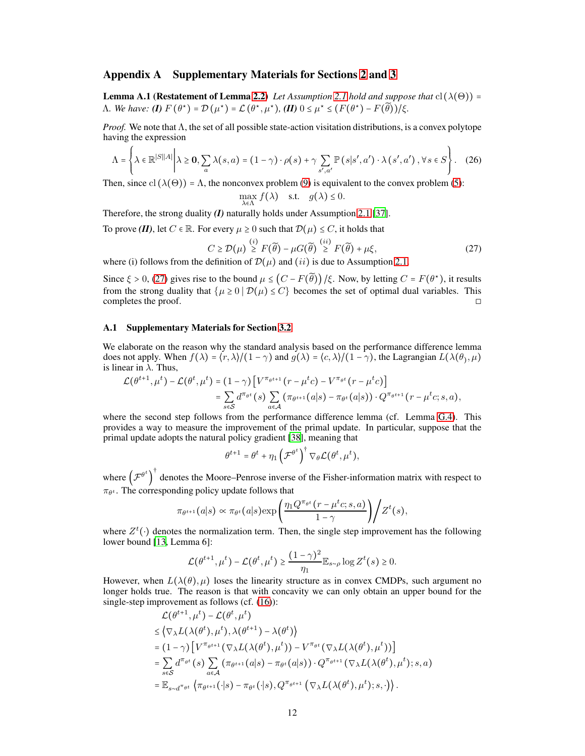# <span id="page-11-1"></span>Appendix A Supplementary Materials for Sections [2](#page-2-2) and [3](#page-4-4)

**Lemma A.1 (Restatement of Lemma [2.2\)](#page-4-0)** *Let Assumption [2.1](#page-3-3) hold and suppose that*  $cl(\lambda(\Theta)) =$  $\Lambda$ *. We have:* **(I)**  $F(\theta^*) = \mathcal{D}(\mu^*) = \mathcal{L}(\theta^*, \mu^*)$ *,* **(II)**  $0 \leq \mu^* \leq (F(\theta^*) - F(\widetilde{\theta})) / \xi$ *.* 

*Proof.* We note that  $\Lambda$ , the set of all possible state-action visitation distributions, is a convex polytope having the expression

$$
\Lambda = \left\{ \lambda \in \mathbb{R}^{|S||A|} \middle| \lambda \ge 0, \sum_{a} \lambda(s, a) = (1 - \gamma) \cdot \rho(s) + \gamma \sum_{s', a'} \mathbb{P}\left(s|s', a'\right) \cdot \lambda\left(s', a'\right), \forall s \in S \right\}.
$$
 (26)

Then, since cl  $(\lambda(\Theta)) = \Lambda$ , the nonconvex problem [\(9\)](#page-3-2) is equivalent to the convex problem [\(5\)](#page-3-0):

<span id="page-11-3"></span><span id="page-11-0"></span>
$$
\max_{\lambda \in \Lambda} f(\lambda) \quad \text{s.t.} \quad g(\lambda) \le 0.
$$

Therefore, the strong duality *(I)* naturally holds under Assumption [2.1](#page-3-3) [\[37](#page-10-14)].

To prove *(II)*, let  $C \in \mathbb{R}$ . For every  $\mu \geq 0$  such that  $\mathcal{D}(\mu) \leq C$ , it holds that

$$
C \ge \mathcal{D}(\mu) \stackrel{(i)}{\ge} F(\widetilde{\theta}) - \mu G(\widetilde{\theta}) \stackrel{(ii)}{\ge} F(\widetilde{\theta}) + \mu \xi,
$$
\n(27)

where (i) follows from the definition of  $\mathcal{D}(\mu)$  and (*ii*) is due to Assumption [2.1.](#page-3-3)

Since  $\xi > 0$ , [\(27\)](#page-11-3) gives rise to the bound  $\mu \leq (C - F(\tilde{\theta})) / \xi$ . Now, by letting  $C = F(\theta^*)$ , it results from the strong duality that  $\{\mu \ge 0 \mid \mathcal{D}(\mu) \le C\}$  becomes the set of optimal dual variables. This completes the proof. completes the proof.

#### <span id="page-11-2"></span>A.1 Supplementary Materials for Section [3.2](#page-5-3)

We elaborate on the reason why the standard analysis based on the performance difference lemma does not apply. When  $f(\lambda) = \langle r, \lambda \rangle / (1 - \gamma)$  and  $g(\lambda) = \langle c, \lambda \rangle / (1 - \gamma)$ , the Lagrangian  $L(\lambda(\theta), \mu)$ is linear in  $\lambda$ . Thus,

$$
\mathcal{L}(\theta^{t+1}, \mu^t) - \mathcal{L}(\theta^t, \mu^t) = (1 - \gamma) \left[ V^{\pi_{\theta^{t+1}}}(r - \mu^t c) - V^{\pi_{\theta^t}}(r - \mu^t c) \right]
$$
  
= 
$$
\sum_{s \in S} d^{\pi_{\theta^t}}(s) \sum_{a \in \mathcal{A}} (\pi_{\theta^{t+1}}(a|s) - \pi_{\theta^t}(a|s)) \cdot Q^{\pi_{\theta^{t+1}}}(r - \mu^t c; s, a),
$$

where the second step follows from the performance difference lemma (cf. Lemma [G.4\)](#page-29-1). This provides a way to measure the improvement of the primal update. In particular, suppose that the primal update adopts the natural policy gradient [\[38\]](#page-10-15), meaning that

$$
\theta^{t+1} = \theta^t + \eta_1 \left(\mathcal{F}^{\theta^t}\right)^{\dagger} \nabla_{\theta} \mathcal{L}(\theta^t, \mu^t),
$$

where  $\left(\mathcal{F}^{\theta^t}\right)$ ) † denotes the Moore–Penrose inverse of the Fisher-information matrix with respect to  $\pi_{\theta^t}$ . The corresponding policy update follows that

$$
\pi_{\theta^{t+1}}(a|s) \propto \pi_{\theta^t}(a|s) \exp\left(\frac{\eta_1 Q^{\pi_{\theta^t}}(r-\mu^t c;s,a)}{1-\gamma}\right) \Bigg/ Z^t(s),
$$

where  $Z^t(\cdot)$  denotes the normalization term. Then, the single step improvement has the following lower bound [\[13,](#page-9-10) Lemma 6]:

$$
\mathcal{L}(\theta^{t+1},\mu^{t}) - \mathcal{L}(\theta^{t},\mu^{t}) \geq \frac{(1-\gamma)^2}{\eta_1}\mathbb{E}_{s \sim \rho} \log Z^t(s) \geq 0.
$$

However, when  $L(\lambda(\theta), \mu)$  loses the linearity structure as in convex CMDPs, such argument no longer holds true. The reason is that with concavity we can only obtain an upper bound for the single-step improvement as follows (cf. [\(16\)](#page-5-4)):

$$
\mathcal{L}(\theta^{t+1}, \mu^t) - \mathcal{L}(\theta^t, \mu^t)
$$
\n
$$
\leq \langle \nabla_{\lambda} L(\lambda(\theta^t), \mu^t), \lambda(\theta^{t+1}) - \lambda(\theta^t) \rangle
$$
\n
$$
= (1 - \gamma) \left[ V^{\pi_{\theta^{t+1}}}(\nabla_{\lambda} L(\lambda(\theta^t), \mu^t)) - V^{\pi_{\theta^t}}(\nabla_{\lambda} L(\lambda(\theta^t), \mu^t)) \right]
$$
\n
$$
= \sum_{s \in \mathcal{S}} d^{\pi_{\theta^t}}(s) \sum_{a \in \mathcal{A}} (\pi_{\theta^{t+1}}(a|s) - \pi_{\theta^t}(a|s)) \cdot Q^{\pi_{\theta^{t+1}}}(\nabla_{\lambda} L(\lambda(\theta^t), \mu^t); s, a)
$$
\n
$$
= \mathbb{E}_{s \sim d^{\pi_{\theta^t}}} \left\langle \pi_{\theta^{t+1}}(\cdot|s) - \pi_{\theta^t}(\cdot|s), Q^{\pi_{\theta^{t+1}}}(\nabla_{\lambda} L(\lambda(\theta^t), \mu^t); s, \cdot) \right\rangle.
$$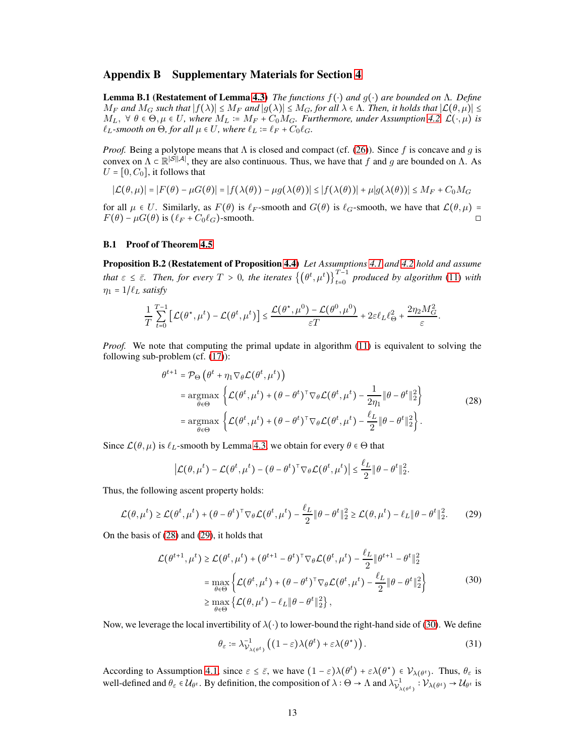# <span id="page-12-0"></span>Appendix B Supplementary Materials for Section [4](#page-5-0)

Lemma B.1 (Restatement of Lemma [4.3\)](#page-6-4) *The functions* f(⋅) *and* g(⋅) *are bounded on* Λ*. Define*  $M_F$  and  $M_G$  such that  $|f(\lambda)| \le M_F$  and  $|g(\lambda)| \le M_G$ , for all  $\lambda \in \Lambda$ . Then, it holds that  $|\mathcal{L}(\theta,\mu)| \le$  $M_L$ ,  $\forall \theta \in \Theta, \mu \in U$ , where  $M_L \coloneqq M_F + C_0 M_G$ . Furthermore, under Assumption [4.2,](#page-6-1)  $\mathcal{L}(\cdot, \mu)$  is  $\ell_L$ -smooth on  $\Theta$ , for all  $\mu \in U$ , where  $\ell_L := \ell_F + C_0 \ell_G$ .

*Proof.* Being a polytope means that  $\Lambda$  is closed and compact (cf. [\(26\)](#page-11-0)). Since f is concave and g is convex on  $\Lambda \subset \mathbb{R}^{|\mathcal{S}||\mathcal{A}|}$ , they are also continuous. Thus, we have that f and g are bounded on  $\Lambda$ . As  $U = [0, C_0]$ , it follows that

$$
|\mathcal{L}(\theta,\mu)| = |F(\theta) - \mu G(\theta)| = |f(\lambda(\theta)) - \mu g(\lambda(\theta))| \le |f(\lambda(\theta))| + \mu |g(\lambda(\theta))| \le M_F + C_0 M_G
$$

for all  $\mu \in U$ . Similarly, as  $F(\theta)$  is  $\ell_F$ -smooth and  $G(\theta)$  is  $\ell_G$ -smooth, we have that  $\mathcal{L}(\theta, \mu) = F(\theta) - \mu G(\theta)$  is  $(\ell_F + C_0 \ell_G)$ -smooth.  $F(\theta) - \mu G(\theta)$  is  $(\ell_F + C_0 \ell_G)$ -smooth.

#### B.1 Proof of Theorem [4.5](#page-6-3)

Proposition B.2 (Restatement of Proposition [4.4\)](#page-6-2) *Let Assumptions [4.1](#page-5-2) and [4.2](#page-6-1) hold and assume that*  $\varepsilon \leq \bar{\varepsilon}$ . Then, for every  $T > 0$ , the iterates  $\left\{(\theta^t, \mu^t)\right\}_{t=0}^{T-1}$  produced by algorithm [\(11\)](#page-4-2) with  $\eta_1 = 1/\ell_L$  *satisfy* 

$$
\frac{1}{T}\sum_{t=0}^{T-1}\left[\mathcal{L}(\theta^\star,\mu^t)-\mathcal{L}(\theta^t,\mu^t)\right]\leq\frac{\mathcal{L}(\theta^\star,\mu^0)-\mathcal{L}(\theta^0,\mu^0)}{\varepsilon T}+2\varepsilon\ell_L\ell_\Theta^2+\frac{2\eta_2M_G^2}{\varepsilon}.
$$

*Proof.* We note that computing the primal update in algorithm [\(11\)](#page-4-2) is equivalent to solving the following sub-problem (cf. [\(17\)](#page-5-1)):

<span id="page-12-1"></span>
$$
\theta^{t+1} = \mathcal{P}_{\Theta} \left( \theta^t + \eta_1 \nabla_{\theta} \mathcal{L}(\theta^t, \mu^t) \right)
$$
  
\n
$$
= \underset{\theta \in \Theta}{\operatorname{argmax}} \left\{ \mathcal{L}(\theta^t, \mu^t) + (\theta - \theta^t)^{\top} \nabla_{\theta} \mathcal{L}(\theta^t, \mu^t) - \frac{1}{2\eta_1} \| \theta - \theta^t \|_2^2 \right\}
$$
  
\n
$$
= \underset{\theta \in \Theta}{\operatorname{argmax}} \left\{ \mathcal{L}(\theta^t, \mu^t) + (\theta - \theta^t)^{\top} \nabla_{\theta} \mathcal{L}(\theta^t, \mu^t) - \frac{\ell_L}{2} \| \theta - \theta^t \|_2^2 \right\}. \tag{28}
$$

Since  $\mathcal{L}(\theta, \mu)$  is  $\ell_L$ -smooth by Lemma [4.3,](#page-6-4) we obtain for every  $\theta \in \Theta$  that

<span id="page-12-2"></span>
$$
\left|\mathcal{L}(\theta,\mu^t) - \mathcal{L}(\theta^t,\mu^t) - (\theta - \theta^t)^{\top} \nabla_{\theta} \mathcal{L}(\theta^t,\mu^t)\right| \leq \frac{\ell_L}{2} \|\theta - \theta^t\|_2^2
$$

Thus, the following ascent property holds:

$$
\mathcal{L}(\theta, \mu^t) \ge \mathcal{L}(\theta^t, \mu^t) + (\theta - \theta^t)^{\top} \nabla_{\theta} \mathcal{L}(\theta^t, \mu^t) - \frac{\ell_L}{2} \|\theta - \theta^t\|_2^2 \ge \mathcal{L}(\theta, \mu^t) - \ell_L \|\theta - \theta^t\|_2^2. \tag{29}
$$

On the basis of [\(28\)](#page-12-1) and [\(29\)](#page-12-2), it holds that

<span id="page-12-3"></span>
$$
\mathcal{L}(\theta^{t+1}, \mu^t) \ge \mathcal{L}(\theta^t, \mu^t) + (\theta^{t+1} - \theta^t)^\top \nabla_{\theta} \mathcal{L}(\theta^t, \mu^t) - \frac{\ell_L}{2} \|\theta^{t+1} - \theta^t\|_2^2
$$
  
\n
$$
= \max_{\theta \in \Theta} \left\{ \mathcal{L}(\theta^t, \mu^t) + (\theta - \theta^t)^\top \nabla_{\theta} \mathcal{L}(\theta^t, \mu^t) - \frac{\ell_L}{2} \|\theta - \theta^t\|_2^2 \right\}
$$
  
\n
$$
\ge \max_{\theta \in \Theta} \left\{ \mathcal{L}(\theta, \mu^t) - \ell_L \|\theta - \theta^t\|_2^2 \right\},
$$
 (30)

Now, we leverage the local invertibility of  $\lambda(\cdot)$  to lower-bound the right-hand side of [\(30\)](#page-12-3). We define

$$
\theta_{\varepsilon} \coloneqq \lambda_{\mathcal{V}_{\lambda(\theta^t)}}^{-1} \left( (1 - \varepsilon) \lambda(\theta^t) + \varepsilon \lambda(\theta^{\star}) \right). \tag{31}
$$

<span id="page-12-4"></span>.

According to Assumption [4.1,](#page-5-2) since  $\varepsilon \leq \bar{\varepsilon}$ , we have  $(1 - \varepsilon)\lambda(\theta^t) + \varepsilon \lambda(\theta^{\star}) \in \mathcal{V}_{\lambda(\theta^t)}$ . Thus,  $\theta_{\varepsilon}$  is well-defined and  $\theta_{\varepsilon} \in \mathcal{U}_{\theta^t}$ . By definition, the composition of  $\lambda : \Theta \to \Lambda$  and  $\lambda_{\mathcal{V}_{\lambda(\theta^t)}}^{-1} : \mathcal{V}_{\lambda(\theta^t)} \to \mathcal{U}_{\theta^t}$  is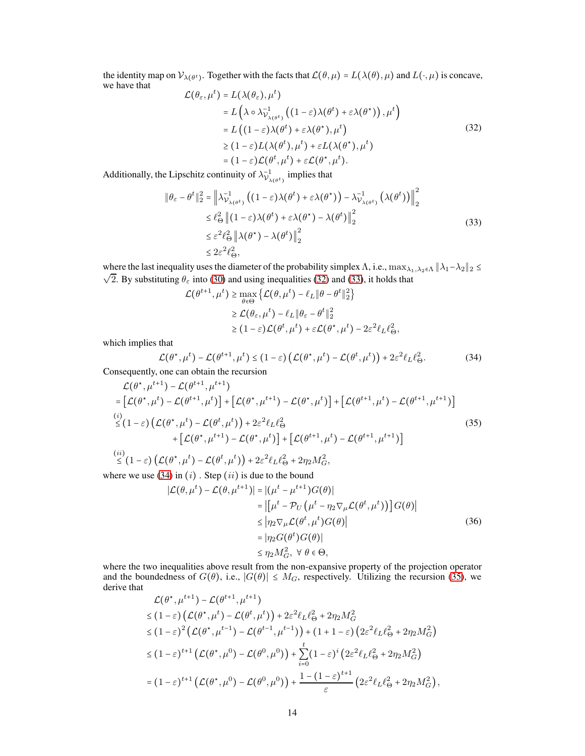the identity map on  $\mathcal{V}_{\lambda(\theta^t)}$ . Together with the facts that  $\mathcal{L}(\theta, \mu) = L(\lambda(\theta), \mu)$  and  $L(\cdot, \mu)$  is concave, we have that

<span id="page-13-1"></span>
$$
\mathcal{L}(\theta_{\varepsilon}, \mu^{t}) = L(\lambda(\theta_{\varepsilon}), \mu^{t})
$$
\n
$$
= L\left(\lambda \circ \lambda_{\mathcal{V}_{\lambda(\theta^{t})}}^{-1} \left( (1 - \varepsilon) \lambda(\theta^{t}) + \varepsilon \lambda(\theta^{*}) \right), \mu^{t} \right)
$$
\n
$$
= L\left( (1 - \varepsilon) \lambda(\theta^{t}) + \varepsilon \lambda(\theta^{*}), \mu^{t} \right)
$$
\n
$$
\geq (1 - \varepsilon) L(\lambda(\theta^{t}), \mu^{t}) + \varepsilon L(\lambda(\theta^{*}), \mu^{t})
$$
\n
$$
= (1 - \varepsilon) \mathcal{L}(\theta^{t}, \mu^{t}) + \varepsilon \mathcal{L}(\theta^{*}, \mu^{t}).
$$
\n(32)

Additionally, the Lipschitz continuity of  $\lambda_{\mathcal{V}_{\lambda(\theta^t)}}^{-1}$  implies that

<span id="page-13-2"></span>
$$
\|\theta_{\varepsilon} - \theta^{t}\|_{2}^{2} = \left\|\lambda_{\mathcal{V}_{\lambda(\theta^{t})}}^{-1} \left( (1 - \varepsilon)\lambda(\theta^{t}) + \varepsilon\lambda(\theta^{*}) \right) - \lambda_{\mathcal{V}_{\lambda(\theta^{t})}}^{-1} \left( \lambda(\theta^{t}) \right) \right\|_{2}^{2}
$$
  
\n
$$
\leq \ell_{\Theta}^{2} \left\| (1 - \varepsilon)\lambda(\theta^{t}) + \varepsilon\lambda(\theta^{*}) - \lambda(\theta^{t}) \right\|_{2}^{2}
$$
  
\n
$$
\leq \varepsilon^{2} \ell_{\Theta}^{2} \left\| \lambda(\theta^{*}) - \lambda(\theta^{t}) \right\|_{2}^{2}
$$
  
\n
$$
\leq 2\varepsilon^{2} \ell_{\Theta}^{2}, \tag{33}
$$

where the last inequality uses the diameter of the probability simplex  $\Lambda$ , i.e.,  $\max_{\lambda_1,\lambda_2\in\Lambda} \|\lambda_1-\lambda_2\|_2 \leq$  $\sqrt{2}$ . By substituting  $\theta_{\varepsilon}$  into [\(30\)](#page-12-3) and using inequalities [\(32\)](#page-13-1) and [\(33\)](#page-13-2), it holds that

$$
\mathcal{L}(\theta^{t+1}, \mu^t) \ge \max_{\theta \in \Theta} \left\{ \mathcal{L}(\theta, \mu^t) - \ell_L \|\theta - \theta^t\|_2^2 \right\}
$$
  

$$
\ge \mathcal{L}(\theta_{\varepsilon}, \mu^t) - \ell_L \|\theta_{\varepsilon} - \theta^t\|_2^2
$$
  

$$
\ge (1 - \varepsilon)\mathcal{L}(\theta^t, \mu^t) + \varepsilon \mathcal{L}(\theta^{\star}, \mu^t) - 2\varepsilon^2 \ell_L \ell_{\Theta}^2,
$$

which implies that

<span id="page-13-4"></span><span id="page-13-3"></span><span id="page-13-0"></span>
$$
\mathcal{L}(\theta^*, \mu^t) - \mathcal{L}(\theta^{t+1}, \mu^t) \le (1 - \varepsilon) \left( \mathcal{L}(\theta^*, \mu^t) - \mathcal{L}(\theta^t, \mu^t) \right) + 2\varepsilon^2 \ell_L \ell_\Theta^2.
$$
 (34)

Consequently, one can obtain the recursion

$$
\mathcal{L}(\theta^*, \mu^{t+1}) - \mathcal{L}(\theta^{t+1}, \mu^{t+1})
$$
\n
$$
= [\mathcal{L}(\theta^*, \mu^t) - \mathcal{L}(\theta^{t+1}, \mu^t)] + [\mathcal{L}(\theta^*, \mu^{t+1}) - \mathcal{L}(\theta^*, \mu^t)] + [\mathcal{L}(\theta^{t+1}, \mu^t) - \mathcal{L}(\theta^{t+1}, \mu^{t+1})]
$$
\n
$$
\leq (1 - \varepsilon) (\mathcal{L}(\theta^*, \mu^t) - \mathcal{L}(\theta^t, \mu^t)) + 2\varepsilon^2 \ell_L \ell_{\Theta}^2
$$
\n
$$
+ [\mathcal{L}(\theta^*, \mu^{t+1}) - \mathcal{L}(\theta^*, \mu^t)] + [\mathcal{L}(\theta^{t+1}, \mu^t) - \mathcal{L}(\theta^{t+1}, \mu^{t+1})]
$$
\n(ii)

$$
\stackrel{(ii)}{\leq} (1 - \varepsilon) \left( \mathcal{L}(\theta^*, \mu^t) - \mathcal{L}(\theta^t, \mu^t) \right) + 2\varepsilon^2 \ell_L \ell_\Theta^2 + 2\eta_2 M_G^2,
$$

where we use  $(34)$  in  $(i)$ . Step  $(ii)$  is due to the bound

$$
|\mathcal{L}(\theta, \mu^{t}) - \mathcal{L}(\theta, \mu^{t+1})| = |(\mu^{t} - \mu^{t+1})G(\theta)|
$$
  
\n
$$
= |[\mu^{t} - \mathcal{P}_{U}(\mu^{t} - \eta_{2}\nabla_{\mu}\mathcal{L}(\theta^{t}, \mu^{t}))]G(\theta)|
$$
  
\n
$$
\leq |\eta_{2}\nabla_{\mu}\mathcal{L}(\theta^{t}, \mu^{t})G(\theta)|
$$
  
\n
$$
= |\eta_{2}G(\theta^{t})G(\theta)|
$$
  
\n
$$
\leq \eta_{2}M_{G}^{2}, \forall \theta \in \Theta,
$$
 (36)

where the two inequalities above result from the non-expansive property of the projection operator and the boundedness of  $G(\theta)$ , i.e.,  $|G(\theta)| \leq M_G$ , respectively. Utilizing the recursion [\(35\)](#page-13-0), we derive that ,  $\mathbf{r}$  ,  $\mathbf{r}$ 

$$
\mathcal{L}(\theta^*, \mu^{t+1}) - \mathcal{L}(\theta^{t+1}, \mu^{t+1})
$$
\n
$$
\leq (1 - \varepsilon) \left( \mathcal{L}(\theta^*, \mu^t) - \mathcal{L}(\theta^t, \mu^t) \right) + 2\varepsilon^2 \ell_L \ell_\Theta^2 + 2\eta_2 M_G^2
$$
\n
$$
\leq (1 - \varepsilon)^2 \left( \mathcal{L}(\theta^*, \mu^{t-1}) - \mathcal{L}(\theta^{t-1}, \mu^{t-1}) \right) + (1 + 1 - \varepsilon) \left( 2\varepsilon^2 \ell_L \ell_\Theta^2 + 2\eta_2 M_G^2 \right)
$$
\n
$$
\leq (1 - \varepsilon)^{t+1} \left( \mathcal{L}(\theta^*, \mu^0) - \mathcal{L}(\theta^0, \mu^0) \right) + \sum_{i=0}^t (1 - \varepsilon)^i \left( 2\varepsilon^2 \ell_L \ell_\Theta^2 + 2\eta_2 M_G^2 \right)
$$
\n
$$
= (1 - \varepsilon)^{t+1} \left( \mathcal{L}(\theta^*, \mu^0) - \mathcal{L}(\theta^0, \mu^0) \right) + \frac{1 - (1 - \varepsilon)^{t+1}}{\varepsilon} \left( 2\varepsilon^2 \ell_L \ell_\Theta^2 + 2\eta_2 M_G^2 \right),
$$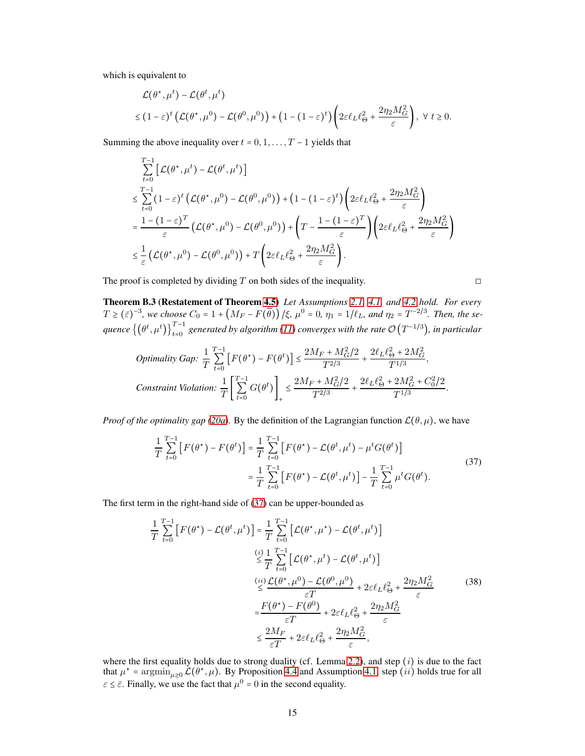which is equivalent to

$$
\mathcal{L}(\theta^*, \mu^t) - \mathcal{L}(\theta^t, \mu^t)
$$
  
\n
$$
\leq (1 - \varepsilon)^t \left( \mathcal{L}(\theta^*, \mu^0) - \mathcal{L}(\theta^0, \mu^0) \right) + (1 - (1 - \varepsilon)^t) \left( 2\varepsilon \ell_L \ell_\Theta^2 + \frac{2\eta_2 M_G^2}{\varepsilon} \right), \ \forall \ t \geq 0.
$$

Summing the above inequality over  $t = 0, 1, \ldots, T - 1$  yields that

$$
\begin{split} &\sum_{t=0}^{T-1}\left[\mathcal{L}(\theta^{\star},\mu^{t})-\mathcal{L}(\theta^{t},\mu^{t})\right] \\ &\leq \sum_{t=0}^{T-1}\left(1-\varepsilon\right)^{t}\left(\mathcal{L}(\theta^{\star},\mu^{0})-\mathcal{L}(\theta^{0},\mu^{0})\right)+\left(1-(1-\varepsilon)^{t}\right)\left(2\varepsilon\ell_{L}\ell_{\Theta}^{2}+\frac{2\eta_{2}M_{G}^{2}}{\varepsilon}\right) \\ &=\frac{1-\left(1-\varepsilon\right)^{T}}{\varepsilon}\left(\mathcal{L}(\theta^{\star},\mu^{0})-\mathcal{L}(\theta^{0},\mu^{0})\right)+\left(T-\frac{1-(1-\varepsilon)^{T}}{\varepsilon}\right)\left(2\varepsilon\ell_{L}\ell_{\Theta}^{2}+\frac{2\eta_{2}M_{G}^{2}}{\varepsilon}\right) \\ &\leq\frac{1}{\varepsilon}\left(\mathcal{L}(\theta^{\star},\mu^{0})-\mathcal{L}(\theta^{0},\mu^{0})\right)+T\left(2\varepsilon\ell_{L}\ell_{\Theta}^{2}+\frac{2\eta_{2}M_{G}^{2}}{\varepsilon}\right). \end{split}
$$

The proof is completed by dividing T on both sides of the inequality.  $\Box$ 

Theorem B.3 (Restatement of Theorem [4.5\)](#page-6-3) *Let Assumptions [2.1,](#page-3-3) [4.1,](#page-5-2) and [4.2](#page-6-1) hold. For every*  $T \ge (\bar{\varepsilon})^{-3}$ , we choose  $C_0 = 1 + (M_F - F(\tilde{\theta})) / \xi$ ,  $\mu^0 = 0$ ,  $\eta_1 = 1/\ell_L$ , and  $\eta_2 = T^{-2/3}$ . Then, the se $q$ uence  $\{(\theta^t, \mu^t)\}_{t=0}^{T-1}$  generated by algorithm [\(11\)](#page-4-2) converges with the rate  $\mathcal{O}(T^{-1/3})$ , in particular

Optimality Gap: 
$$
\frac{1}{T} \sum_{t=0}^{T-1} \left[ F(\theta^*) - F(\theta^t) \right] \le \frac{2M_F + M_G^2/2}{T^{2/3}} + \frac{2\ell_L \ell_{\Theta}^2 + 2M_G^2}{T^{1/3}},
$$
  
Constant Violation: 
$$
\frac{1}{T} \left[ \sum_{t=0}^{T-1} G(\theta^t) \right]_+ \le \frac{2M_F + M_G^2/2}{T^{2/3}} + \frac{2\ell_L \ell_{\Theta}^2 + 2M_G^2 + C_0^2/2}{T^{1/3}}
$$

*Proof of the optimality gap* [\(20a\)](#page-7-2). By the definition of the Lagrangian function  $\mathcal{L}(\theta, \mu)$ , we have

$$
\frac{1}{T} \sum_{t=0}^{T-1} \left[ F(\theta^{\star}) - F(\theta^{t}) \right] = \frac{1}{T} \sum_{t=0}^{T-1} \left[ F(\theta^{\star}) - \mathcal{L}(\theta^{t}, \mu^{t}) - \mu^{t} G(\theta^{t}) \right]
$$
\n
$$
= \frac{1}{T} \sum_{t=0}^{T-1} \left[ F(\theta^{\star}) - \mathcal{L}(\theta^{t}, \mu^{t}) \right] - \frac{1}{T} \sum_{t=0}^{T-1} \mu^{t} G(\theta^{t}).
$$
\n(37)

<span id="page-14-1"></span><span id="page-14-0"></span>.

The first term in the right-hand side of [\(37\)](#page-14-0) can be upper-bounded as

$$
\frac{1}{T} \sum_{t=0}^{T-1} \left[ F(\theta^*) - \mathcal{L}(\theta^t, \mu^t) \right] = \frac{1}{T} \sum_{t=0}^{T-1} \left[ \mathcal{L}(\theta^*, \mu^*) - \mathcal{L}(\theta^t, \mu^t) \right]
$$
\n
$$
\stackrel{(i)}{\leq} \frac{1}{T} \sum_{t=0}^{T-1} \left[ \mathcal{L}(\theta^*, \mu^t) - \mathcal{L}(\theta^t, \mu^t) \right]
$$
\n
$$
\stackrel{(ii)}{\leq} \frac{\mathcal{L}(\theta^*, \mu^0) - \mathcal{L}(\theta^0, \mu^0)}{\varepsilon T} + 2\varepsilon \ell_L \ell_{\Theta}^2 + \frac{2\eta_2 M_G^2}{\varepsilon}
$$
\n
$$
= \frac{F(\theta^*) - F(\theta^0)}{\varepsilon T} + 2\varepsilon \ell_L \ell_{\Theta}^2 + \frac{2\eta_2 M_G^2}{\varepsilon}
$$
\n
$$
\leq \frac{2M_F}{\varepsilon T} + 2\varepsilon \ell_L \ell_{\Theta}^2 + \frac{2\eta_2 M_G^2}{\varepsilon},
$$
\n(38)

where the first equality holds due to strong duality (cf. Lemma [2.2\)](#page-4-0), and step  $(i)$  is due to the fact that  $\mu^* = \arg\min_{\mu \geq 0} \mathcal{L}(\theta^*, \mu)$ . By Proposition [4.4](#page-6-2) and Assumption [4.1,](#page-5-2) step  $(ii)$  holds true for all  $\varepsilon \leq \bar{\varepsilon}$ . Finally, we use the fact that  $\mu^0 = 0$  in the second equality.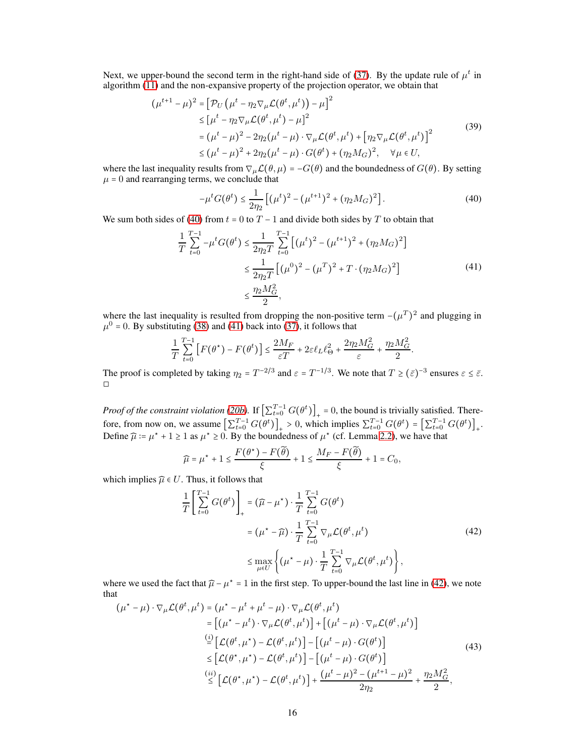Next, we upper-bound the second term in the right-hand side of [\(37\)](#page-14-0). By the update rule of  $\mu^t$  in algorithm [\(11\)](#page-4-2) and the non-expansive property of the projection operator, we obtain that

$$
(\mu^{t+1} - \mu)^2 = [\mathcal{P}_U (\mu^t - \eta_2 \nabla_\mu \mathcal{L}(\theta^t, \mu^t)) - \mu]^2
$$
  
\n
$$
\leq [\mu^t - \eta_2 \nabla_\mu \mathcal{L}(\theta^t, \mu^t) - \mu]^2
$$
  
\n
$$
= (\mu^t - \mu)^2 - 2\eta_2 (\mu^t - \mu) \cdot \nabla_\mu \mathcal{L}(\theta^t, \mu^t) + [\eta_2 \nabla_\mu \mathcal{L}(\theta^t, \mu^t)]^2
$$
  
\n
$$
\leq (\mu^t - \mu)^2 + 2\eta_2 (\mu^t - \mu) \cdot G(\theta^t) + (\eta_2 M_G)^2, \quad \forall \mu \in U,
$$
\n(39)

where the last inequality results from  $\nabla_{\mu} \mathcal{L}(\theta, \mu) = -G(\theta)$  and the boundedness of  $G(\theta)$ . By setting  $\mu = 0$  and rearranging terms, we conclude that

<span id="page-15-3"></span><span id="page-15-0"></span>
$$
-\mu^t G(\theta^t) \le \frac{1}{2\eta_2} \left[ (\mu^t)^2 - (\mu^{t+1})^2 + (\eta_2 M_G)^2 \right].
$$
 (40)

We sum both sides of [\(40\)](#page-15-0) from  $t = 0$  to  $T - 1$  and divide both sides by T to obtain that

$$
\frac{1}{T} \sum_{t=0}^{T-1} -\mu^t G(\theta^t) \le \frac{1}{2\eta_2 T} \sum_{t=0}^{T-1} \left[ (\mu^t)^2 - (\mu^{t+1})^2 + (\eta_2 M_G)^2 \right] \\
\le \frac{1}{2\eta_2 T} \left[ (\mu^0)^2 - (\mu^T)^2 + T \cdot (\eta_2 M_G)^2 \right] \\
\le \frac{\eta_2 M_G^2}{2},
$$
\n(41)

<span id="page-15-1"></span>.

where the last inequality is resulted from dropping the non-positive term  $-(\mu^T)^2$  and plugging in  $\mu^0$  = 0. By substituting [\(38\)](#page-14-1) and [\(41\)](#page-15-1) back into [\(37\)](#page-14-0), it follows that

$$
\frac{1}{T}\sum_{t=0}^{T-1}\left[F\big(\theta^\star\big)-F\big(\theta^t\big)\right]\leq \frac{2M_F}{\varepsilon T}+2\varepsilon\ell_L\ell_\Theta^2+\frac{2\eta_2M_G^2}{\varepsilon}+\frac{\eta_2M_G^2}{2}
$$

The proof is completed by taking  $\eta_2 = T^{-2/3}$  and  $\varepsilon = T^{-1/3}$ . We note that  $T \ge (\bar{\varepsilon})^{-3}$  ensures  $\varepsilon \le \bar{\varepsilon}$ . ◻

*Proof of the constraint violation [\(20b\)](#page-7-3)*. If  $\left[\sum_{t=0}^{T-1} G(\theta^t)\right]_+ = 0$ , the bound is trivially satisfied. Therefore, from now on, we assume  $\left[\sum_{t=0}^{T-1} G(\theta^t)\right]_+ > 0$ , which implies  $\sum_{t=0}^{T-1} G(\theta^t) = \left[\sum_{t=0}^{T-1} G(\theta^t)\right]_+$ . Define  $\hat{\mu} = \mu^* + 1 \ge 1$  as  $\mu^* \ge 0$ . By the boundedness of  $\mu^*$  (cf. Lemma [2.2\)](#page-4-0), we have that

$$
\widehat{\mu} = \mu^* + 1 \le \frac{F(\theta^*) - F(\widetilde{\theta})}{\xi} + 1 \le \frac{M_F - F(\widetilde{\theta})}{\xi} + 1 = C_0,
$$

which implies  $\widehat{\mu} \in U$ . Thus, it follows that

<span id="page-15-2"></span>
$$
\frac{1}{T} \left[ \sum_{t=0}^{T-1} G(\theta^t) \right]_+ = (\widehat{\mu} - \mu^*) \cdot \frac{1}{T} \sum_{t=0}^{T-1} G(\theta^t)
$$
\n
$$
= (\mu^* - \widehat{\mu}) \cdot \frac{1}{T} \sum_{t=0}^{T-1} \nabla_{\mu} \mathcal{L}(\theta^t, \mu^t)
$$
\n
$$
\leq \max_{\mu \in U} \left\{ (\mu^* - \mu) \cdot \frac{1}{T} \sum_{t=0}^{T-1} \nabla_{\mu} \mathcal{L}(\theta^t, \mu^t) \right\},
$$
\n(42)

where we used the fact that  $\hat{\mu} - \mu^* = 1$  in the first step. To upper-bound the last line in [\(42\)](#page-15-2), we note that

<span id="page-15-4"></span>
$$
(\mu^* - \mu) \cdot \nabla_{\mu} \mathcal{L}(\theta^t, \mu^t) = (\mu^* - \mu^t + \mu^t - \mu) \cdot \nabla_{\mu} \mathcal{L}(\theta^t, \mu^t)
$$
  
\n
$$
= [(\mu^* - \mu^t) \cdot \nabla_{\mu} \mathcal{L}(\theta^t, \mu^t)] + [(\mu^t - \mu) \cdot \nabla_{\mu} \mathcal{L}(\theta^t, \mu^t)]
$$
  
\n
$$
\stackrel{(i)}{=} [\mathcal{L}(\theta^t, \mu^*) - \mathcal{L}(\theta^t, \mu^t)] - [(\mu^t - \mu) \cdot G(\theta^t)]
$$
  
\n
$$
\leq [\mathcal{L}(\theta^*, \mu^*) - \mathcal{L}(\theta^t, \mu^t)] - [(\mu^t - \mu) \cdot G(\theta^t)]
$$
  
\n
$$
\stackrel{(ii)}{\leq} [\mathcal{L}(\theta^*, \mu^*) - \mathcal{L}(\theta^t, \mu^t)] + \frac{(\mu^t - \mu)^2 - (\mu^{t+1} - \mu)^2}{2\eta_2} + \frac{\eta_2 M_G^2}{2},
$$
 (43)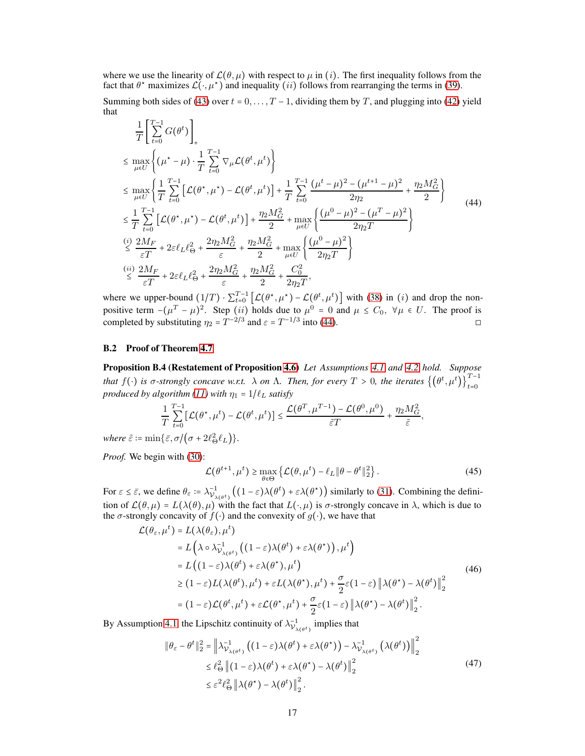where we use the linearity of  $\mathcal{L}(\theta, \mu)$  with respect to  $\mu$  in (i). The first inequality follows from the fact that  $\theta^*$  maximizes  $\mathcal{L}(\cdot, \mu^*)$  and inequality (*ii*) follows from rearranging the terms in [\(39\)](#page-15-3).

Summing both sides of [\(43\)](#page-15-4) over  $t = 0, \ldots, T - 1$ , dividing them by T, and plugging into [\(42\)](#page-15-2) yield that

<span id="page-16-0"></span>
$$
\frac{1}{T} \left[ \sum_{t=0}^{T-1} G(\theta^{t}) \right]_{+}
$$
\n
$$
\leq \max_{\mu \in U} \left\{ (\mu^{*} - \mu) \cdot \frac{1}{T} \sum_{t=0}^{T-1} \nabla_{\mu} \mathcal{L}(\theta^{t}, \mu^{t}) \right\}
$$
\n
$$
\leq \max_{\mu \in U} \left\{ \frac{1}{T} \sum_{t=0}^{T-1} \left[ \mathcal{L}(\theta^{*}, \mu^{*}) - \mathcal{L}(\theta^{t}, \mu^{t}) \right] + \frac{1}{T} \sum_{t=0}^{T-1} \frac{(\mu^{t} - \mu)^{2} - (\mu^{t+1} - \mu)^{2}}{2\eta_{2}} + \frac{\eta_{2} M_{G}^{2}}{2} \right\}
$$
\n
$$
\leq \frac{1}{T} \sum_{t=0}^{T-1} \left[ \mathcal{L}(\theta^{*}, \mu^{*}) - \mathcal{L}(\theta^{t}, \mu^{t}) \right] + \frac{\eta_{2} M_{G}^{2}}{2} + \max_{\mu \in U} \left\{ \frac{(\mu^{0} - \mu)^{2} - (\mu^{T} - \mu)^{2}}{2\eta_{2} T} \right\}
$$
\n
$$
\stackrel{(i)}{\leq} \frac{2M_{F}}{\varepsilon T} + 2\varepsilon \ell_{L} \ell_{\Theta}^{2} + \frac{2\eta_{2} M_{G}^{2}}{\varepsilon} + \frac{\eta_{2} M_{G}^{2}}{\varepsilon} + \frac{\eta_{2} M_{G}^{2}}{2} + \frac{\eta_{2} M_{G}^{2}}{\varepsilon_{1} T} + \frac{\ell_{G}^{2}}{2\eta_{2} T} \right\}
$$
\n
$$
\stackrel{(ii)}{\leq} \frac{2M_{F}}{\varepsilon T} + 2\varepsilon \ell_{L} \ell_{\Theta}^{2} + \frac{2\eta_{2} M_{G}^{2}}{\varepsilon} + \frac{\eta_{2} M_{G}^{2}}{\varepsilon_{2} T} + \frac{\ell_{G}^{2}}{2\eta_{2} T},
$$

where we upper-bound  $(1/T) \cdot \sum_{t=0}^{T-1} [\mathcal{L}(\theta^*, \mu^*) - \mathcal{L}(\theta^t, \mu^t)]$  with [\(38\)](#page-14-1) in (*i*) and drop the nonpositive term  $-(\mu^T - \mu)^2$ . Step (ii) holds due to  $\mu^0 = 0$  and  $\mu \le C_0$ ,  $\forall \mu \in U$ . The proof is completed by substituting  $\eta_2 = T^{-2/3}$  and  $\varepsilon = T^{-1/3}$  into [\(44\)](#page-16-0).

## B.2 Proof of Theorem [4.7](#page-7-1)

Proposition B.4 (Restatement of Proposition [4.6\)](#page-7-4) *Let Assumptions [4.1](#page-5-2) and [4.2](#page-6-1) hold. Suppose that*  $f(\cdot)$  *is*  $\sigma$ -strongly concave w.r.t.  $\lambda$  *on*  $\Lambda$ . Then, for every  $T > 0$ , the iterates  $\{(\theta^t, \mu^t)\}_{t=0}^{T-1}$ *produced by algorithm* [\(11\)](#page-4-2) *with*  $\eta_1 = 1/\ell_L$  *satisfy* 

$$
\frac{1}{T}\sum_{t=0}^{T-1}[\mathcal{L}(\theta^\star,\mu^t)-\mathcal{L}(\theta^t,\mu^t)] \leq \frac{\mathcal{L}(\theta^T,\mu^{T-1})-\mathcal{L}(\theta^0,\mu^0)}{\tilde{\varepsilon}T}+\frac{\eta_2 M_G^2}{\tilde{\varepsilon}},
$$

*where*  $\tilde{\varepsilon}$  :=  $\min{\{\bar{\varepsilon}, \sigma /(\sigma + 2\ell_{\Theta}^2 \ell_L)\}}.$ 

*Proof.* We begin with [\(30\)](#page-12-3):

<span id="page-16-2"></span><span id="page-16-1"></span>
$$
\mathcal{L}(\theta^{t+1}, \mu^t) \ge \max_{\theta \in \Theta} \left\{ \mathcal{L}(\theta, \mu^t) - \ell_L \|\theta - \theta^t\|_2^2 \right\}.
$$
 (45)

For  $\varepsilon \leq \bar{\varepsilon}$ , we define  $\theta_{\varepsilon} \coloneqq \lambda_{V_{\lambda(\theta^t)}}^{-1} \left( (1 - \varepsilon) \lambda(\theta^t) + \varepsilon \lambda(\theta^*) \right)$  similarly to [\(31\)](#page-12-4). Combining the definition of  $\mathcal{L}(\theta,\mu) = L(\lambda(\theta),\mu)$  with the fact that  $L(\cdot,\mu)$  is  $\sigma$ -strongly concave in  $\lambda$ , which is due to the  $\sigma$ -strongly concavity of  $f(\cdot)$  and the convexity of  $g(\cdot)$ , we have that

$$
\mathcal{L}(\theta_{\varepsilon}, \mu^{t}) = L(\lambda(\theta_{\varepsilon}), \mu^{t})
$$
\n
$$
= L(\lambda \circ \lambda_{\mathcal{V}_{\lambda(\theta^{t})}}^{-1} ((1 - \varepsilon)\lambda(\theta^{t}) + \varepsilon\lambda(\theta^{*})), \mu^{t})
$$
\n
$$
= L((1 - \varepsilon)\lambda(\theta^{t}) + \varepsilon\lambda(\theta^{*}), \mu^{t})
$$
\n
$$
\geq (1 - \varepsilon)L(\lambda(\theta^{t}), \mu^{t}) + \varepsilon L(\lambda(\theta^{*}), \mu^{t}) + \frac{\sigma}{2}\varepsilon(1 - \varepsilon)\left\|\lambda(\theta^{*}) - \lambda(\theta^{t})\right\|_{2}^{2}
$$
\n
$$
= (1 - \varepsilon)\mathcal{L}(\theta^{t}, \mu^{t}) + \varepsilon\mathcal{L}(\theta^{*}, \mu^{t}) + \frac{\sigma}{2}\varepsilon(1 - \varepsilon)\left\|\lambda(\theta^{*}) - \lambda(\theta^{t})\right\|_{2}^{2}.
$$
\n(46)

By Assumption [4.1,](#page-5-2) the Lipschitz continuity of  $\lambda_{\mathcal{V}_{\lambda(\theta^t)}}^{-1}$  implies that

<span id="page-16-3"></span>
$$
\|\theta_{\varepsilon} - \theta^{t}\|_{2}^{2} = \left\|\lambda_{\mathcal{V}_{\lambda(\theta^{t})}}^{-1} \left( (1 - \varepsilon) \lambda(\theta^{t}) + \varepsilon \lambda(\theta^{*}) \right) - \lambda_{\mathcal{V}_{\lambda(\theta^{t})}}^{-1} \left( \lambda(\theta^{t}) \right) \right\|_{2}^{2}
$$
  
\$\leq \ell\_{\Theta}^{2} \left\| (1 - \varepsilon) \lambda(\theta^{t}) + \varepsilon \lambda(\theta^{\*}) - \lambda(\theta^{t}) \right\|\_{2}^{2}\$ (47)  
\$\leq \varepsilon^{2} \ell\_{\Theta}^{2} \left\| \lambda(\theta^{\*}) - \lambda(\theta^{t}) \right\|\_{2}^{2}\$.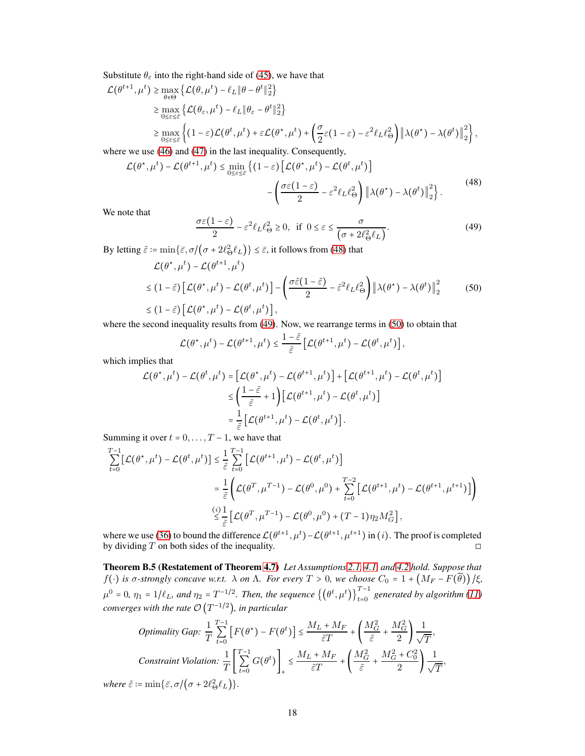Substitute  $\theta_{\varepsilon}$  into the right-hand side of [\(45\)](#page-16-1), we have that

$$
\mathcal{L}(\theta^{t+1}, \mu^t) \ge \max_{\theta \in \Theta} \left\{ \mathcal{L}(\theta, \mu^t) - \ell_L \|\theta - \theta^t\|_2^2 \right\}
$$
  
\n
$$
\ge \max_{0 \le \varepsilon \le \varepsilon} \left\{ \mathcal{L}(\theta_{\varepsilon}, \mu^t) - \ell_L \|\theta_{\varepsilon} - \theta^t\|_2^2 \right\}
$$
  
\n
$$
\ge \max_{0 \le \varepsilon \le \varepsilon} \left\{ (1 - \varepsilon) \mathcal{L}(\theta^t, \mu^t) + \varepsilon \mathcal{L}(\theta^*, \mu^t) + \left( \frac{\sigma}{2} \varepsilon (1 - \varepsilon) - \varepsilon^2 \ell_L \ell_\Theta^2 \right) \left\| \lambda(\theta^*) - \lambda(\theta^t) \right\|_2^2 \right\},
$$

where we use [\(46\)](#page-16-2) and [\(47\)](#page-16-3) in the last inequality. Consequently,

$$
\mathcal{L}(\theta^*, \mu^t) - \mathcal{L}(\theta^{t+1}, \mu^t) \le \min_{0 \le \varepsilon \le \bar{\varepsilon}} \left\{ (1 - \varepsilon) \left[ \mathcal{L}(\theta^*, \mu^t) - \mathcal{L}(\theta^t, \mu^t) \right] - \left( \frac{\sigma \varepsilon (1 - \varepsilon)}{2} - \varepsilon^2 \ell_L \ell_\Theta^2 \right) \left\| \lambda(\theta^*) - \lambda(\theta^t) \right\|_2^2 \right\}.
$$
\n(48)

We note that

<span id="page-17-2"></span><span id="page-17-1"></span><span id="page-17-0"></span>
$$
\frac{\sigma \varepsilon (1 - \varepsilon)}{2} - \varepsilon^2 \ell_L \ell_{\Theta}^2 \ge 0, \text{ if } 0 \le \varepsilon \le \frac{\sigma}{\left(\sigma + 2\ell_{\Theta}^2 \ell_L\right)}.\tag{49}
$$

By letting  $\tilde{\varepsilon} := \min\{\bar{\varepsilon}, \sigma/(\sigma + 2\ell_{\Theta}^2 \ell_L)\} \leq \bar{\varepsilon}$ , it follows from [\(48\)](#page-17-0) that

$$
\mathcal{L}(\theta^*, \mu^t) - \mathcal{L}(\theta^{t+1}, \mu^t)
$$
\n
$$
\leq (1 - \tilde{\varepsilon}) \left[ \mathcal{L}(\theta^*, \mu^t) - \mathcal{L}(\theta^t, \mu^t) \right] - \left( \frac{\sigma \tilde{\varepsilon} (1 - \tilde{\varepsilon})}{2} - \tilde{\varepsilon}^2 \ell_L \ell_{\Theta}^2 \right) \left\| \lambda(\theta^*) - \lambda(\theta^t) \right\|_2^2 \tag{50}
$$
\n
$$
\leq (1 - \tilde{\varepsilon}) \left[ \mathcal{L}(\theta^*, \mu^t) - \mathcal{L}(\theta^t, \mu^t) \right],
$$

where the second inequality results from [\(49\)](#page-17-1). Now, we rearrange terms in [\(50\)](#page-17-2) to obtain that

$$
\mathcal{L}(\theta^\star, \mu^t) - \mathcal{L}(\theta^{t+1}, \mu^t) \leq \frac{1-\tilde{\varepsilon}}{\tilde{\varepsilon}} \left[ \mathcal{L}(\theta^{t+1}, \mu^t) - \mathcal{L}(\theta^t, \mu^t) \right],
$$

which implies that

$$
\mathcal{L}(\theta^{\star}, \mu^{t}) - \mathcal{L}(\theta^{t}, \mu^{t}) = \left[ \mathcal{L}(\theta^{\star}, \mu^{t}) - \mathcal{L}(\theta^{t+1}, \mu^{t}) \right] + \left[ \mathcal{L}(\theta^{t+1}, \mu^{t}) - \mathcal{L}(\theta^{t}, \mu^{t}) \right] \leq \left( \frac{1 - \tilde{\varepsilon}}{\tilde{\varepsilon}} + 1 \right) \left[ \mathcal{L}(\theta^{t+1}, \mu^{t}) - \mathcal{L}(\theta^{t}, \mu^{t}) \right] = \frac{1}{\tilde{\varepsilon}} \left[ \mathcal{L}(\theta^{t+1}, \mu^{t}) - \mathcal{L}(\theta^{t}, \mu^{t}) \right].
$$

Summing it over  $t = 0, \ldots, T-1$ , we have that

$$
\sum_{t=0}^{T-1} [\mathcal{L}(\theta^*, \mu^t) - \mathcal{L}(\theta^t, \mu^t)] \leq \frac{1}{\tilde{\varepsilon}} \sum_{t=0}^{T-1} [\mathcal{L}(\theta^{t+1}, \mu^t) - \mathcal{L}(\theta^t, \mu^t)]
$$
\n
$$
= \frac{1}{\tilde{\varepsilon}} \Biggl( \mathcal{L}(\theta^T, \mu^{T-1}) - \mathcal{L}(\theta^0, \mu^0) + \sum_{t=0}^{T-2} [\mathcal{L}(\theta^{t+1}, \mu^t) - \mathcal{L}(\theta^{t+1}, \mu^{t+1})] \Biggr)
$$
\n
$$
\stackrel{(i)}{\leq} \frac{1}{\tilde{\varepsilon}} [\mathcal{L}(\theta^T, \mu^{T-1}) - \mathcal{L}(\theta^0, \mu^0) + (T-1)\eta_2 M_G^2],
$$

where we use [\(36\)](#page-13-4) to bound the difference  $\mathcal{L}(\theta^{t+1}, \mu^t) - \mathcal{L}(\theta^{t+1}, \mu^{t+1})$  in (*i*). The proof is completed by dividing T on both sides of the inequality.  $\Box$ 

Theorem B.5 (Restatement of Theorem [4.7\)](#page-7-1) *Let Assumptions [2.1,](#page-3-3) [4.1,](#page-5-2) and [4.2](#page-6-1) hold. Suppose that*  $f(\cdot)$  *is*  $\sigma$ -strongly concave w.r.t.  $\lambda$  on  $\Lambda$ . For every  $T > 0$ , we choose  $C_0 = 1 + (M_F - F(\widetilde{\theta})) / \xi$ ,  $\mu^0 = 0$ ,  $\eta_1 = 1/\ell_L$ , and  $\eta_2 = T^{-1/2}$ . Then, the sequence  $\{(\theta^t, \mu^t)\}_{t=0}^{T-1}$  generated by algorithm [\(11\)](#page-4-2) converges with the rate  $\mathcal{O}\left(T^{-1/2}\right)$ , in particular

Optimality Gap: 
$$
\frac{1}{T} \sum_{t=0}^{T-1} \left[ F(\theta^*) - F(\theta^t) \right] \le \frac{M_L + M_F}{\tilde{\varepsilon}T} + \left( \frac{M_G^2}{\tilde{\varepsilon}} + \frac{M_G^2}{2} \right) \frac{1}{\sqrt{T}},
$$
  
Constant Violation: 
$$
\frac{1}{T} \left[ \sum_{t=0}^{T-1} G(\theta^t) \right]_+ \le \frac{M_L + M_F}{\tilde{\varepsilon}T} + \left( \frac{M_G^2}{\tilde{\varepsilon}} + \frac{M_G^2 + C_0^2}{2} \right) \frac{1}{\sqrt{T}},
$$

$$
\tilde{\varepsilon} := \min\{\bar{\varepsilon}, \sigma/(\sigma + 2\ell_\infty^2 \ell_L)\}.
$$

*where*  $\tilde{\varepsilon}$  :=  $\min{\{\bar{\varepsilon}, \sigma /(\sigma + 2\ell_{\Theta}^2 \ell_L)\}}.$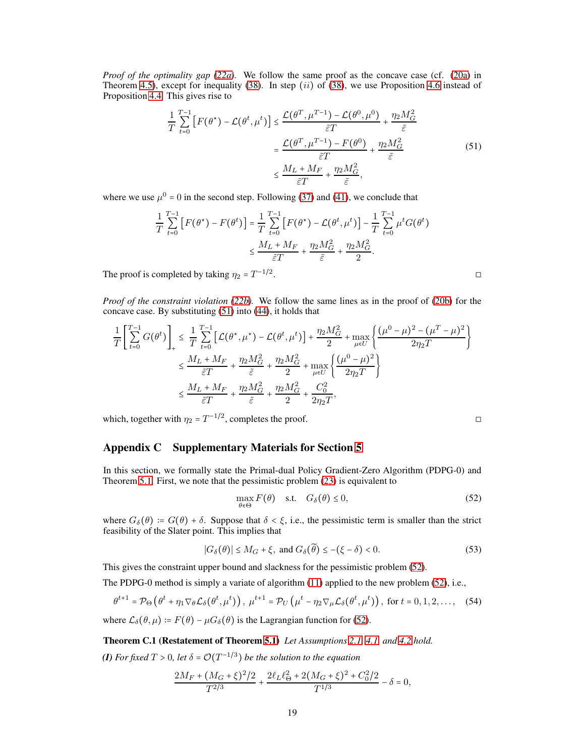*Proof of the optimality gap* (22*a*). We follow the same proof as the concave case (cf. (20*a*) in Theorem [4.5\)](#page-6-3), except for inequality [\(38\)](#page-14-1). In step (ii) of (38), we use Proposition [4.6](#page-7-4) instead of Proposition [4.4.](#page-6-2) This gives rise to

<span id="page-18-1"></span>
$$
\frac{1}{T} \sum_{t=0}^{T-1} \left[ F(\theta^*) - \mathcal{L}(\theta^t, \mu^t) \right] \le \frac{\mathcal{L}(\theta^T, \mu^{T-1}) - \mathcal{L}(\theta^0, \mu^0)}{\tilde{\varepsilon}T} + \frac{\eta_2 M_G^2}{\tilde{\varepsilon}}
$$
\n
$$
= \frac{\mathcal{L}(\theta^T, \mu^{T-1}) - F(\theta^0)}{\tilde{\varepsilon}T} + \frac{\eta_2 M_G^2}{\tilde{\varepsilon}}
$$
\n
$$
\le \frac{M_L + M_F}{\tilde{\varepsilon}T} + \frac{\eta_2 M_G^2}{\tilde{\varepsilon}},
$$
\n(51)

where we use  $\mu^0 = 0$  in the second step. Following [\(37\)](#page-14-0) and [\(41\)](#page-15-1), we conclude that

$$
\frac{1}{T} \sum_{t=0}^{T-1} \left[ F(\theta^*) - F(\theta^t) \right] = \frac{1}{T} \sum_{t=0}^{T-1} \left[ F(\theta^*) - \mathcal{L}(\theta^t, \mu^t) \right] - \frac{1}{T} \sum_{t=0}^{T-1} \mu^t G(\theta^t)
$$
\n
$$
\leq \frac{M_L + M_F}{\tilde{\varepsilon}T} + \frac{\eta_2 M_G^2}{\tilde{\varepsilon}} + \frac{\eta_2 M_G^2}{2}.
$$

The proof is completed by taking  $\eta_2 = T^{-1/2}$ . ◻

*Proof of the constraint violation [\(22b\)](#page-7-3).* We follow the same lines as in the proof of [\(20b\)](#page-7-3) for the concave case. By substituting [\(51\)](#page-18-1) into [\(44\)](#page-16-0), it holds that

$$
\frac{1}{T} \left[ \sum_{t=0}^{T-1} G(\theta^t) \right]_+ \leq \frac{1}{T} \sum_{t=0}^{T-1} \left[ \mathcal{L}(\theta^*, \mu^*) - \mathcal{L}(\theta^t, \mu^t) \right] + \frac{\eta_2 M_G^2}{2} + \max_{\mu \in U} \left\{ \frac{(\mu^0 - \mu)^2 - (\mu^T - \mu)^2}{2\eta_2 T} \right\}
$$
\n
$$
\leq \frac{M_L + M_F}{\tilde{\varepsilon}T} + \frac{\eta_2 M_G^2}{\tilde{\varepsilon}} + \frac{\eta_2 M_G^2}{2} + \max_{\mu \in U} \left\{ \frac{(\mu^0 - \mu)^2}{2\eta_2 T} \right\}
$$
\n
$$
\leq \frac{M_L + M_F}{\tilde{\varepsilon}T} + \frac{\eta_2 M_G^2}{\tilde{\varepsilon}} + \frac{\eta_2 M_G^2}{2} + \frac{C_0^2}{2\eta_2 T},
$$

which, together with  $\eta_2 = T^{-1/2}$ , completes the proof.

# <span id="page-18-0"></span>Appendix C Supplementary Materials for Section [5](#page-8-4)

In this section, we formally state the Primal-dual Policy Gradient-Zero Algorithm (PDPG-0) and Theorem [5.1.](#page-8-3) First, we note that the pessimistic problem [\(23\)](#page-8-2) is equivalent to

<span id="page-18-4"></span>
$$
\max_{\theta \in \Theta} F(\theta) \quad \text{s.t.} \quad G_{\delta}(\theta) \le 0,
$$
\n(52)

where  $G_{\delta}(\theta) = G(\theta) + \delta$ . Suppose that  $\delta < \xi$ , i.e., the pessimistic term is smaller than the strict feasibility of the Slater point. This implies that

$$
|G_{\delta}(\theta)| \le M_G + \xi, \text{ and } G_{\delta}(\widetilde{\theta}) \le -(\xi - \delta) < 0. \tag{53}
$$

This gives the constraint upper bound and slackness for the pessimistic problem [\(52\)](#page-18-2).

The PDPG-0 method is simply a variate of algorithm [\(11\)](#page-4-2) applied to the new problem [\(52\)](#page-18-2), i.e.,

$$
\theta^{t+1} = \mathcal{P}_{\Theta}\left(\theta^t + \eta_1 \nabla_{\theta} \mathcal{L}_{\delta}(\theta^t, \mu^t)\right), \ \mu^{t+1} = \mathcal{P}_{U}\left(\mu^t - \eta_2 \nabla_{\mu} \mathcal{L}_{\delta}(\theta^t, \mu^t)\right), \text{ for } t = 0, 1, 2, \dots, \quad (54)
$$

where  $\mathcal{L}_{\delta}(\theta, \mu) = F(\theta) - \mu G_{\delta}(\theta)$  is the Lagrangian function for [\(52\)](#page-18-2).

Theorem C.1 (Restatement of Theorem [5.1\)](#page-8-3) *Let Assumptions [2.1,](#page-3-3) [4.1,](#page-5-2) and [4.2](#page-6-1) hold.*

**(I)** For fixed  $T > 0$ , let  $\delta = \mathcal{O}(T^{-1/3})$  be the solution to the equation

$$
\frac{2M_F+(M_G+\xi)^2/2}{T^{2/3}}+\frac{2\ell_L\ell_{\Theta}^2+2\big(M_G+\xi)^2+C_0^2/2}{T^{1/3}}-\delta=0,
$$

<span id="page-18-3"></span><span id="page-18-2"></span>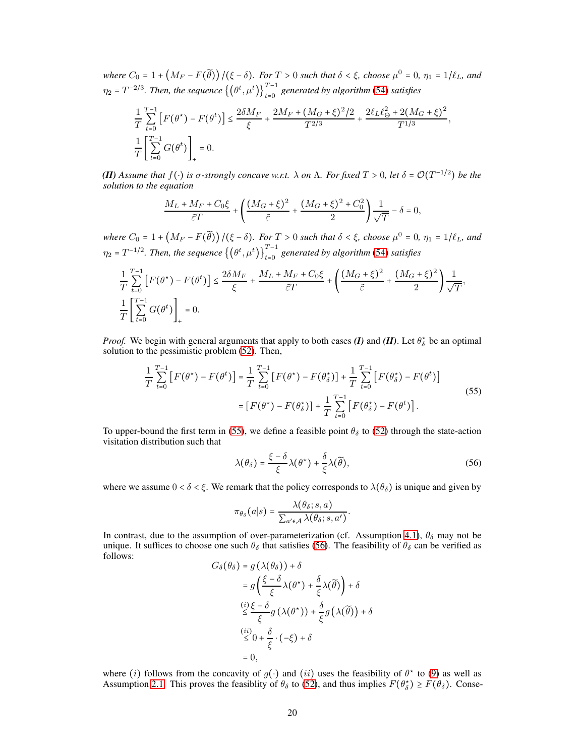$W$ *here*  $C_0 = 1 + (M_F - F(\widetilde{\theta})) / (\xi - \delta)$ *. For*  $T > 0$  *such that*  $\delta < \xi$ *, choose*  $\mu^0 = 0$ *,*  $\eta_1 = 1/\ell_L$ *, and*  $\eta_2$  =  $T^{-2/3}$ . Then, the sequence  $\{(\theta^t, \mu^t)\}_{t=0}^{T-1}$  generated by algorithm [\(54\)](#page-18-3) satisfies

$$
\begin{split} & \frac{1}{T} \sum_{t=0}^{T-1} \left[ F(\theta^{\star}) - F(\theta^{t}) \right] \leq \frac{2 \delta M_F}{\xi} + \frac{2 M_F + \left( M_G + \xi \right)^2/2}{T^{2/3}} + \frac{2 \ell_L \ell_{\Theta}^2 + 2 (M_G + \xi)^2}{T^{1/3}}, \\ & \frac{1}{T} \left[ \sum_{t=0}^{T-1} G(\theta^{t}) \right]_{+} = 0. \end{split}
$$

*(II) Assume that*  $f(·)$  *is* σ-*strongly concave w.r.t.* λ *on* Λ*. For fixed*  $T > 0$ *, let* δ =  $\mathcal{O}(T^{-1/2})$  *be the solution to the equation*

$$
\frac{M_L + M_F + C_0 \xi}{\tilde{\varepsilon} T} + \left( \frac{(M_G + \xi)^2}{\tilde{\varepsilon}} + \frac{(M_G + \xi)^2 + C_0^2}{2} \right) \frac{1}{\sqrt{T}} - \delta = 0,
$$

 $W$ *here*  $C_0 = 1 + (M_F - F(\widetilde{\theta})) / (\xi - \delta)$ *. For*  $T > 0$  *such that*  $\delta < \xi$ *, choose*  $\mu^0 = 0$ *,*  $\eta_1 = 1/\ell_L$ *, and*  $\eta_2 = T^{-1/2}$ . Then, the sequence  $\{(\theta^t, \mu^t)\}_{t=0}^{T-1}$  generated by algorithm [\(54\)](#page-18-3) satisfies

$$
\frac{1}{T} \sum_{t=0}^{T-1} \left[ F(\theta^*) - F(\theta^t) \right] \le \frac{2\delta M_F}{\xi} + \frac{M_L + M_F + C_0 \xi}{\tilde{\varepsilon} T} + \left( \frac{(M_G + \xi)^2}{\tilde{\varepsilon}} + \frac{(M_G + \xi)^2}{2} \right) \frac{1}{\sqrt{T}},
$$
  

$$
\frac{1}{T} \left[ \sum_{t=0}^{T-1} G(\theta^t) \right]_+ = 0.
$$

*Proof.* We begin with general arguments that apply to both cases *(I)* and *(II)*. Let  $\theta^*_{\delta}$  be an optimal solution to the pessimistic problem [\(52\)](#page-18-2). Then,

$$
\frac{1}{T} \sum_{t=0}^{T-1} \left[ F(\theta^{\star}) - F(\theta^{t}) \right] = \frac{1}{T} \sum_{t=0}^{T-1} \left[ F(\theta^{\star}) - F(\theta^{\star}_{\delta}) \right] + \frac{1}{T} \sum_{t=0}^{T-1} \left[ F(\theta^{\star}_{\delta}) - F(\theta^{t}) \right]
$$
\n
$$
= \left[ F(\theta^{\star}) - F(\theta^{\star}_{\delta}) \right] + \frac{1}{T} \sum_{t=0}^{T-1} \left[ F(\theta^{\star}_{\delta}) - F(\theta^{t}) \right].
$$
\n(55)

To upper-bound the first term in [\(55\)](#page-19-0), we define a feasible point  $\theta_{\delta}$  to [\(52\)](#page-18-2) through the state-action visitation distribution such that

<span id="page-19-1"></span><span id="page-19-0"></span>
$$
\lambda(\theta_{\delta}) = \frac{\xi - \delta}{\xi} \lambda(\theta^{\star}) + \frac{\delta}{\xi} \lambda(\widetilde{\theta}),
$$
\n(56)

where we assume  $0 < \delta < \xi$ . We remark that the policy corresponds to  $\lambda(\theta_{\delta})$  is unique and given by

$$
\pi_{\theta_{\delta}}(a|s) = \frac{\lambda(\theta_{\delta}; s, a)}{\sum_{a' \in \mathcal{A}} \lambda(\theta_{\delta}; s, a')}.
$$

In contrast, due to the assumption of over-parameterization (cf. Assumption [4.1\)](#page-5-2),  $\theta_{\delta}$  may not be unique. It suffices to choose one such  $\theta_{\delta}$  that satisfies [\(56\)](#page-19-1). The feasibility of  $\theta_{\delta}$  can be verified as follows:  $G_{\delta}(\theta_{\delta}) = a(\lambda(\theta_{\delta})) + \delta$ 

$$
G_{\delta}(\theta_{\delta}) = g(\lambda(\theta_{\delta})) + \delta
$$
  
\n
$$
= g\left(\frac{\xi - \delta}{\xi}\lambda(\theta^{*}) + \frac{\delta}{\xi}\lambda(\widetilde{\theta})\right) + \delta
$$
  
\n
$$
\leq \frac{\delta(\delta)}{\xi}g(\lambda(\theta^{*})) + \frac{\delta}{\xi}g(\lambda(\widetilde{\theta})) + \delta
$$
  
\n
$$
\leq 0 + \frac{\delta}{\xi} \cdot (-\xi) + \delta
$$
  
\n
$$
= 0,
$$

where (i) follows from the concavity of  $g(\cdot)$  and (ii) uses the feasibility of  $\theta^*$  to [\(9\)](#page-3-2) as well as Assumption [2.1.](#page-3-3) This proves the feasiblity of  $\theta_{\delta}$  to [\(52\)](#page-18-2), and thus implies  $F(\theta_{\delta}^{*}) \geq F(\theta_{\delta})$ . Conse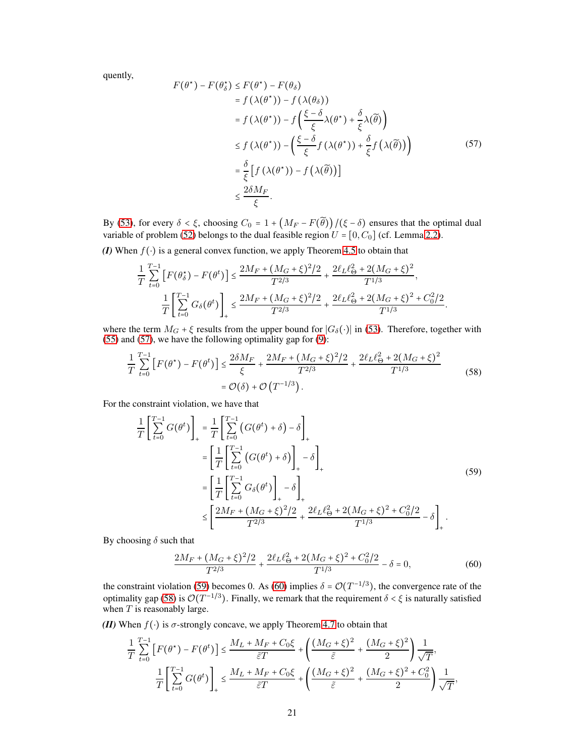<span id="page-20-0"></span>quently,

$$
F(\theta^*) - F(\theta_\delta^*) \le F(\theta^*) - F(\theta_\delta)
$$
  
\n
$$
= f(\lambda(\theta^*)) - f(\lambda(\theta_\delta))
$$
  
\n
$$
= f(\lambda(\theta^*)) - f\left(\frac{\xi - \delta}{\xi}\lambda(\theta^*) + \frac{\delta}{\xi}\lambda(\tilde{\theta})\right)
$$
  
\n
$$
\le f(\lambda(\theta^*)) - \left(\frac{\xi - \delta}{\xi}f(\lambda(\theta^*)) + \frac{\delta}{\xi}f(\lambda(\tilde{\theta}))\right)
$$
  
\n
$$
= \frac{\delta}{\xi} \left[f(\lambda(\theta^*)) - f(\lambda(\tilde{\theta}))\right]
$$
  
\n
$$
\le \frac{2\delta M_F}{\xi}.
$$
 (57)

By [\(53\)](#page-18-4), for every  $\delta < \xi$ , choosing  $C_0 = 1 + (M_F - F(\tilde{\theta})) / (\xi - \delta)$  ensures that the optimal dual variable of problem [\(52\)](#page-18-2) belongs to the dual feasible region  $U = [0, C_0]$  (cf. Lemma [2.2\)](#page-4-0).

*(I)* When  $f(\cdot)$  is a general convex function, we apply Theorem [4.5](#page-6-3) to obtain that

$$
\frac{1}{T} \sum_{t=0}^{T-1} \left[ F(\theta_\delta^*) - F(\theta^t) \right] \le \frac{2M_F + (M_G + \xi)^2/2}{T^{2/3}} + \frac{2\ell_L \ell_\Theta^2 + 2(M_G + \xi)^2}{T^{1/3}},
$$
  

$$
\frac{1}{T} \left[ \sum_{t=0}^{T-1} G_\delta(\theta^t) \right]_+ \le \frac{2M_F + (M_G + \xi)^2/2}{T^{2/3}} + \frac{2\ell_L \ell_\Theta^2 + 2(M_G + \xi)^2 + C_0^2/2}{T^{1/3}}.
$$

where the term  $M_G$  +  $\xi$  results from the upper bound for  $|G_\delta(\cdot)|$  in [\(53\)](#page-18-4). Therefore, together with [\(55\)](#page-19-0) and [\(57\)](#page-20-0), we have the following optimality gap for [\(9\)](#page-3-2):

<span id="page-20-3"></span>
$$
\frac{1}{T} \sum_{t=0}^{T-1} \left[ F(\theta^*) - F(\theta^t) \right] \le \frac{2\delta M_F}{\xi} + \frac{2M_F + (M_G + \xi)^2/2}{T^{2/3}} + \frac{2\ell_L \ell_{\Theta}^2 + 2(M_G + \xi)^2}{T^{1/3}} \tag{58}
$$
\n
$$
= \mathcal{O}(\delta) + \mathcal{O}(T^{-1/3}).
$$

For the constraint violation, we have that

<span id="page-20-1"></span>
$$
\frac{1}{T} \left[ \sum_{t=0}^{T-1} G(\theta^t) \right]_+ = \frac{1}{T} \left[ \sum_{t=0}^{T-1} \left( G(\theta^t) + \delta \right) - \delta \right]_+
$$
\n
$$
= \left[ \frac{1}{T} \left[ \sum_{t=0}^{T-1} \left( G(\theta^t) + \delta \right) \right]_+ - \delta \right]_+
$$
\n
$$
= \left[ \frac{1}{T} \left[ \sum_{t=0}^{T-1} G_{\delta}(\theta^t) \right]_+ - \delta \right]_+
$$
\n
$$
\leq \left[ \frac{2M_F + (M_G + \xi)^2/2}{T^{2/3}} + \frac{2\ell_L \ell_{\Theta}^2 + 2(M_G + \xi)^2 + C_0^2/2}{T^{1/3}} - \delta \right]_+ .
$$
\n(59)

By choosing  $\delta$  such that

<span id="page-20-2"></span>
$$
\frac{2M_F + (M_G + \xi)^2/2}{T^{2/3}} + \frac{2\ell_L \ell_\Theta^2 + 2(M_G + \xi)^2 + C_0^2/2}{T^{1/3}} - \delta = 0,\tag{60}
$$

the constraint violation [\(59\)](#page-20-1) becomes 0. As [\(60\)](#page-20-2) implies  $\delta = \mathcal{O}(T^{-1/3})$ , the convergence rate of the optimality gap [\(58\)](#page-20-3) is  $\mathcal{O}(T^{-1/3})$ . Finally, we remark that the requirement  $\delta < \xi$  is naturally satisfied when  $T$  is reasonably large.

*(II)* When  $f(\cdot)$  is  $\sigma$ -strongly concave, we apply Theorem [4.7](#page-7-1) to obtain that

$$
\frac{1}{T} \sum_{t=0}^{T-1} \left[ F(\theta^*) - F(\theta^t) \right] \le \frac{M_L + M_F + C_0 \xi}{\tilde{\varepsilon} T} + \left( \frac{(M_G + \xi)^2}{\tilde{\varepsilon}} + \frac{(M_G + \xi)^2}{2} \right) \frac{1}{\sqrt{T}},
$$
  

$$
\frac{1}{T} \left[ \sum_{t=0}^{T-1} G(\theta^t) \right]_+ \le \frac{M_L + M_F + C_0 \xi}{\tilde{\varepsilon} T} + \left( \frac{(M_G + \xi)^2}{\tilde{\varepsilon}} + \frac{(M_G + \xi)^2 + C_0^2}{2} \right) \frac{1}{\sqrt{T}},
$$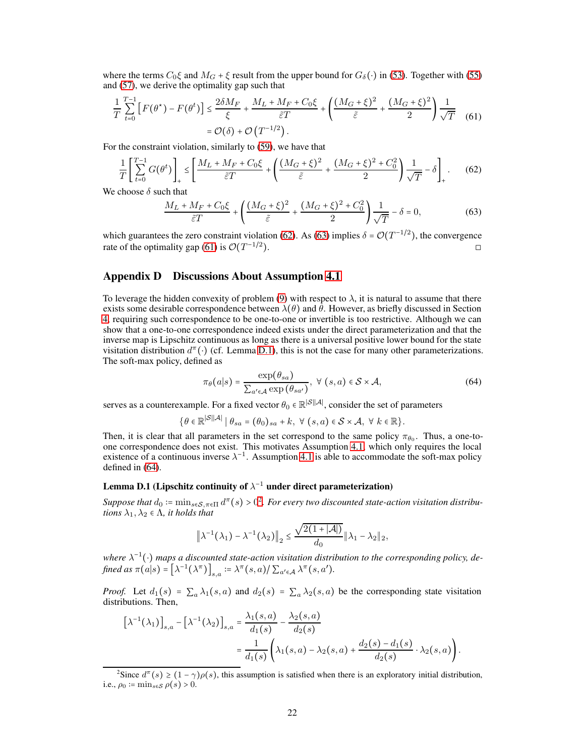where the terms  $C_0\xi$  and  $M_G + \xi$  result from the upper bound for  $G_\delta(\cdot)$  in [\(53\)](#page-18-4). Together with [\(55\)](#page-19-0) and [\(57\)](#page-20-0), we derive the optimality gap such that

$$
\frac{1}{T} \sum_{t=0}^{T-1} \left[ F(\theta^*) - F(\theta^t) \right] \le \frac{2\delta M_F}{\xi} + \frac{M_L + M_F + C_0 \xi}{\tilde{\varepsilon} T} + \left( \frac{(M_G + \xi)^2}{\tilde{\varepsilon}} + \frac{(M_G + \xi)^2}{2} \right) \frac{1}{\sqrt{T}} \tag{61}
$$
\n
$$
= \mathcal{O}(\delta) + \mathcal{O}\left(T^{-1/2}\right).
$$

For the constraint violation, similarly to [\(59\)](#page-20-1), we have that

$$
\frac{1}{T} \left[ \sum_{t=0}^{T-1} G(\theta^t) \right]_+ \le \left[ \frac{M_L + M_F + C_0 \xi}{\tilde{\varepsilon} T} + \left( \frac{(M_G + \xi)^2}{\tilde{\varepsilon}} + \frac{(M_G + \xi)^2 + C_0^2}{2} \right) \frac{1}{\sqrt{T}} - \delta \right]_+.
$$
 (62)

We choose  $\delta$  such that

<span id="page-21-3"></span><span id="page-21-2"></span><span id="page-21-1"></span>
$$
\frac{M_L + M_F + C_0 \xi}{\tilde{\varepsilon} T} + \left( \frac{(M_G + \xi)^2}{\tilde{\varepsilon}} + \frac{(M_G + \xi)^2 + C_0^2}{2} \right) \frac{1}{\sqrt{T}} - \delta = 0,
$$
\n(63)

which guarantees the zero constraint violation [\(62\)](#page-21-1). As [\(63\)](#page-21-2) implies  $\delta = \mathcal{O}(T^{-1/2})$ , the convergence rate of the optimality gap [\(61\)](#page-21-3) is  $\mathcal{O}(T^{-1/2})$  $\Box$ ).

## <span id="page-21-0"></span>Appendix D Discussions About Assumption [4.1](#page-5-2)

To leverage the hidden convexity of problem [\(9\)](#page-3-2) with respect to  $\lambda$ , it is natural to assume that there exists some desirable correspondence between  $\lambda(\theta)$  and  $\theta$ . However, as briefly discussed in Section [4,](#page-5-0) requiring such correspondence to be one-to-one or invertible is too restrictive. Although we can show that a one-to-one correspondence indeed exists under the direct parameterization and that the inverse map is Lipschitz continuous as long as there is a universal positive lower bound for the state visitation distribution  $d^{\pi}(\cdot)$  (cf. Lemma [D.1\)](#page-21-4), this is not the case for many other parameterizations. The soft-max policy, defined as

<span id="page-21-5"></span>
$$
\pi_{\theta}(a|s) = \frac{\exp(\theta_{sa})}{\sum_{a' \in \mathcal{A}} \exp(\theta_{sa'})}, \ \forall \ (s, a) \in \mathcal{S} \times \mathcal{A}, \tag{64}
$$

serves as a counterexample. For a fixed vector  $\theta_0 \in \mathbb{R}^{|\mathcal{S}||\mathcal{A}|}$ , consider the set of parameters

$$
\{\theta \in \mathbb{R}^{\mathcal{S}||\mathcal{A}|} \mid \theta_{sa} = (\theta_0)_{sa} + k, \ \forall \ (s,a) \in \mathcal{S} \times \mathcal{A}, \ \forall \ k \in \mathbb{R}\}.
$$

Then, it is clear that all parameters in the set correspond to the same policy  $\pi_{\theta_0}$ . Thus, a one-toone correspondence does not exist. This motivates Assumption [4.1,](#page-5-2) which only requires the local existence of a continuous inverse  $\lambda^{-1}$ . Assumption [4.1](#page-5-2) is able to accommodate the soft-max policy defined in [\(64\)](#page-21-5).

# <span id="page-21-4"></span>Lemma D.1 (Lipschitz continuity of  $\lambda^{-1}$  under direct parameterization)

Suppose that  $d_0 := \min_{s \in S, \pi \in \Pi} d^{\pi}(s) > 0^2$ . For every two discounted state-action visitation distribu*tions*  $\lambda_1, \lambda_2 \in \Lambda$ *, it holds that* 

$$
\left\|\lambda^{-1}\left(\lambda_1\right)-\lambda^{-1}\left(\lambda_2\right)\right\|_2 \leq \frac{\sqrt{2(1+|\mathcal{A}|)}}{d_0}\|\lambda_1-\lambda_2\|_2,
$$

*where*  $\lambda^{-1}(\cdot)$  *maps a discounted state-action visitation distribution to the corresponding policy, defined as*  $\pi(a|s) = [\lambda^{-1}(\lambda^{\pi})]_{s,a} \coloneqq \lambda^{\pi}(s,a) / \sum_{a' \in \mathcal{A}} \lambda^{\pi}(s,a').$ 

*Proof.* Let  $d_1(s) = \sum_a \lambda_1(s, a)$  and  $d_2(s) = \sum_a \lambda_2(s, a)$  be the corresponding state visitation distributions. Then,

$$
[\lambda^{-1}(\lambda_1)]_{s,a} - [\lambda^{-1}(\lambda_2)]_{s,a} = \frac{\lambda_1(s,a)}{d_1(s)} - \frac{\lambda_2(s,a)}{d_2(s)}
$$
  
= 
$$
\frac{1}{d_1(s)} \left( \lambda_1(s,a) - \lambda_2(s,a) + \frac{d_2(s) - d_1(s)}{d_2(s)} \cdot \lambda_2(s,a) \right).
$$

<sup>&</sup>lt;sup>2</sup>Since  $d^{\pi}(s) \ge (1 - \gamma)\rho(s)$ , this assumption is satisfied when there is an exploratory initial distribution, i.e.,  $\rho_0 \coloneqq \min_{s \in \mathcal{S}} \rho(s) > 0$ .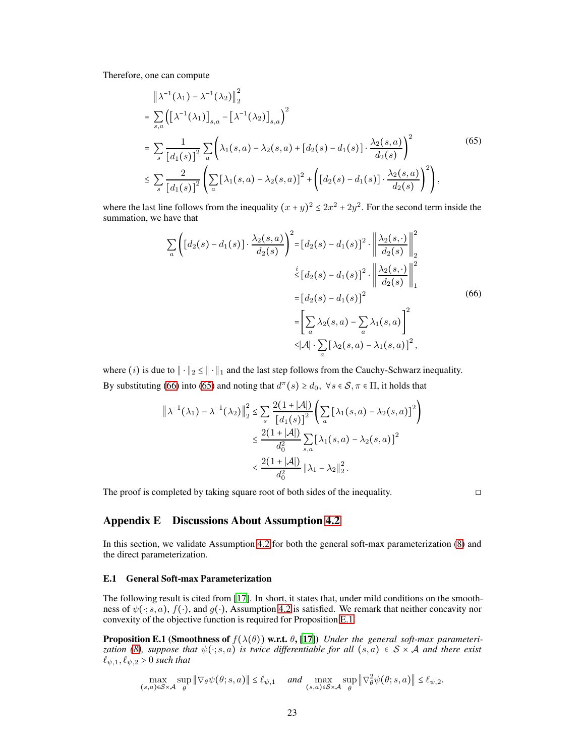Therefore, one can compute

<span id="page-22-2"></span>
$$
\|\lambda^{-1}(\lambda_1) - \lambda^{-1}(\lambda_2)\|_2^2
$$
\n
$$
= \sum_{s,a} \left( \left[ \lambda^{-1}(\lambda_1) \right]_{s,a} - \left[ \lambda^{-1}(\lambda_2) \right]_{s,a} \right)^2
$$
\n
$$
= \sum_{s} \frac{1}{\left[ d_1(s) \right]^2} \sum_{a} \left( \lambda_1(s,a) - \lambda_2(s,a) + \left[ d_2(s) - d_1(s) \right] \cdot \frac{\lambda_2(s,a)}{d_2(s)} \right)^2
$$
\n
$$
\leq \sum_{s} \frac{2}{\left[ d_1(s) \right]^2} \left( \sum_{a} \left[ \lambda_1(s,a) - \lambda_2(s,a) \right]^2 + \left( \left[ d_2(s) - d_1(s) \right] \cdot \frac{\lambda_2(s,a)}{d_2(s)} \right)^2 \right), \tag{65}
$$

where the last line follows from the inequality  $(x + y)^2 \le 2x^2 + 2y^2$ . For the second term inside the summation, we have that

<span id="page-22-1"></span>
$$
\sum_{a} \left( \left[ d_2(s) - d_1(s) \right] \cdot \frac{\lambda_2(s, a)}{d_2(s)} \right)^2 = \left[ d_2(s) - d_1(s) \right]^2 \cdot \left\| \frac{\lambda_2(s, \cdot)}{d_2(s)} \right\|_2^2
$$
  

$$
\stackrel{i}{\leq} \left[ d_2(s) - d_1(s) \right]^2 \cdot \left\| \frac{\lambda_2(s, \cdot)}{d_2(s)} \right\|_1^2
$$
  

$$
= \left[ d_2(s) - d_1(s) \right]^2
$$
  

$$
= \left[ \sum_a \lambda_2(s, a) - \sum_a \lambda_1(s, a) \right]^2
$$
  

$$
\leq |\mathcal{A}| \cdot \sum_a \left[ \lambda_2(s, a) - \lambda_1(s, a) \right]^2,
$$
 (66)

where (i) is due to  $\|\cdot\|_2 \le \|\cdot\|_1$  and the last step follows from the Cauchy-Schwarz inequality. By substituting [\(66\)](#page-22-1) into [\(65\)](#page-22-2) and noting that  $d^{\pi}(s) \ge d_0$ ,  $\forall s \in S, \pi \in \Pi$ , it holds that

$$
\|\lambda^{-1}(\lambda_1) - \lambda^{-1}(\lambda_2)\|_2^2 \le \sum_{s} \frac{2(1+|A|)}{[d_1(s)]^2} \left(\sum_{a} [\lambda_1(s, a) - \lambda_2(s, a)]^2\right)
$$
  

$$
\le \frac{2(1+|A|)}{d_0^2} \sum_{s, a} [\lambda_1(s, a) - \lambda_2(s, a)]^2
$$
  

$$
\le \frac{2(1+|A|)}{d_0^2} \|\lambda_1 - \lambda_2\|_2^2.
$$

<span id="page-22-0"></span>The proof is completed by taking square root of both sides of the inequality. □

<span id="page-22-3"></span>

# Appendix E Discussions About Assumption [4.2](#page-6-1)

In this section, we validate Assumption [4.2](#page-6-1) for both the general soft-max parameterization [\(8\)](#page-3-1) and the direct parameterization.

#### E.1 General Soft-max Parameterization

The following result is cited from [\[17\]](#page-9-14). In short, it states that, under mild conditions on the smoothness of  $\psi(\cdot; s, a)$ ,  $f(\cdot)$ , and  $g(\cdot)$ , Assumption [4.2](#page-6-1) is satisfied. We remark that neither concavity nor convexity of the objective function is required for Proposition [E.1.](#page-22-3)

**Proposition E.1 (Smoothness of**  $f(\lambda(\theta))$  w.r.t.  $\theta$ , [\[17](#page-9-14)]) *Under the general soft-max parameteri-zation [\(8\)](#page-3-1), suppose that*  $\psi(\cdot; s, a)$  *is twice differentiable for all*  $(s, a) \in S \times A$  *and there exist*  $\ell_{\psi,1}, \ell_{\psi,2} > 0$  *such that* 

$$
\max_{(s,a)\in\mathcal{S}\times\mathcal{A}}\sup_{\theta}\|\nabla_{\theta}\psi(\theta;s,a)\|\leq \ell_{\psi,1}\quad \text{ and }\max_{(s,a)\in\mathcal{S}\times\mathcal{A}}\sup_{\theta}\|\nabla^2_{\theta}\psi(\theta;s,a)\|\leq \ell_{\psi,2}.
$$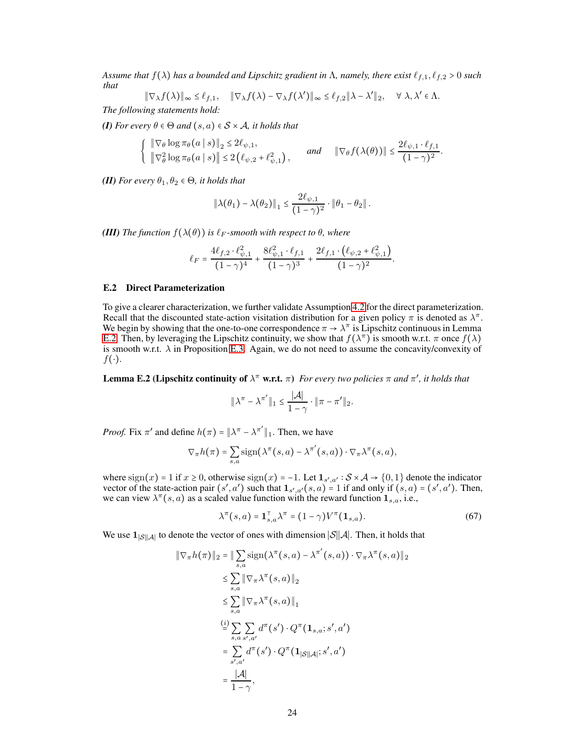*Assume that*  $f(\lambda)$  *has a bounded and Lipschitz gradient in*  $\Lambda$ *, namely, there exist*  $\ell_{f,1}, \ell_{f,2} > 0$  *such that*

$$
\|\nabla_{\lambda} f(\lambda)\|_{\infty} \leq \ell_{f,1}, \quad \|\nabla_{\lambda} f(\lambda) - \nabla_{\lambda} f(\lambda')\|_{\infty} \leq \ell_{f,2} \|\lambda - \lambda'\|_{2}, \quad \forall \lambda, \lambda' \in \Lambda.
$$

*The following statements hold:*

*(I) For every*  $\theta \in \Theta$  *and*  $(s, a) \in S \times A$ *, it holds that* 

$$
\left\{ \begin{array}{ll} \|\nabla_{\theta}\log\pi_{\theta}(a\mid s)\|_{2} \leq 2\ell_{\psi,1}, \\ \|\nabla_{\theta}^{2}\log\pi_{\theta}(a\mid s)\| \leq 2\left(\ell_{\psi,2}+\ell_{\psi,1}^{2}\right), \end{array} \right. \quad and \quad \|\nabla_{\theta}f(\lambda(\theta))\| \leq \frac{2\ell_{\psi,1}\cdot\ell_{f,1}}{(1-\gamma)^{2}}.
$$

*(II) For every*  $\theta_1, \theta_2 \in \Theta$ *, it holds that* 

$$
\left\|\lambda(\theta_1)-\lambda(\theta_2)\right\|_1\leq \frac{2\ell_{\psi,1}}{(1-\gamma)^2}\cdot\left\|\theta_1-\theta_2\right\|.
$$

*(III) The function*  $f(\lambda(\theta))$  *is*  $\ell_F$ *-smooth with respect to*  $\theta$ *, where* 

$$
\ell_F = \frac{4\ell_{f,2} \cdot \ell_{\psi,1}^2}{(1-\gamma)^4} + \frac{8\ell_{\psi,1}^2 \cdot \ell_{f,1}}{(1-\gamma)^3} + \frac{2\ell_{f,1} \cdot (\ell_{\psi,2} + \ell_{\psi,1}^2)}{(1-\gamma)^2}.
$$

# E.2 Direct Parameterization

To give a clearer characterization, we further validate Assumption [4.2](#page-6-1) for the direct parameterization. Recall that the discounted state-action visitation distribution for a given policy  $\pi$  is denoted as  $\lambda^{\pi}$ . We begin by showing that the one-to-one correspondence  $\pi \to \lambda^{\pi}$  is Lipschitz continuous in Lemma [E.2.](#page-23-0) Then, by leveraging the Lipschitz continuity, we show that  $f(\lambda^{\pi})$  is smooth w.r.t.  $\pi$  once  $f(\lambda)$ is smooth w.r.t.  $\lambda$  in Proposition [E.3.](#page-24-0) Again, we do not need to assume the concavity/convexity of  $f(\cdot)$ .

<span id="page-23-0"></span>**Lemma E.2 (Lipschitz continuity of**  $\lambda^{\pi}$  w.r.t.  $\pi$ ) *For every two policies*  $\pi$  *and*  $\pi'$ *, it holds that* 

$$
\|\lambda^{\pi}-\lambda^{\pi'}\|_1\leq \frac{|\mathcal{A}|}{1-\gamma}\cdot \|\pi-\pi'\|_2.
$$

*Proof.* Fix  $\pi'$  and define  $h(\pi) = ||\lambda^{\pi} - \lambda^{\pi'}||_1$ . Then, we have

$$
\nabla_{\pi} h(\pi) = \sum_{s,a} sign(\lambda^{\pi}(s,a) - \lambda^{\pi'}(s,a)) \cdot \nabla_{\pi} \lambda^{\pi}(s,a),
$$

where  $\text{sign}(x) = 1$  if  $x \ge 0$ , otherwise  $\text{sign}(x) = -1$ . Let  $\mathbf{1}_{s', a'} : S \times A \rightarrow \{0, 1\}$  denote the indicator vector of the state-action pair  $(s', a')$  such that  $\mathbf{1}_{s', a'}(s, a) = 1$  if and only if  $(s, a) = (s', a')$ . Then, we can view  $\lambda^{\pi}(s, a)$  as a scaled value function with the reward function  $\mathbf{1}_{s,a}$ , i.e.,

<span id="page-23-1"></span>
$$
\lambda^{\pi}(s,a) = \mathbf{1}_{s,a}^{\top} \lambda^{\pi} = (1 - \gamma)V^{\pi}(\mathbf{1}_{s,a}).
$$
\n(67)

We use  $1_{|\mathcal{S}||\mathcal{A}|}$  to denote the vector of ones with dimension  $|\mathcal{S}||\mathcal{A}|$ . Then, it holds that

$$
\|\nabla_{\pi}h(\pi)\|_{2} = \|\sum_{s,a}\text{sign}(\lambda^{\pi}(s,a) - \lambda^{\pi'}(s,a))\cdot \nabla_{\pi}\lambda^{\pi}(s,a)\|_{2}
$$
  
\n
$$
\leq \sum_{s,a} \|\nabla_{\pi}\lambda^{\pi}(s,a)\|_{2}
$$
  
\n
$$
\leq \sum_{s,a} \|\nabla_{\pi}\lambda^{\pi}(s,a)\|_{1}
$$
  
\n
$$
\stackrel{(i)}{=} \sum_{s,a} \sum_{s',a'} d^{\pi}(s') \cdot Q^{\pi}(\mathbf{1}_{s,a};s',a')
$$
  
\n
$$
= \sum_{s',a'} d^{\pi}(s') \cdot Q^{\pi}(\mathbf{1}_{|\mathcal{S}||\mathcal{A}|};s',a')
$$
  
\n
$$
= \frac{|\mathcal{A}|}{1-\gamma},
$$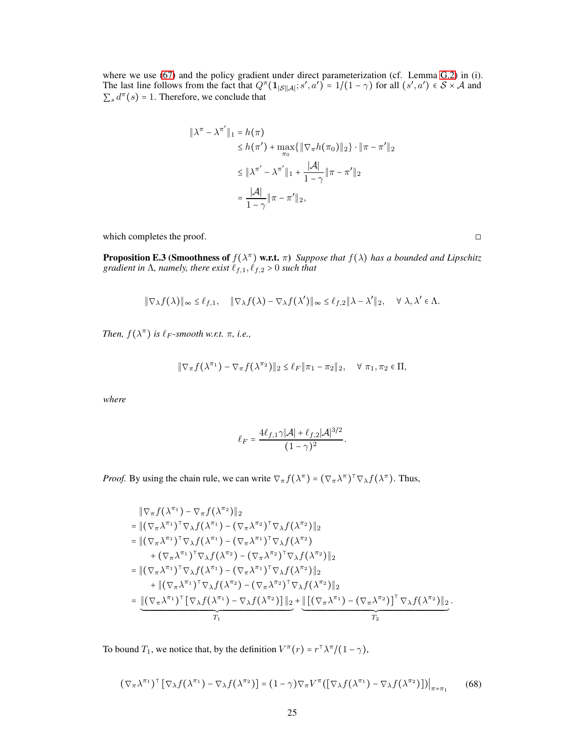where we use [\(67\)](#page-23-1) and the policy gradient under direct parameterization (cf. Lemma [G.2\)](#page-29-2) in (i). The last line follows from the fact that  $Q^{\pi}(\mathbf{1}_{|\mathcal{S}||\mathcal{A}|}; s', a') = 1/(1 - \gamma)$  for all  $(s', a') \in \mathcal{S} \times \mathcal{A}$  and  $\sum_s d^{\pi}(s) = 1$ . Therefore, we conclude that

$$
\|\lambda^{\pi} - \lambda^{\pi'}\|_1 = h(\pi)
$$
  
\n
$$
\leq h(\pi') + \max_{\pi_0} {\| \nabla_{\pi} h(\pi_0) \|_2} \cdot \|\pi - \pi'\|_2
$$
  
\n
$$
\leq \|\lambda^{\pi'} - \lambda^{\pi'}\|_1 + \frac{|\mathcal{A}|}{1 - \gamma} \|\pi - \pi'\|_2
$$
  
\n
$$
= \frac{|\mathcal{A}|}{1 - \gamma} \|\pi - \pi'\|_2,
$$

which completes the proof.  $\Box$ 

<span id="page-24-0"></span>**Proposition E.3 (Smoothness of**  $f(\lambda^{\pi})$  w.r.t.  $\pi$ ) *Suppose that*  $f(\lambda)$  *has a bounded and Lipschitz gradient in*  $\Lambda$ *, namely, there exist*  $\ell_{f,1}$ *,*  $\ell_{f,2}$  > 0 *such that* 

$$
\|\nabla_\lambda f(\lambda)\|_\infty \leq \ell_{f,1}, \quad \|\nabla_\lambda f(\lambda) - \nabla_\lambda f(\lambda')\|_\infty \leq \ell_{f,2} \|\lambda - \lambda'\|_2, \quad \forall \lambda, \lambda' \in \Lambda.
$$

*Then,*  $f(\lambda^{\pi})$  *is*  $\ell_F$ *-smooth w.r.t.*  $\pi$ *, i.e.*,

$$
\|\nabla_{\pi} f(\lambda^{\pi_1}) - \nabla_{\pi} f(\lambda^{\pi_2})\|_2 \leq \ell_F \|\pi_1 - \pi_2\|_2, \quad \forall \pi_1, \pi_2 \in \Pi,
$$

*where*

$$
\ell_F=\frac{4\ell_{f,1}\gamma|\mathcal{A}|+\ell_{f,2}|\mathcal{A}|^{3/2}}{(1-\gamma)^2}.
$$

*Proof.* By using the chain rule, we can write  $\nabla_{\pi} f(\lambda^{\pi}) = (\nabla_{\pi} \lambda^{\pi})^{\top} \nabla_{\lambda} f(\lambda^{\pi})$ . Thus,

$$
\begin{split}\n&= \|\nabla_{\pi} f(\lambda^{\pi_1}) - \nabla_{\pi} f(\lambda^{\pi_2})\|_2 \\
&= \|(\nabla_{\pi} \lambda^{\pi_1})^{\top} \nabla_{\lambda} f(\lambda^{\pi_1}) - (\nabla_{\pi} \lambda^{\pi_2})^{\top} \nabla_{\lambda} f(\lambda^{\pi_2})\|_2 \\
&= \|(\nabla_{\pi} \lambda^{\pi_1})^{\top} \nabla_{\lambda} f(\lambda^{\pi_1}) - (\nabla_{\pi} \lambda^{\pi_1})^{\top} \nabla_{\lambda} f(\lambda^{\pi_2}) \\
&\quad + (\nabla_{\pi} \lambda^{\pi_1})^{\top} \nabla_{\lambda} f(\lambda^{\pi_2}) - (\nabla_{\pi} \lambda^{\pi_2})^{\top} \nabla_{\lambda} f(\lambda^{\pi_2})\|_2 \\
&= \|(\nabla_{\pi} \lambda^{\pi_1})^{\top} \nabla_{\lambda} f(\lambda^{\pi_1}) - (\nabla_{\pi} \lambda^{\pi_1})^{\top} \nabla_{\lambda} f(\lambda^{\pi_2})\|_2 \\
&\quad + \|(\nabla_{\pi} \lambda^{\pi_1})^{\top} \nabla_{\lambda} f(\lambda^{\pi_2}) - (\nabla_{\pi} \lambda^{\pi_2})^{\top} \nabla_{\lambda} f(\lambda^{\pi_2})\|_2 \\
&= \underbrace{\|(\nabla_{\pi} \lambda^{\pi_1})^{\top} [\nabla_{\lambda} f(\lambda^{\pi_1}) - \nabla_{\lambda} f(\lambda^{\pi_2})] \|_2}_{T_1} + \underbrace{\|[(\nabla_{\pi} \lambda^{\pi_1}) - (\nabla_{\pi} \lambda^{\pi_2})]^{\top} \nabla_{\lambda} f(\lambda^{\pi_2})\|_2}_{T_2}.\n\end{split}
$$

To bound  $T_1$ , we notice that, by the definition  $V^{\pi}(r) = r^{\pi} \lambda^{\pi}/(1 - \gamma)$ ,

<span id="page-24-1"></span>
$$
(\nabla_{\pi} \lambda^{\pi_1})^{\top} [\nabla_{\lambda} f(\lambda^{\pi_1}) - \nabla_{\lambda} f(\lambda^{\pi_2})] = (1 - \gamma) \nabla_{\pi} V^{\pi} ([\nabla_{\lambda} f(\lambda^{\pi_1}) - \nabla_{\lambda} f(\lambda^{\pi_2})]) \Big|_{\pi = \pi_1}
$$
 (68)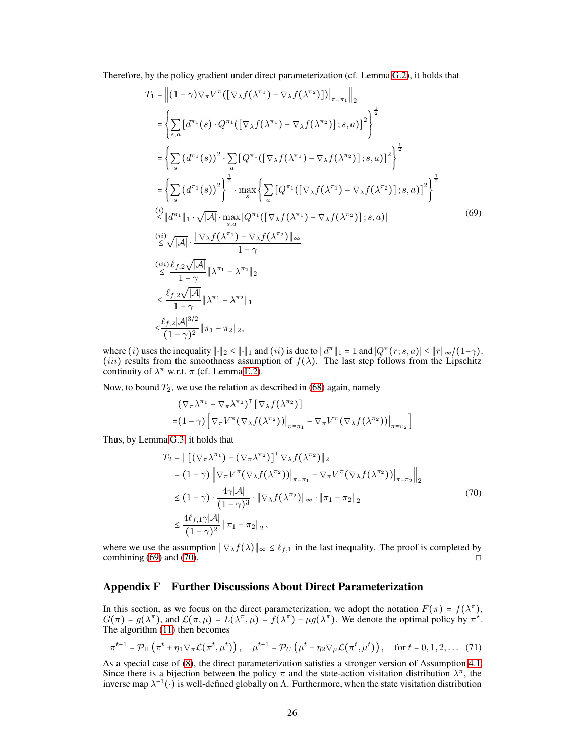Therefore, by the policy gradient under direct parameterization (cf. Lemma [G.2\)](#page-29-2), it holds that

<span id="page-25-1"></span>
$$
T_{1} = \left\| (1 - \gamma) \nabla_{\pi} V^{\pi}([\nabla_{\lambda} f(\lambda^{\pi_{1}}) - \nabla_{\lambda} f(\lambda^{\pi_{2}})]) \right\|_{\pi = \pi_{1}} \right\|_{2}
$$
\n
$$
= \left\{ \sum_{s,a} \left[ d^{\pi_{1}}(s) \cdot Q^{\pi_{1}}([\nabla_{\lambda} f(\lambda^{\pi_{1}}) - \nabla_{\lambda} f(\lambda^{\pi_{2}})]; s, a) \right]^{2} \right\}^{\frac{1}{2}}
$$
\n
$$
= \left\{ \sum_{s} \left( d^{\pi_{1}}(s) \right)^{2} \cdot \sum_{a} \left[ Q^{\pi_{1}}([\nabla_{\lambda} f(\lambda^{\pi_{1}}) - \nabla_{\lambda} f(\lambda^{\pi_{2}})]; s, a) \right]^{2} \right\}^{\frac{1}{2}}
$$
\n
$$
= \left\{ \sum_{s} \left( d^{\pi_{1}}(s) \right)^{2} \right\}^{\frac{1}{2}} \cdot \max_{s} \left\{ \sum_{a} \left[ Q^{\pi_{1}}([\nabla_{\lambda} f(\lambda^{\pi_{1}}) - \nabla_{\lambda} f(\lambda^{\pi_{2}})]; s, a) \right]^{2} \right\}^{\frac{1}{2}}
$$
\n
$$
\stackrel{(i)}{\leq} \left\| d^{\pi_{1}} \right\|_{1} \cdot \sqrt{|A|} \cdot \max_{s,a} \left\{ Q^{\pi_{1}}([\nabla_{\lambda} f(\lambda^{\pi_{1}}) - \nabla_{\lambda} f(\lambda^{\pi_{2}})]; s, a) \right\}
$$
\n
$$
\stackrel{(ii)}{\leq} \sqrt{|A|} \cdot \frac{\left\| \nabla_{\lambda} f(\lambda^{\pi_{1}}) - \nabla_{\lambda} f(\lambda^{\pi_{2}}) \right\|_{\infty}}{1 - \gamma}
$$
\n
$$
\stackrel{(iii)}{\leq} \frac{\ell_{f,2} \sqrt{|A|}}{1 - \gamma} \left\| \lambda^{\pi_{1}} - \lambda^{\pi_{2}} \right\|_{2}
$$
\n
$$
\leq \frac{\ell_{f,2} |A|^{3/2}}{1 - \gamma} \left\| \eta_{1} - \pi_{2} \right\|_{2},
$$
\n<math display="block</math>

where (i) uses the inequality  $||\cdot||_2 \le ||\cdot||_1$  and (ii) is due to  $||d^{\pi}||_1 = 1$  and  $|Q^{\pi}(r;s,a)| \le ||r||_{\infty}/(1-\gamma)$ . (iii) results from the smoothness assumption of  $f(\lambda)$ . The last step follows from the Lipschitz continuity of  $\lambda^{\pi}$  w.r.t.  $\pi$  (cf. Lemma [E.2\)](#page-23-0).

Now, to bound  $T_2$ , we use the relation as described in [\(68\)](#page-24-1) again, namely

<span id="page-25-2"></span>
$$
(\nabla_{\pi} \lambda^{\pi_1} - \nabla_{\pi} \lambda^{\pi_2})^{\top} [\nabla_{\lambda} f(\lambda^{\pi_2})]
$$
  
=  $(1 - \gamma) [\nabla_{\pi} V^{\pi} (\nabla_{\lambda} f(\lambda^{\pi_2}))|_{\pi = \pi_1} - \nabla_{\pi} V^{\pi} (\nabla_{\lambda} f(\lambda^{\pi_2}))|_{\pi = \pi_2}]$ 

Thus, by Lemma [G.3,](#page-29-3) it holds that

$$
T_2 = || [(\nabla_\pi \lambda^{\pi_1}) - (\nabla_\pi \lambda^{\pi_2}) ]^\top \nabla_\lambda f(\lambda^{\pi_2}) ||_2
$$
  
\n
$$
= (1 - \gamma) ||\nabla_\pi V^\pi (\nabla_\lambda f(\lambda^{\pi_2}))|_{\pi = \pi_1} - \nabla_\pi V^\pi (\nabla_\lambda f(\lambda^{\pi_2}))|_{\pi = \pi_2} ||_2
$$
  
\n
$$
\leq (1 - \gamma) \cdot \frac{4\gamma |\mathcal{A}|}{(1 - \gamma)^3} \cdot ||\nabla_\lambda f(\lambda^{\pi_2})||_{\infty} \cdot ||\pi_1 - \pi_2||_2
$$
  
\n
$$
\leq \frac{4\ell_{f,1}\gamma |\mathcal{A}|}{(1 - \gamma)^2} ||\pi_1 - \pi_2||_2,
$$
\n(70)

where we use the assumption  $\|\nabla_{\lambda} f(\lambda)\|_{\infty} \leq \ell_{f,1}$  in the last inequality. The proof is completed by combining (69) and (70) combining  $(69)$  and  $(70)$ .

# <span id="page-25-0"></span>Appendix F Further Discussions About Direct Parameterization

In this section, as we focus on the direct parameterization, we adopt the notation  $F(\pi) = f(\lambda^{\pi})$ ,  $G(\pi) = g(\lambda^{\pi})$ , and  $\mathcal{L}(\pi, \mu) = L(\lambda^{\pi}, \mu) = f(\lambda^{\pi}) - \mu g(\lambda^{\pi})$ . We denote the optimal policy by  $\pi^{*}$ . The algorithm [\(11\)](#page-4-2) then becomes

<span id="page-25-3"></span>
$$
\pi^{t+1} = \mathcal{P}_{\Pi}\left(\pi^t + \eta_1 \nabla_{\pi} \mathcal{L}(\pi^t, \mu^t)\right), \quad \mu^{t+1} = \mathcal{P}_{U}\left(\mu^t - \eta_2 \nabla_{\mu} \mathcal{L}(\pi^t, \mu^t)\right), \quad \text{for } t = 0, 1, 2, \dots \tag{71}
$$

As a special case of [\(8\)](#page-3-1), the direct parameterization satisfies a stronger version of Assumption [4.1.](#page-5-2) Since there is a bijection between the policy  $\pi$  and the state-action visitation distribution  $\lambda^{\pi}$ , the inverse map  $\lambda^{-1}(\cdot)$  is well-defined globally on  $\Lambda$ . Furthermore, when the state visitation distribution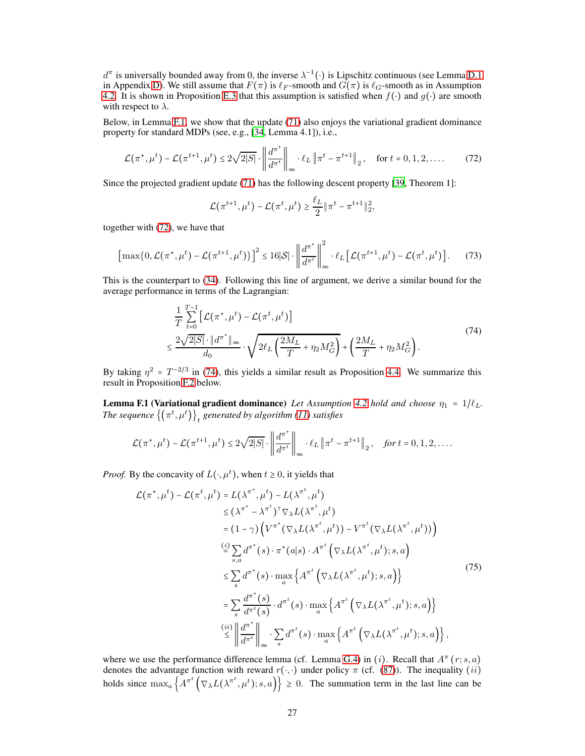$d^{\pi}$  is universally bounded away from 0, the inverse  $\lambda^{-1}(\cdot)$  is Lipschitz continuous (see Lemma [D.1](#page-21-4)) in Appendix [D\)](#page-21-0). We still assume that  $F(\pi)$  is  $\ell_F$ -smooth and  $G(\pi)$  is  $\ell_G$ -smooth as in Assumption [4.2.](#page-6-1) It is shown in Proposition [E.3](#page-24-0) that this assumption is satisfied when  $f(\cdot)$  and  $g(\cdot)$  are smooth with respect to  $\lambda$ .

Below, in Lemma [F.1,](#page-26-0) we show that the update [\(71\)](#page-25-3) also enjoys the variational gradient dominance property for standard MDPs (see, e.g., [\[34](#page-10-10), Lemma 4.1]), i.e.,

$$
\mathcal{L}(\pi^{\star}, \mu^t) - \mathcal{L}(\pi^{t+1}, \mu^t) \le 2\sqrt{2|S|} \cdot \left\| \frac{d^{\pi^{\star}}}{d^{\pi^t}} \right\|_{\infty} \cdot \ell_L \left\| \pi^t - \pi^{t+1} \right\|_2, \quad \text{for } t = 0, 1, 2, \dots
$$
 (72)

Since the projected gradient update [\(71\)](#page-25-3) has the following descent property [\[39,](#page-10-16) Theorem 1]:

<span id="page-26-2"></span><span id="page-26-1"></span>
$$
\mathcal{L}(\pi^{t+1}, \mu^t) - \mathcal{L}(\pi^t, \mu^t) \ge \frac{\ell_L}{2} \|\pi^t - \pi^{t+1}\|_2^2,
$$

together with [\(72\)](#page-26-1), we have that

$$
\left[\max\{0,\mathcal{L}(\pi^\star,\mu^t)-\mathcal{L}(\pi^{t+1},\mu^t)\}\right]^2 \leq 16|\mathcal{S}| \cdot \left\|\frac{d^{\pi^\star}}{d^{\pi^t}}\right\|_{\infty}^2 \cdot \ell_L \left[\mathcal{L}(\pi^{t+1},\mu^t)-\mathcal{L}(\pi^t,\mu^t)\right].\tag{73}
$$

This is the counterpart to [\(34\)](#page-13-3). Following this line of argument, we derive a similar bound for the average performance in terms of the Lagrangian:

$$
\frac{1}{T} \sum_{t=0}^{T-1} \left[ \mathcal{L}(\pi^*, \mu^t) - \mathcal{L}(\pi^t, \mu^t) \right] \n\leq \frac{2\sqrt{2|S|} \cdot \|d^{\pi^*}\|_{\infty}}{d_0} \cdot \sqrt{2\ell_L \left(\frac{2M_L}{T} + \eta_2 M_G^2\right)} + \left(\frac{2M_L}{T} + \eta_2 M_G^2\right).
$$
\n(74)

<span id="page-26-0"></span>By taking  $\eta^2 = T^{-2/3}$  in [\(74\)](#page-26-2), this yields a similar result as Proposition [4.4.](#page-6-2) We summarize this result in Proposition [F.2](#page-27-0) below.

**Lemma F.1 (Variational gradient dominance)** *Let Assumption [4.2](#page-6-1) hold and choose*  $\eta_1 = 1/\ell_L$ *.* The sequence  $\left\{\left(\pi^t,\mu^t\right)\right\}_t$  generated by algorithm [\(11\)](#page-4-2) satisfies

$$
\mathcal{L}(\pi^*, \mu^t) - \mathcal{L}(\pi^{t+1}, \mu^t) \leq 2\sqrt{2|S|} \cdot \left\| \frac{d^{\pi^*}}{d^{\pi^t}} \right\|_{\infty} \cdot \ell_L \left\| \pi^t - \pi^{t+1} \right\|_2, \quad \text{for } t = 0, 1, 2, \dots.
$$

*Proof.* By the concavity of  $L(\cdot, \mu^t)$ , when  $t \ge 0$ , it yields that

<span id="page-26-3"></span>
$$
\mathcal{L}(\pi^*, \mu^t) - \mathcal{L}(\pi^t, \mu^t) = L(\lambda^{\pi^*}, \mu^t) - L(\lambda^{\pi^t}, \mu^t)
$$
\n
$$
\leq (\lambda^{\pi^*} - \lambda^{\pi^t})^{\top} \nabla_{\lambda} L(\lambda^{\pi^t}, \mu^t)
$$
\n
$$
= (1 - \gamma) \left( V^{\pi^*} (\nabla_{\lambda} L(\lambda^{\pi^t}, \mu^t)) - V^{\pi^t} (\nabla_{\lambda} L(\lambda^{\pi^t}, \mu^t)) \right)
$$
\n
$$
\stackrel{(i)}{=} \sum_{s,a} d^{\pi^*} (s) \cdot \pi^* (a|s) \cdot A^{\pi^t} \left( \nabla_{\lambda} L(\lambda^{\pi^t}, \mu^t); s, a \right)
$$
\n
$$
\leq \sum_{s} d^{\pi^*} (s) \cdot \max_{a} \left\{ A^{\pi^t} \left( \nabla_{\lambda} L(\lambda^{\pi^t}, \mu^t); s, a \right) \right\}
$$
\n
$$
= \sum_{s} \frac{d^{\pi^*} (s)}{d^{\pi^t} (s)} \cdot d^{\pi^t} (s) \cdot \max_{a} \left\{ A^{\pi^t} \left( \nabla_{\lambda} L(\lambda^{\pi^t}, \mu^t); s, a \right) \right\}
$$
\n
$$
\stackrel{(ii)}{\leq} \left\| \frac{d^{\pi^*}}{d^{\pi^t}} \right\|_{\infty} \cdot \sum_{s} d^{\pi^t} (s) \cdot \max_{a} \left\{ A^{\pi^t} \left( \nabla_{\lambda} L(\lambda^{\pi^t}, \mu^t); s, a \right) \right\},
$$
\n(75)

where we use the performance difference lemma (cf. Lemma [G.4\)](#page-29-1) in (i). Recall that  $A^{\pi}(r; s, a)$ denotes the advantage function with reward  $r(\cdot, \cdot)$  under policy  $\pi$  (cf. [\(87\)](#page-30-0)). The inequality (*ii*) holds since  $\max_a \left\{ A^{\pi^t} \left( \nabla_\lambda L(\lambda^{\pi^t}, \mu^t); s, a \right) \right\} \ge 0$ . The summation term in the last line can be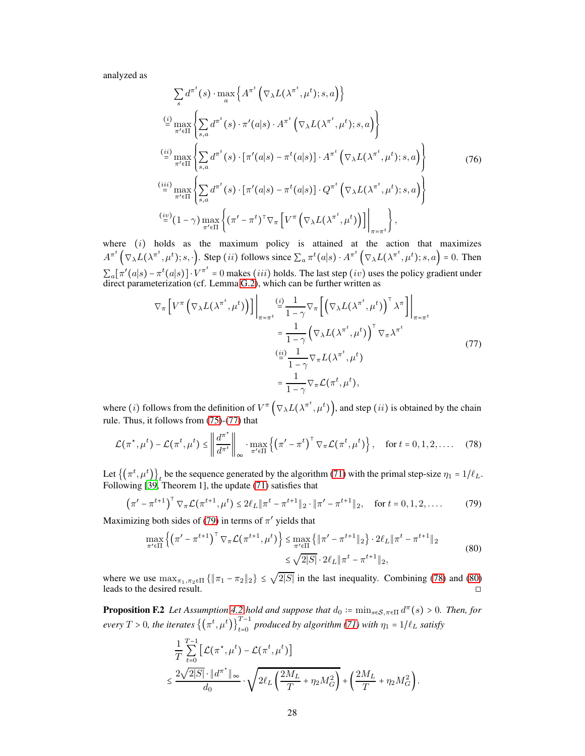analyzed as

$$
\sum_{s} d^{\pi^{t}}(s) \cdot \max_{a} \left\{ A^{\pi^{t}}\left(\nabla_{\lambda} L(\lambda^{\pi^{t}}, \mu^{t}); s, a\right) \right\}
$$
\n
$$
\stackrel{(i)}{=} \max_{\pi' \in \Pi} \left\{ \sum_{s,a} d^{\pi^{t}}(s) \cdot \pi'(a|s) \cdot A^{\pi^{t}}\left(\nabla_{\lambda} L(\lambda^{\pi^{t}}, \mu^{t}); s, a\right) \right\}
$$
\n
$$
\stackrel{(ii)}{=} \max_{\pi' \in \Pi} \left\{ \sum_{s,a} d^{\pi^{t}}(s) \cdot \left[ \pi'(a|s) - \pi^{t}(a|s) \right] \cdot A^{\pi^{t}}\left(\nabla_{\lambda} L(\lambda^{\pi^{t}}, \mu^{t}); s, a\right) \right\}
$$
\n
$$
\stackrel{(iii)}{=} \max_{\pi' \in \Pi} \left\{ \sum_{s,a} d^{\pi^{t}}(s) \cdot \left[ \pi'(a|s) - \pi^{t}(a|s) \right] \cdot Q^{\pi^{t}}\left(\nabla_{\lambda} L(\lambda^{\pi^{t}}, \mu^{t}); s, a\right) \right\}
$$
\n
$$
\stackrel{(iv)}{=} (1 - \gamma) \max_{\pi' \in \Pi} \left\{ (\pi' - \pi^{t})^{\top} \nabla_{\pi} \left[ V^{\pi}\left(\nabla_{\lambda} L(\lambda^{\pi^{t}}, \mu^{t})\right) \right] \right\}_{\pi = \pi^{t}} \right\},
$$
\n(76)

where  $(i)$  holds as the maximum policy is attained at the action that maximizes  $A^{\pi^t}(\nabla_\lambda L(\lambda^{\pi^t}, \mu^t); s, \cdot)$ . Step (*ii*) follows since  $\sum_a \pi^t(a|s) \cdot A^{\pi^t}(\nabla_\lambda L(\lambda^{\pi^t}, \mu^t); s, a) = 0$ . Then  $\sum_a [\pi'(a|s) - \pi^t(a|s)] \cdot V^{\pi^t} = 0$  makes (*iii*) holds. The last step (*iv*) uses the policy gradient under direct parameterization (cf. Lemma [G.2\)](#page-29-2), which can be further written as

<span id="page-27-1"></span>
$$
\nabla_{\pi} \left[ V^{\pi} \left( \nabla_{\lambda} L(\lambda^{\pi^t}, \mu^t) \right) \right] \Big|_{\pi = \pi^t} \stackrel{\text{(i)}}{=} \frac{1}{1 - \gamma} \nabla_{\pi} \left[ \left( \nabla_{\lambda} L(\lambda^{\pi^t}, \mu^t) \right)^{\top} \lambda^{\pi} \right] \Big|_{\pi = \pi^t}
$$
\n
$$
= \frac{1}{1 - \gamma} \left( \nabla_{\lambda} L(\lambda^{\pi^t}, \mu^t) \right)^{\top} \nabla_{\pi} \lambda^{\pi^t}
$$
\n
$$
\stackrel{\text{(ii)}}{=} \frac{1}{1 - \gamma} \nabla_{\pi} L(\lambda^{\pi^t}, \mu^t)
$$
\n
$$
= \frac{1}{1 - \gamma} \nabla_{\pi} \mathcal{L}(\pi^t, \mu^t),
$$
\n(77)

where (*i*) follows from the definition of  $V^{\pi}(\nabla_{\lambda}L(\lambda^{\pi^t}, \mu^t))$ , and step (*ii*) is obtained by the chain rule. Thus, it follows from [\(75\)](#page-26-3)-[\(77\)](#page-27-1) that

<span id="page-27-3"></span>
$$
\mathcal{L}(\pi^*, \mu^t) - \mathcal{L}(\pi^t, \mu^t) \le \left\| \frac{d^{\pi^*}}{d^{\pi^t}} \right\|_{\infty} \cdot \max_{\pi' \in \Pi} \left\{ \left( \pi' - \pi^t \right)^\top \nabla_{\pi} \mathcal{L}(\pi^t, \mu^t) \right\}, \quad \text{for } t = 0, 1, 2, \dots \tag{78}
$$

Let  $\{(\pi^t, \mu^t)\}_t$  be the sequence generated by the algorithm [\(71\)](#page-25-3) with the primal step-size  $\eta_1 = 1/\ell_L$ . Following [\[39,](#page-10-16) Theorem 1], the update [\(71\)](#page-25-3) satisfies that

$$
\left(\pi' - \pi^{t+1}\right)^{\top} \nabla_{\pi} \mathcal{L}(\pi^{t+1}, \mu^t) \le 2\ell_L \|\pi^t - \pi^{t+1}\|_2 \cdot \|\pi' - \pi^{t+1}\|_2, \quad \text{for } t = 0, 1, 2, \dots \tag{79}
$$

Maximizing both sides of [\(79\)](#page-27-2) in terms of  $\pi'$  yields that

<span id="page-27-4"></span><span id="page-27-2"></span>
$$
\max_{\pi' \in \Pi} \left\{ \left( \pi' - \pi^{t+1} \right)^{\top} \nabla_{\pi} \mathcal{L}(\pi^{t+1}, \mu^t) \right\} \le \max_{\pi' \in \Pi} \left\{ \|\pi' - \pi^{t+1}\|_2 \right\} \cdot 2\ell_L \|\pi^t - \pi^{t+1}\|_2
$$
\n
$$
\le \sqrt{2|S|} \cdot 2\ell_L \|\pi^t - \pi^{t+1}\|_2,
$$
\n(80)

where we use  $\max_{\pi_1, \pi_2 \in \Pi} {\{\|\pi_1 - \pi_2\|_2\}} \leq \sqrt{2|S|}$  in the last inequality. Combining [\(78\)](#page-27-3) and [\(80\)](#page-27-4) leads to the desired result. □

<span id="page-27-0"></span>**Proposition F.2** *Let Assumption [4.2](#page-6-1) hold and suppose that*  $d_0 := \min_{s \in S, \pi \in \Pi} d^{\pi}(s) > 0$ . Then, for  $every T > 0$ , the iterates  $\left\{(\pi^t, \mu^t)\right\}_{t=0}^{T-1}$  produced by algorithm [\(71\)](#page-25-3) with  $\eta_1 = 1/\ell_L$  satisfy

$$
\frac{1}{T} \sum_{t=0}^{T-1} \left[ \mathcal{L}(\pi^*, \mu^t) - \mathcal{L}(\pi^t, \mu^t) \right] \le \frac{2\sqrt{2|S|} \cdot \|d^{\pi^*}\|_{\infty}}{d_0} \cdot \sqrt{2\ell_L \left(\frac{2M_L}{T} + \eta_2 M_G^2\right)} + \left(\frac{2M_L}{T} + \eta_2 M_G^2\right).
$$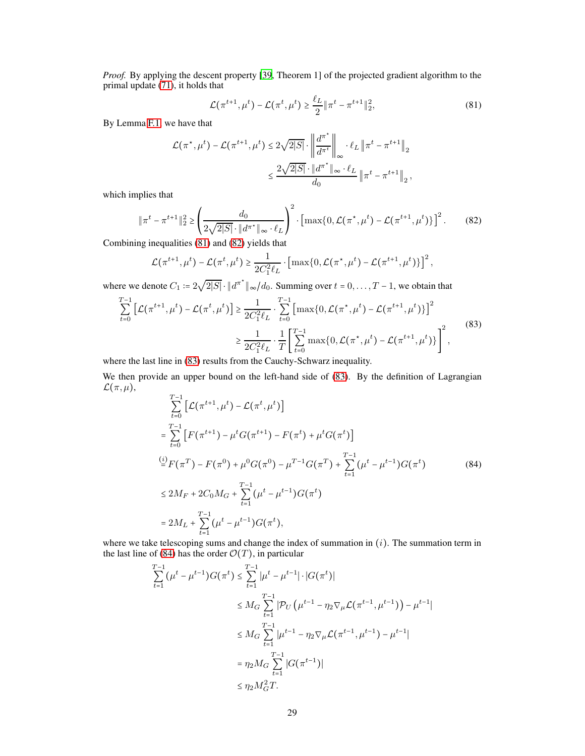*Proof.* By applying the descent property [\[39,](#page-10-16) Theorem 1] of the projected gradient algorithm to the primal update [\(71\)](#page-25-3), it holds that

<span id="page-28-0"></span>
$$
\mathcal{L}(\pi^{t+1}, \mu^t) - \mathcal{L}(\pi^t, \mu^t) \ge \frac{\ell_L}{2} \|\pi^t - \pi^{t+1}\|_2^2,
$$
\n(81)

By Lemma [F.1,](#page-26-0) we have that

$$
\mathcal{L}(\pi^*, \mu^t) - \mathcal{L}(\pi^{t+1}, \mu^t) \le 2\sqrt{2|S|} \cdot \left\| \frac{d^{\pi^*}}{d^{\pi^t}} \right\|_{\infty} \cdot \ell_L \left\| \pi^t - \pi^{t+1} \right\|_2
$$
  

$$
\le \frac{2\sqrt{2|S|} \cdot \|d^{\pi^*} \|_{\infty} \cdot \ell_L}{d_0} \left\| \pi^t - \pi^{t+1} \right\|_2,
$$

which implies that

<span id="page-28-1"></span>
$$
\|\pi^{t} - \pi^{t+1}\|_{2}^{2} \ge \left(\frac{d_{0}}{2\sqrt{2|S|} \cdot \|\boldsymbol{d}^{\pi^{*}}\|_{\infty} \cdot \ell_{L}}\right)^{2} \cdot \left[\max\{0, \mathcal{L}(\pi^{*}, \mu^{t}) - \mathcal{L}(\pi^{t+1}, \mu^{t})\}\right]^{2}.
$$
 (82)

Combining inequalities [\(81\)](#page-28-0) and [\(82\)](#page-28-1) yields that

<span id="page-28-2"></span>
$$
\mathcal{L}(\pi^{t+1}, \mu^t) - \mathcal{L}(\pi^t, \mu^t) \geq \frac{1}{2C_1^2 \ell_L} \cdot \left[ \max\{0, \mathcal{L}(\pi^*, \mu^t) - \mathcal{L}(\pi^{t+1}, \mu^t)\}\right]^2,
$$

where we denote  $C_1 = 2\sqrt{2|S|} \cdot ||d^{\pi^*}||_{\infty} / d_0$ . Summing over  $t = 0, \ldots, T-1$ , we obtain that

$$
\sum_{t=0}^{T-1} \left[ \mathcal{L}(\pi^{t+1}, \mu^t) - \mathcal{L}(\pi^t, \mu^t) \right] \ge \frac{1}{2C_1^2 \ell_L} \cdot \sum_{t=0}^{T-1} \left[ \max\{0, \mathcal{L}(\pi^*, \mu^t) - \mathcal{L}(\pi^{t+1}, \mu^t)\} \right]^2
$$
  

$$
\ge \frac{1}{2C_1^2 \ell_L} \cdot \frac{1}{T} \left[ \sum_{t=0}^{T-1} \max\{0, \mathcal{L}(\pi^*, \mu^t) - \mathcal{L}(\pi^{t+1}, \mu^t)\} \right]^2,
$$
 (83)

where the last line in [\(83\)](#page-28-2) results from the Cauchy-Schwarz inequality.

We then provide an upper bound on the left-hand side of  $(83)$ . By the definition of Lagrangian  $\mathcal{L}(\pi,\mu),$ 

<span id="page-28-3"></span>
$$
\sum_{t=0}^{T-1} \left[ \mathcal{L}(\pi^{t+1}, \mu^t) - \mathcal{L}(\pi^t, \mu^t) \right]
$$
\n
$$
= \sum_{t=0}^{T-1} \left[ F(\pi^{t+1}) - \mu^t G(\pi^{t+1}) - F(\pi^t) + \mu^t G(\pi^t) \right]
$$
\n
$$
\stackrel{(i)}{=} F(\pi^T) - F(\pi^0) + \mu^0 G(\pi^0) - \mu^{T-1} G(\pi^T) + \sum_{t=1}^{T-1} (\mu^t - \mu^{t-1}) G(\pi^t)
$$
\n
$$
\leq 2M_F + 2C_0 M_G + \sum_{t=1}^{T-1} (\mu^t - \mu^{t-1}) G(\pi^t)
$$
\n
$$
= 2M_L + \sum_{t=1}^{T-1} (\mu^t - \mu^{t-1}) G(\pi^t),
$$
\n(84)

where we take telescoping sums and change the index of summation in  $(i)$ . The summation term in the last line of [\(84\)](#page-28-3) has the order  $\mathcal{O}(T)$ , in particular

$$
\sum_{t=1}^{T-1} (\mu^{t} - \mu^{t-1}) G(\pi^{t}) \leq \sum_{t=1}^{T-1} |\mu^{t} - \mu^{t-1}| \cdot |G(\pi^{t})|
$$
\n
$$
\leq M_G \sum_{t=1}^{T-1} |\mathcal{P}_U(\mu^{t-1} - \eta_2 \nabla_{\mu} \mathcal{L}(\pi^{t-1}, \mu^{t-1})) - \mu^{t-1}|
$$
\n
$$
\leq M_G \sum_{t=1}^{T-1} |\mu^{t-1} - \eta_2 \nabla_{\mu} \mathcal{L}(\pi^{t-1}, \mu^{t-1}) - \mu^{t-1}|
$$
\n
$$
= \eta_2 M_G \sum_{t=1}^{T-1} |G(\pi^{t-1})|
$$
\n
$$
\leq \eta_2 M_G^2 T.
$$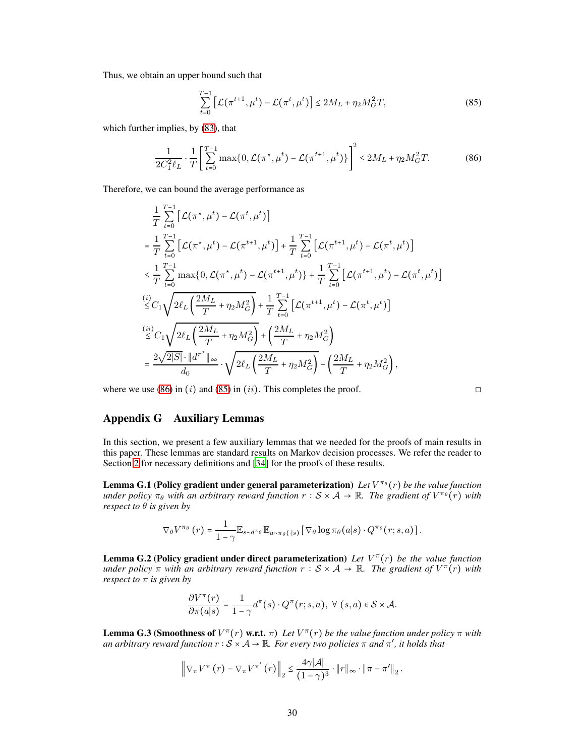Thus, we obtain an upper bound such that

<span id="page-29-5"></span><span id="page-29-4"></span>
$$
\sum_{t=0}^{T-1} \left[ \mathcal{L}(\pi^{t+1}, \mu^t) - \mathcal{L}(\pi^t, \mu^t) \right] \le 2M_L + \eta_2 M_G^2 T,\tag{85}
$$

which further implies, by [\(83\)](#page-28-2), that

$$
\frac{1}{2C_1^2 \ell_L} \cdot \frac{1}{T} \left[ \sum_{t=0}^{T-1} \max\{0, \mathcal{L}(\pi^*, \mu^t) - \mathcal{L}(\pi^{t+1}, \mu^t)\} \right]^2 \le 2M_L + \eta_2 M_G^2 T. \tag{86}
$$

Therefore, we can bound the average performance as

$$
\frac{1}{T} \sum_{t=0}^{T-1} \left[ \mathcal{L}(\pi^*, \mu^t) - \mathcal{L}(\pi^t, \mu^t) \right] \n= \frac{1}{T} \sum_{t=0}^{T-1} \left[ \mathcal{L}(\pi^*, \mu^t) - \mathcal{L}(\pi^{t+1}, \mu^t) \right] + \frac{1}{T} \sum_{t=0}^{T-1} \left[ \mathcal{L}(\pi^{t+1}, \mu^t) - \mathcal{L}(\pi^t, \mu^t) \right] \n\leq \frac{1}{T} \sum_{t=0}^{T-1} \max\{0, \mathcal{L}(\pi^*, \mu^t) - \mathcal{L}(\pi^{t+1}, \mu^t) \} + \frac{1}{T} \sum_{t=0}^{T-1} \left[ \mathcal{L}(\pi^{t+1}, \mu^t) - \mathcal{L}(\pi^t, \mu^t) \right] \n\leq C_1 \sqrt{2\ell_L \left( \frac{2M_L}{T} + \eta_2 M_G^2 \right)} + \frac{1}{T} \sum_{t=0}^{T-1} \left[ \mathcal{L}(\pi^{t+1}, \mu^t) - \mathcal{L}(\pi^t, \mu^t) \right] \n\leq C_1 \sqrt{2\ell_L \left( \frac{2M_L}{T} + \eta_2 M_G^2 \right)} + \left( \frac{2M_L}{T} + \eta_2 M_G^2 \right) \n= \frac{2\sqrt{2|S|} \cdot \|d^{\pi^*}\|_{\infty}}{d_0} \cdot \sqrt{2\ell_L \left( \frac{2M_L}{T} + \eta_2 M_G^2 \right)} + \left( \frac{2M_L}{T} + \eta_2 M_G^2 \right),
$$

where we use [\(86\)](#page-29-4) in  $(i)$  and [\(85\)](#page-29-5) in  $(ii)$ . This completes the proof.

$$
\Box
$$

# Appendix G Auxiliary Lemmas

In this section, we present a few auxiliary lemmas that we needed for the proofs of main results in this paper. These lemmas are standard results on Markov decision processes. We refer the reader to Section [2](#page-2-2) for necessary definitions and [\[34\]](#page-10-10) for the proofs of these results.

<span id="page-29-0"></span>**Lemma G.1 (Policy gradient under general parameterization)** Let  $V^{\pi_{\theta}}(r)$  be the value function *under policy*  $\pi_{\theta}$  *with an arbitrary reward function*  $r : S \times A \to \mathbb{R}$ *. The gradient of*  $V^{\pi_{\theta}}(r)$  *with respect to*  $\theta$  *is given by* 

$$
\nabla_{\theta} V^{\pi_{\theta}}(r) = \frac{1}{1-\gamma} \mathbb{E}_{s \sim d^{\pi_{\theta}}} \mathbb{E}_{a \sim \pi_{\theta}(\cdot | s)} \left[ \nabla_{\theta} \log \pi_{\theta}(a | s) \cdot Q^{\pi_{\theta}}(r; s, a) \right].
$$

<span id="page-29-2"></span>**Lemma G.2 (Policy gradient under direct parameterization)** Let  $V^{\pi}(r)$  be the value function *under policy*  $\pi$  *with* an arbitrary reward function  $r : S \times A \rightarrow \mathbb{R}$ . The gradient of  $V^{\pi}(r)$  *with respect to* π *is given by*

$$
\frac{\partial V^{\pi}(r)}{\partial \pi(a|s)} = \frac{1}{1-\gamma} d^{\pi}(s) \cdot Q^{\pi}(r;s,a), \ \forall \ (s,a) \in S \times \mathcal{A}.
$$

<span id="page-29-3"></span><span id="page-29-1"></span>**Lemma G.3 (Smoothness of**  $V^{\pi}(r)$  w.r.t.  $\pi$ ) Let  $V^{\pi}(r)$  be the value function under policy  $\pi$  with *an arbitrary reward function*  $r : S \times A \to \mathbb{R}$ *. For every two policies*  $\pi$  *and*  $\pi'$ *, it holds that* 

$$
\left\|\nabla_{\pi}V^{\pi}\left(r\right)-\nabla_{\pi}V^{\pi'}\left(r\right)\right\|_{2} \leq \frac{4\gamma|\mathcal{A}|}{\left(1-\gamma\right)^{3}}\cdot\left\|r\right\|_{\infty}\cdot\left\|\pi-\pi'\right\|_{2}.
$$